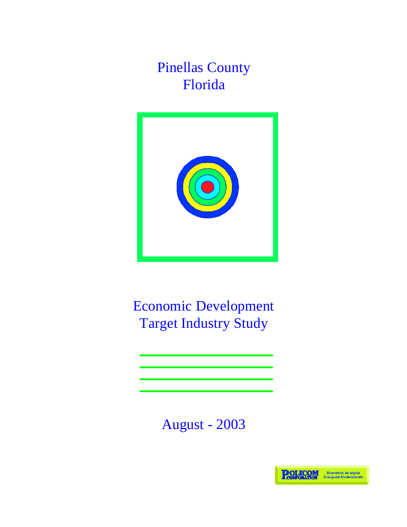# Pinellas County Florida



Economic Development Target Industry Study

August - 2003

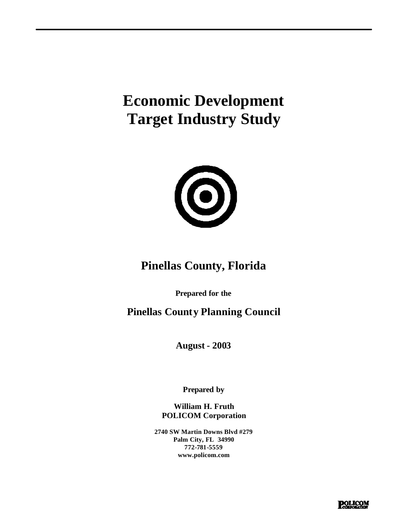# **Economic Development Target Industry Study**



# **Pinellas County, Florida**

**Prepared for the**

# **Pinellas County Planning Council**

**August - 2003**

**Prepared by**

**William H. Fruth POLICOM Corporation**

**2740 SW Martin Downs Blvd #279 Palm City, FL 34990 772-781-5559 www.policom.com**

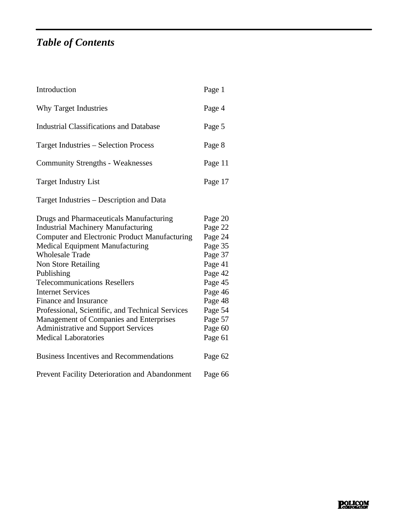# *Table of Contents*

| Introduction                                                                                                                                                                                                                                                                                                                                                                                                                                                                                                           | Page 1                                                                                                                                                 |
|------------------------------------------------------------------------------------------------------------------------------------------------------------------------------------------------------------------------------------------------------------------------------------------------------------------------------------------------------------------------------------------------------------------------------------------------------------------------------------------------------------------------|--------------------------------------------------------------------------------------------------------------------------------------------------------|
| Why Target Industries                                                                                                                                                                                                                                                                                                                                                                                                                                                                                                  | Page 4                                                                                                                                                 |
| <b>Industrial Classifications and Database</b>                                                                                                                                                                                                                                                                                                                                                                                                                                                                         | Page 5                                                                                                                                                 |
| Target Industries – Selection Process                                                                                                                                                                                                                                                                                                                                                                                                                                                                                  | Page 8                                                                                                                                                 |
| <b>Community Strengths - Weaknesses</b>                                                                                                                                                                                                                                                                                                                                                                                                                                                                                | Page 11                                                                                                                                                |
| <b>Target Industry List</b>                                                                                                                                                                                                                                                                                                                                                                                                                                                                                            | Page 17                                                                                                                                                |
| Target Industries – Description and Data                                                                                                                                                                                                                                                                                                                                                                                                                                                                               |                                                                                                                                                        |
| Drugs and Pharmaceuticals Manufacturing<br><b>Industrial Machinery Manufacturing</b><br>Computer and Electronic Product Manufacturing<br><b>Medical Equipment Manufacturing</b><br><b>Wholesale Trade</b><br>Non Store Retailing<br>Publishing<br><b>Telecommunications Resellers</b><br><b>Internet Services</b><br>Finance and Insurance<br>Professional, Scientific, and Technical Services<br>Management of Companies and Enterprises<br><b>Administrative and Support Services</b><br><b>Medical Laboratories</b> | Page 20<br>Page 22<br>Page 24<br>Page 35<br>Page 37<br>Page 41<br>Page 42<br>Page 45<br>Page 46<br>Page 48<br>Page 54<br>Page 57<br>Page 60<br>Page 61 |
| <b>Business Incentives and Recommendations</b>                                                                                                                                                                                                                                                                                                                                                                                                                                                                         | Page 62                                                                                                                                                |
| Prevent Facility Deterioration and Abandonment                                                                                                                                                                                                                                                                                                                                                                                                                                                                         | Page 66                                                                                                                                                |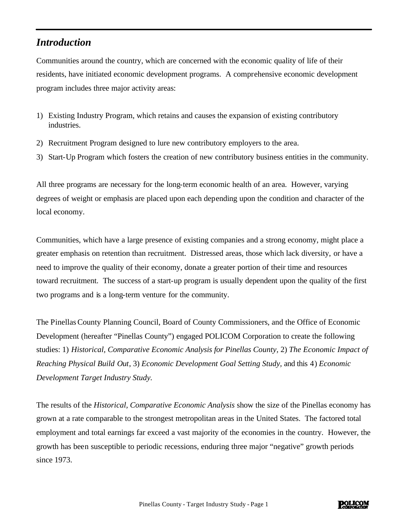# *Introduction*

Communities around the country, which are concerned with the economic quality of life of their residents, have initiated economic development programs. A comprehensive economic development program includes three major activity areas:

- 1) Existing Industry Program, which retains and causes the expansion of existing contributory industries.
- 2) Recruitment Program designed to lure new contributory employers to the area.
- 3) Start-Up Program which fosters the creation of new contributory business entities in the community.

All three programs are necessary for the long-term economic health of an area. However, varying degrees of weight or emphasis are placed upon each depending upon the condition and character of the local economy.

Communities, which have a large presence of existing companies and a strong economy, might place a greater emphasis on retention than recruitment. Distressed areas, those which lack diversity, or have a need to improve the quality of their economy, donate a greater portion of their time and resources toward recruitment. The success of a start-up program is usually dependent upon the quality of the first two programs and is a long-term venture for the community.

The Pinellas County Planning Council, Board of County Commissioners, and the Office of Economic Development (hereafter "Pinellas County") engaged POLICOM Corporation to create the following studies: 1) *Historical, Comparative Economic Analysis for Pinellas County,* 2) *The Economic Impact of Reaching Physical Build Out*, 3) *Economic Development Goal Setting Study,* and this 4) *Economic Development Target Industry Study.*

The results of the *Historical, Comparative Economic Analysis* show the size of the Pinellas economy has grown at a rate comparable to the strongest metropolitan areas in the United States. The factored total employment and total earnings far exceed a vast majority of the economies in the country. However, the growth has been susceptible to periodic recessions, enduring three major "negative" growth periods since 1973.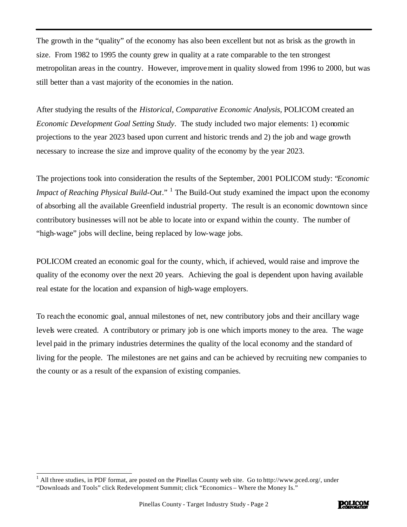The growth in the "quality" of the economy has also been excellent but not as brisk as the growth in size. From 1982 to 1995 the county grew in quality at a rate comparable to the ten strongest metropolitan areas in the country. However, improvement in quality slowed from 1996 to 2000, but was still better than a vast majority of the economies in the nation.

After studying the results of the *Historical, Comparative Economic Analysis*, POLICOM created an *Economic Development Goal Setting Study*. The study included two major elements: 1) economic projections to the year 2023 based upon current and historic trends and 2) the job and wage growth necessary to increase the size and improve quality of the economy by the year 2023.

The projections took into consideration the results of the September, 2001 POLICOM study: "*Economic Impact of Reaching Physical Build-Out*." <sup>1</sup> The Build-Out study examined the impact upon the economy of absorbing all the available Greenfield industrial property. The result is an economic downtown since contributory businesses will not be able to locate into or expand within the county. The number of "high-wage" jobs will decline, being replaced by low-wage jobs.

POLICOM created an economic goal for the county, which, if achieved, would raise and improve the quality of the economy over the next 20 years. Achieving the goal is dependent upon having available real estate for the location and expansion of high-wage employers.

To reach the economic goal, annual milestones of net, new contributory jobs and their ancillary wage levels were created. A contributory or primary job is one which imports money to the area. The wage level paid in the primary industries determines the quality of the local economy and the standard of living for the people. The milestones are net gains and can be achieved by recruiting new companies to the county or as a result of the expansion of existing companies.

l



 $<sup>1</sup>$  All three studies, in PDF format, are posted on the Pinellas County web site. Go to http://www.pced.org/, under</sup> "Downloads and Tools" click Redevelopment Summit; click "Economics – Where the Money Is."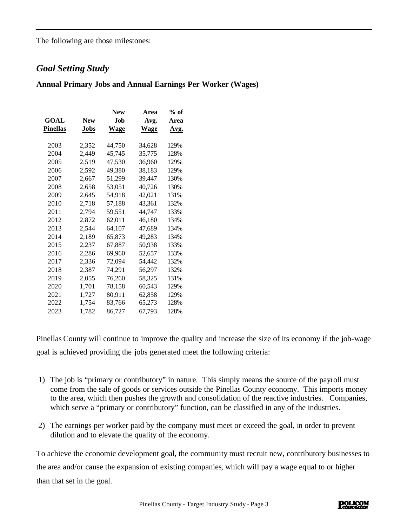The following are those milestones:

# *Goal Setting Study*

#### **Annual Primary Jobs and Annual Earnings Per Worker (Wages)**

|             |       | <b>New</b> | Area   | $%$ of |
|-------------|-------|------------|--------|--------|
| <b>GOAL</b> | New   | Job        | Avg.   | Area   |
| Pinellas    | Jobs  | Wage       | Wage   | Avg.   |
| 2003        | 2,352 | 44,750     | 34,628 | 129%   |
| 2004        | 2,449 | 45,745     | 35,775 | 128%   |
| 2005        | 2,519 | 47.530     | 36,960 | 129%   |
| 2006        | 2,592 | 49.380     | 38,183 | 129%   |
| 2007        | 2,667 | 51,299     | 39,447 | 130%   |
| 2008        | 2,658 | 53,051     | 40,726 | 130%   |
| 2009        | 2,645 | 54,918     | 42,021 | 131%   |
| 2010        | 2,718 | 57.188     | 43,361 | 132%   |
| 2011        | 2.794 | 59,551     | 44.747 | 133%   |
| 2012        | 2,872 | 62,011     | 46,180 | 134%   |
| 2013        | 2,544 | 64,107     | 47,689 | 134%   |
| 2014        | 2,189 | 65,873     | 49,283 | 134%   |
| 2015        | 2,237 | 67.887     | 50,938 | 133%   |
| 2016        | 2,286 | 69,960     | 52,657 | 133%   |
| 2017        | 2,336 | 72,094     | 54,442 | 132%   |
| 2018        | 2,387 | 74,291     | 56,297 | 132%   |
| 2019        | 2,055 | 76,260     | 58,325 | 131%   |
| 2020        | 1,701 | 78,158     | 60,543 | 129%   |
| 2021        | 1,727 | 80,911     | 62,858 | 129%   |
| 2022        | 1,754 | 83,766     | 65,273 | 128%   |
| 2023        | 1.782 | 86.727     | 67.793 | 128%   |

Pinellas County will continue to improve the quality and increase the size of its economy if the job-wage goal is achieved providing the jobs generated meet the following criteria:

- 1) The job is "primary or contributory" in nature. This simply means the source of the payroll must come from the sale of goods or services outside the Pinellas County economy. This imports money to the area, which then pushes the growth and consolidation of the reactive industries. Companies, which serve a "primary or contributory" function, can be classified in any of the industries.
- 2) The earnings per worker paid by the company must meet or exceed the goal, in order to prevent dilution and to elevate the quality of the economy.

To achieve the economic development goal, the community must recruit new, contributory businesses to the area and/or cause the expansion of existing companies, which will pay a wage equal to or higher than that set in the goal.

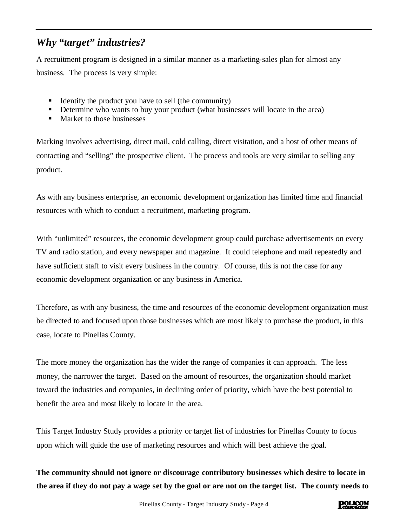# *Why "target" industries?*

A recruitment program is designed in a similar manner as a marketing-sales plan for almost any business. The process is very simple:

- ß Identify the product you have to sell (the community)
- **•** Determine who wants to buy your product (what businesses will locate in the area)
- Market to those businesses

Marking involves advertising, direct mail, cold calling, direct visitation, and a host of other means of contacting and "selling" the prospective client. The process and tools are very similar to selling any product.

As with any business enterprise, an economic development organization has limited time and financial resources with which to conduct a recruitment, marketing program.

With "unlimited" resources, the economic development group could purchase advertisements on every TV and radio station, and every newspaper and magazine. It could telephone and mail repeatedly and have sufficient staff to visit every business in the country. Of course, this is not the case for any economic development organization or any business in America.

Therefore, as with any business, the time and resources of the economic development organization must be directed to and focused upon those businesses which are most likely to purchase the product, in this case, locate to Pinellas County.

The more money the organization has the wider the range of companies it can approach. The less money, the narrower the target. Based on the amount of resources, the organization should market toward the industries and companies, in declining order of priority, which have the best potential to benefit the area and most likely to locate in the area.

This Target Industry Study provides a priority or target list of industries for Pinellas County to focus upon which will guide the use of marketing resources and which will best achieve the goal.

**The community should not ignore or discourage contributory businesses which desire to locate in the area if they do not pay a wage set by the goal or are not on the target list. The county needs to**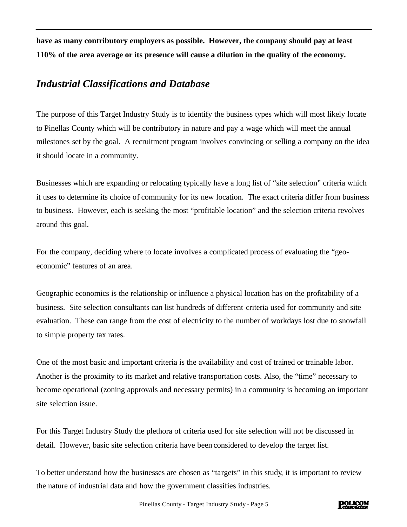**have as many contributory employers as possible. However, the company should pay at least 110% of the area average or its presence will cause a dilution in the quality of the economy.**

# *Industrial Classifications and Database*

The purpose of this Target Industry Study is to identify the business types which will most likely locate to Pinellas County which will be contributory in nature and pay a wage which will meet the annual milestones set by the goal. A recruitment program involves convincing or selling a company on the idea it should locate in a community.

Businesses which are expanding or relocating typically have a long list of "site selection" criteria which it uses to determine its choice of community for its new location. The exact criteria differ from business to business. However, each is seeking the most "profitable location" and the selection criteria revolves around this goal.

For the company, deciding where to locate involves a complicated process of evaluating the "geoeconomic" features of an area.

Geographic economics is the relationship or influence a physical location has on the profitability of a business. Site selection consultants can list hundreds of different criteria used for community and site evaluation. These can range from the cost of electricity to the number of workdays lost due to snowfall to simple property tax rates.

One of the most basic and important criteria is the availability and cost of trained or trainable labor. Another is the proximity to its market and relative transportation costs. Also, the "time" necessary to become operational (zoning approvals and necessary permits) in a community is becoming an important site selection issue.

For this Target Industry Study the plethora of criteria used for site selection will not be discussed in detail. However, basic site selection criteria have been considered to develop the target list.

To better understand how the businesses are chosen as "targets" in this study, it is important to review the nature of industrial data and how the government classifies industries.

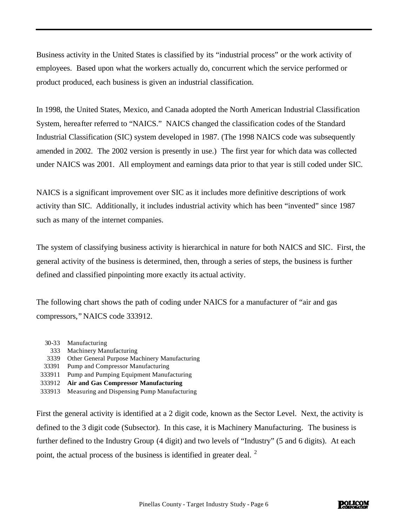Business activity in the United States is classified by its "industrial process" or the work activity of employees. Based upon what the workers actually do, concurrent which the service performed or product produced, each business is given an industrial classification.

In 1998, the United States, Mexico, and Canada adopted the North American Industrial Classification System, hereafter referred to "NAICS." NAICS changed the classification codes of the Standard Industrial Classification (SIC) system developed in 1987. (The 1998 NAICS code was subsequently amended in 2002. The 2002 version is presently in use.) The first year for which data was collected under NAICS was 2001. All employment and earnings data prior to that year is still coded under SIC.

NAICS is a significant improvement over SIC as it includes more definitive descriptions of work activity than SIC. Additionally, it includes industrial activity which has been "invented" since 1987 such as many of the internet companies.

The system of classifying business activity is hierarchical in nature for both NAICS and SIC. First, the general activity of the business is determined, then, through a series of steps, the business is further defined and classified pinpointing more exactly its actual activity.

The following chart shows the path of coding under NAICS for a manufacturer of "air and gas compressors," NAICS code 333912.

- 30-33 Manufacturing
- 333 Machinery Manufacturing
- 3339 Other General Purpose Machinery Manufacturing
- 33391 Pump and Compressor Manufacturing
- 333911 Pump and Pumping Equipment Manufacturing
- 333912 **Air and Gas Compressor Manufacturing**
- 333913 Measuring and Dispensing Pump Manufacturing

First the general activity is identified at a 2 digit code, known as the Sector Level. Next, the activity is defined to the 3 digit code (Subsector). In this case, it is Machinery Manufacturing. The business is further defined to the Industry Group (4 digit) and two levels of "Industry" (5 and 6 digits). At each point, the actual process of the business is identified in greater deal.  $2^{\circ}$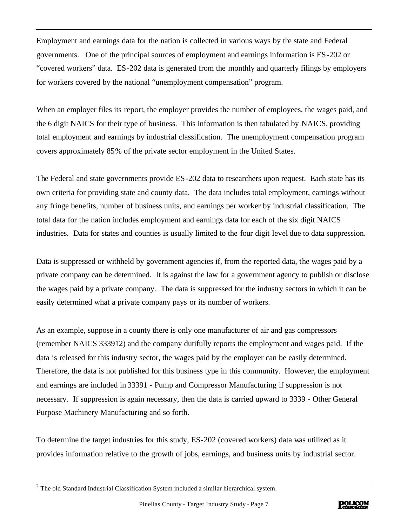Employment and earnings data for the nation is collected in various ways by the state and Federal governments. One of the principal sources of employment and earnings information is ES-202 or "covered workers" data. ES-202 data is generated from the monthly and quarterly filings by employers for workers covered by the national "unemployment compensation" program.

When an employer files its report, the employer provides the number of employees, the wages paid, and the 6 digit NAICS for their type of business. This information is then tabulated by NAICS, providing total employment and earnings by industrial classification. The unemployment compensation program covers approximately 85% of the private sector employment in the United States.

The Federal and state governments provide ES-202 data to researchers upon request. Each state has its own criteria for providing state and county data. The data includes total employment, earnings without any fringe benefits, number of business units, and earnings per worker by industrial classification. The total data for the nation includes employment and earnings data for each of the six digit NAICS industries. Data for states and counties is usually limited to the four digit level due to data suppression.

Data is suppressed or withheld by government agencies if, from the reported data, the wages paid by a private company can be determined. It is against the law for a government agency to publish or disclose the wages paid by a private company. The data is suppressed for the industry sectors in which it can be easily determined what a private company pays or its number of workers.

As an example, suppose in a county there is only one manufacturer of air and gas compressors (remember NAICS 333912) and the company dutifully reports the employment and wages paid. If the data is released for this industry sector, the wages paid by the employer can be easily determined. Therefore, the data is not published for this business type in this community. However, the employment and earnings are included in 33391 - Pump and Compressor Manufacturing if suppression is not necessary. If suppression is again necessary, then the data is carried upward to 3339 - Other General Purpose Machinery Manufacturing and so forth.

To determine the target industries for this study, ES-202 (covered workers) data was utilized as it provides information relative to the growth of jobs, earnings, and business units by industrial sector.



<sup>&</sup>lt;sup>2</sup> The old Standard Industrial Classification System included a similar hierarchical system.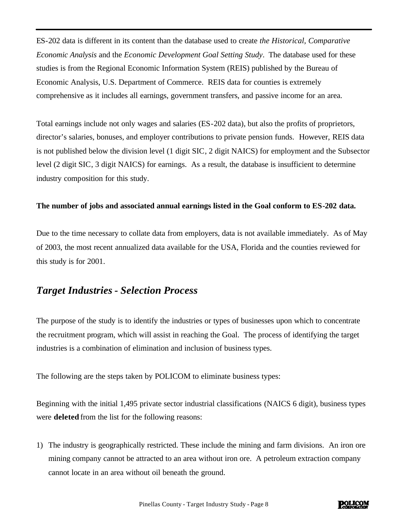ES-202 data is different in its content than the database used to create *the Historical, Comparative Economic Analysis* and the *Economic Development Goal Setting Study*. The database used for these studies is from the Regional Economic Information System (REIS) published by the Bureau of Economic Analysis, U.S. Department of Commerce. REIS data for counties is extremely comprehensive as it includes all earnings, government transfers, and passive income for an area.

Total earnings include not only wages and salaries (ES-202 data), but also the profits of proprietors, director's salaries, bonuses, and employer contributions to private pension funds. However, REIS data is not published below the division level (1 digit SIC, 2 digit NAICS) for employment and the Subsector level (2 digit SIC, 3 digit NAICS) for earnings. As a result, the database is insufficient to determine industry composition for this study.

#### **The number of jobs and associated annual earnings listed in the Goal conform to ES-202 data.**

Due to the time necessary to collate data from employers, data is not available immediately. As of May of 2003, the most recent annualized data available for the USA, Florida and the counties reviewed for this study is for 2001.

# *Target Industries - Selection Process*

The purpose of the study is to identify the industries or types of businesses upon which to concentrate the recruitment program, which will assist in reaching the Goal. The process of identifying the target industries is a combination of elimination and inclusion of business types.

The following are the steps taken by POLICOM to eliminate business types:

Beginning with the initial 1,495 private sector industrial classifications (NAICS 6 digit), business types were **deleted** from the list for the following reasons:

1) The industry is geographically restricted. These include the mining and farm divisions. An iron ore mining company cannot be attracted to an area without iron ore. A petroleum extraction company cannot locate in an area without oil beneath the ground.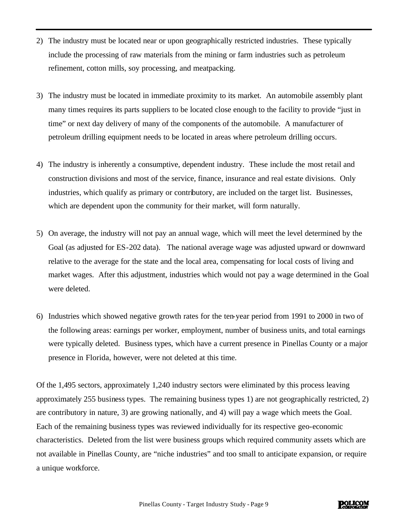- 2) The industry must be located near or upon geographically restricted industries. These typically include the processing of raw materials from the mining or farm industries such as petroleum refinement, cotton mills, soy processing, and meatpacking.
- 3) The industry must be located in immediate proximity to its market. An automobile assembly plant many times requires its parts suppliers to be located close enough to the facility to provide "just in time" or next day delivery of many of the components of the automobile. A manufacturer of petroleum drilling equipment needs to be located in areas where petroleum drilling occurs.
- 4) The industry is inherently a consumptive, dependent industry. These include the most retail and construction divisions and most of the service, finance, insurance and real estate divisions. Only industries, which qualify as primary or contributory, are included on the target list. Businesses, which are dependent upon the community for their market, will form naturally.
- 5) On average, the industry will not pay an annual wage, which will meet the level determined by the Goal (as adjusted for ES-202 data). The national average wage was adjusted upward or downward relative to the average for the state and the local area, compensating for local costs of living and market wages. After this adjustment, industries which would not pay a wage determined in the Goal were deleted.
- 6) Industries which showed negative growth rates for the ten-year period from 1991 to 2000 in two of the following areas: earnings per worker, employment, number of business units, and total earnings were typically deleted. Business types, which have a current presence in Pinellas County or a major presence in Florida, however, were not deleted at this time.

Of the 1,495 sectors, approximately 1,240 industry sectors were eliminated by this process leaving approximately 255 business types. The remaining business types 1) are not geographically restricted, 2) are contributory in nature, 3) are growing nationally, and 4) will pay a wage which meets the Goal. Each of the remaining business types was reviewed individually for its respective geo-economic characteristics. Deleted from the list were business groups which required community assets which are not available in Pinellas County, are "niche industries" and too small to anticipate expansion, or require a unique workforce.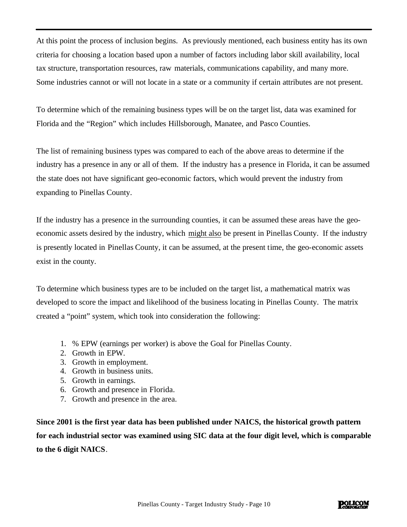At this point the process of inclusion begins. As previously mentioned, each business entity has its own criteria for choosing a location based upon a number of factors including labor skill availability, local tax structure, transportation resources, raw materials, communications capability, and many more. Some industries cannot or will not locate in a state or a community if certain attributes are not present.

To determine which of the remaining business types will be on the target list, data was examined for Florida and the "Region" which includes Hillsborough, Manatee, and Pasco Counties.

The list of remaining business types was compared to each of the above areas to determine if the industry has a presence in any or all of them. If the industry has a presence in Florida, it can be assumed the state does not have significant geo-economic factors, which would prevent the industry from expanding to Pinellas County.

If the industry has a presence in the surrounding counties, it can be assumed these areas have the geoeconomic assets desired by the industry, which might also be present in Pinellas County. If the industry is presently located in Pinellas County, it can be assumed, at the present time, the geo-economic assets exist in the county.

To determine which business types are to be included on the target list, a mathematical matrix was developed to score the impact and likelihood of the business locating in Pinellas County. The matrix created a "point" system, which took into consideration the following:

- 1. % EPW (earnings per worker) is above the Goal for Pinellas County.
- 2. Growth in EPW.
- 3. Growth in employment.
- 4. Growth in business units.
- 5. Growth in earnings.
- 6. Growth and presence in Florida.
- 7. Growth and presence in the area.

**Since 2001 is the first year data has been published under NAICS, the historical growth pattern for each industrial sector was examined using SIC data at the four digit level, which is comparable to the 6 digit NAICS**.

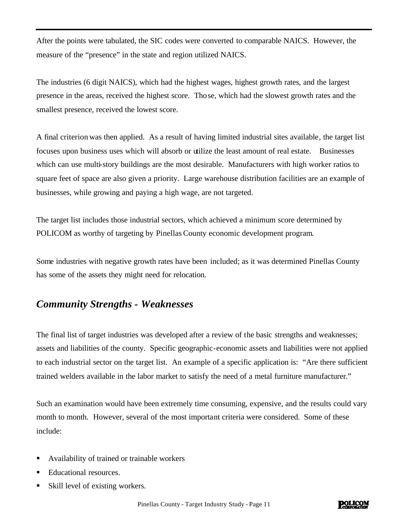After the points were tabulated, the SIC codes were converted to comparable NAICS. However, the measure of the "presence" in the state and region utilized NAICS.

The industries (6 digit NAICS), which had the highest wages, highest growth rates, and the largest presence in the areas, received the highest score. Those, which had the slowest growth rates and the smallest presence, received the lowest score.

A final criterion was then applied. As a result of having limited industrial sites available, the target list focuses upon business uses which will absorb or utilize the least amount of real estate. Businesses which can use multi-story buildings are the most desirable. Manufacturers with high worker ratios to square feet of space are also given a priority. Large warehouse distribution facilities are an example of businesses, while growing and paying a high wage, are not targeted.

The target list includes those industrial sectors, which achieved a minimum score determined by POLICOM as worthy of targeting by Pinellas County economic development program.

Some industries with negative growth rates have been included; as it was determined Pinellas County has some of the assets they might need for relocation.

# *Community Strengths - Weaknesses*

The final list of target industries was developed after a review of the basic strengths and weaknesses; assets and liabilities of the county. Specific geographic-economic assets and liabilities were not applied to each industrial sector on the target list. An example of a specific application is: "Are there sufficient trained welders available in the labor market to satisfy the need of a metal furniture manufacturer."

Such an examination would have been extremely time consuming, expensive, and the results could vary month to month. However, several of the most important criteria were considered. Some of these include:

- ß Availability of trained or trainable workers
- ß Educational resources.
- Skill level of existing workers.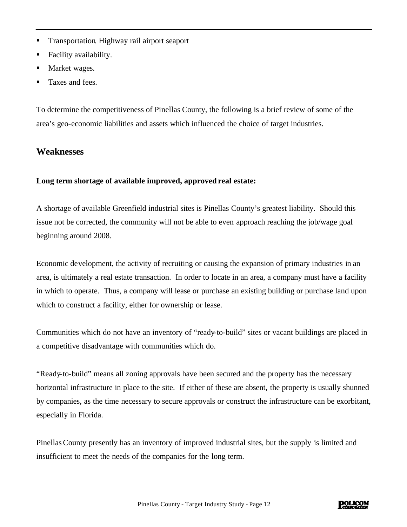- ß Transportation. Highway rail airport seaport
- ß Facility availability.
- Market wages.
- Taxes and fees.

To determine the competitiveness of Pinellas County, the following is a brief review of some of the area's geo-economic liabilities and assets which influenced the choice of target industries.

# **Weaknesses**

# **Long term shortage of available improved, approved real estate:**

A shortage of available Greenfield industrial sites is Pinellas County's greatest liability. Should this issue not be corrected, the community will not be able to even approach reaching the job/wage goal beginning around 2008.

Economic development, the activity of recruiting or causing the expansion of primary industries in an area, is ultimately a real estate transaction. In order to locate in an area, a company must have a facility in which to operate. Thus, a company will lease or purchase an existing building or purchase land upon which to construct a facility, either for ownership or lease.

Communities which do not have an inventory of "ready-to-build" sites or vacant buildings are placed in a competitive disadvantage with communities which do.

"Ready-to-build" means all zoning approvals have been secured and the property has the necessary horizontal infrastructure in place to the site. If either of these are absent, the property is usually shunned by companies, as the time necessary to secure approvals or construct the infrastructure can be exorbitant, especially in Florida.

Pinellas County presently has an inventory of improved industrial sites, but the supply is limited and insufficient to meet the needs of the companies for the long term.

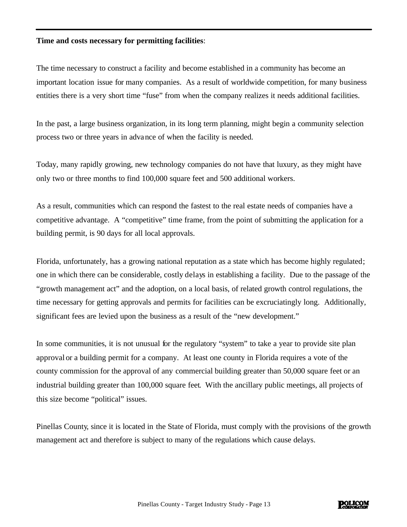#### **Time and costs necessary for permitting facilities**:

The time necessary to construct a facility and become established in a community has become an important location issue for many companies. As a result of worldwide competition, for many business entities there is a very short time "fuse" from when the company realizes it needs additional facilities.

In the past, a large business organization, in its long term planning, might begin a community selection process two or three years in advance of when the facility is needed.

Today, many rapidly growing, new technology companies do not have that luxury, as they might have only two or three months to find 100,000 square feet and 500 additional workers.

As a result, communities which can respond the fastest to the real estate needs of companies have a competitive advantage. A "competitive" time frame, from the point of submitting the application for a building permit, is 90 days for all local approvals.

Florida, unfortunately, has a growing national reputation as a state which has become highly regulated; one in which there can be considerable, costly delays in establishing a facility. Due to the passage of the "growth management act" and the adoption, on a local basis, of related growth control regulations, the time necessary for getting approvals and permits for facilities can be excruciatingly long. Additionally, significant fees are levied upon the business as a result of the "new development."

In some communities, it is not unusual for the regulatory "system" to take a year to provide site plan approval or a building permit for a company. At least one county in Florida requires a vote of the county commission for the approval of any commercial building greater than 50,000 square feet or an industrial building greater than 100,000 square feet. With the ancillary public meetings, all projects of this size become "political" issues.

Pinellas County, since it is located in the State of Florida, must comply with the provisions of the growth management act and therefore is subject to many of the regulations which cause delays.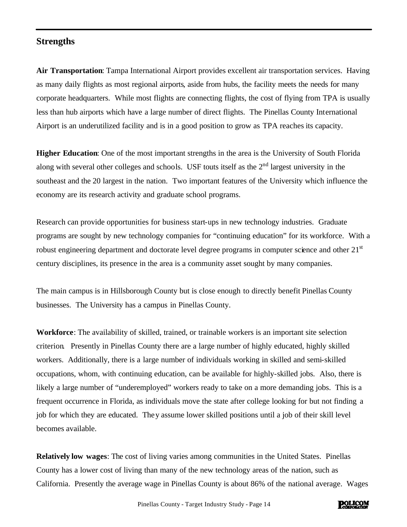# **Strengths**

**Air Transportation**: Tampa International Airport provides excellent air transportation services. Having as many daily flights as most regional airports, aside from hubs, the facility meets the needs for many corporate headquarters. While most flights are connecting flights, the cost of flying from TPA is usually less than hub airports which have a large number of direct flights. The Pinellas County International Airport is an underutilized facility and is in a good position to grow as TPA reaches its capacity.

**Higher Education**: One of the most important strengths in the area is the University of South Florida along with several other colleges and schools. USF touts itself as the  $2<sup>nd</sup>$  largest university in the southeast and the 20 largest in the nation. Two important features of the University which influence the economy are its research activity and graduate school programs.

Research can provide opportunities for business start-ups in new technology industries. Graduate programs are sought by new technology companies for "continuing education" for its workforce. With a robust engineering department and doctorate level degree programs in computer science and other  $21<sup>st</sup>$ century disciplines, its presence in the area is a community asset sought by many companies.

The main campus is in Hillsborough County but is close enough to directly benefit Pinellas County businesses. The University has a campus in Pinellas County.

**Workforce**: The availability of skilled, trained, or trainable workers is an important site selection criterion. Presently in Pinellas County there are a large number of highly educated, highly skilled workers. Additionally, there is a large number of individuals working in skilled and semi-skilled occupations, whom, with continuing education, can be available for highly-skilled jobs. Also, there is likely a large number of "underemployed" workers ready to take on a more demanding jobs. This is a frequent occurrence in Florida, as individuals move the state after college looking for but not finding a job for which they are educated. They assume lower skilled positions until a job of their skill level becomes available.

**Relatively low wages**: The cost of living varies among communities in the United States. Pinellas County has a lower cost of living than many of the new technology areas of the nation, such as California. Presently the average wage in Pinellas County is about 86% of the national average. Wages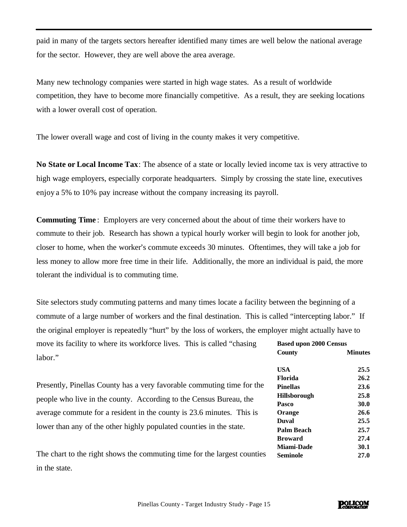paid in many of the targets sectors hereafter identified many times are well below the national average for the sector. However, they are well above the area average.

Many new technology companies were started in high wage states. As a result of worldwide competition, they have to become more financially competitive. As a result, they are seeking locations with a lower overall cost of operation.

The lower overall wage and cost of living in the county makes it very competitive.

**No State or Local Income Tax**: The absence of a state or locally levied income tax is very attractive to high wage employers, especially corporate headquarters. Simply by crossing the state line, executives enjoy a 5% to 10% pay increase without the company increasing its payroll.

**Commuting Time**: Employers are very concerned about the about of time their workers have to commute to their job. Research has shown a typical hourly worker will begin to look for another job, closer to home, when the worker's commute exceeds 30 minutes. Oftentimes, they will take a job for less money to allow more free time in their life. Additionally, the more an individual is paid, the more tolerant the individual is to commuting time.

**Based upon 2000 Census** Site selectors study commuting patterns and many times locate a facility between the beginning of a commute of a large number of workers and the final destination. This is called "intercepting labor." If the original employer is repeatedly "hurt" by the loss of workers, the employer might actually have to move its facility to where its workforce lives. This is called "chasing labor."

Presently, Pinellas County has a very favorable commuting time for the people who live in the county. According to the Census Bureau, the average commute for a resident in the county is 23.6 minutes. This is lower than any of the other highly populated counties in the state.

The chart to the right shows the commuting time for the largest counties in the state.

| County              | <b>Minutes</b> |  |  |
|---------------------|----------------|--|--|
| USA                 | 25.5           |  |  |
| <b>Florida</b>      | 26.2           |  |  |
| <b>Pinellas</b>     | 23.6           |  |  |
| <b>Hillsborough</b> | 25.8           |  |  |
| Pasco               | 30.0           |  |  |
| Orange              | 26.6           |  |  |
| <b>Duval</b>        | 25.5           |  |  |
| Palm Beach          | 25.7           |  |  |
| <b>Broward</b>      | 27.4           |  |  |
| <b>Miami-Dade</b>   | 30.1           |  |  |
| <b>Seminole</b>     | 27.0           |  |  |

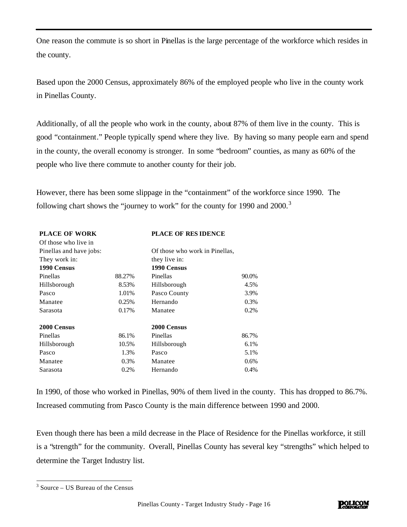One reason the commute is so short in Pinellas is the large percentage of the workforce which resides in the county.

Based upon the 2000 Census, approximately 86% of the employed people who live in the county work in Pinellas County.

Additionally, of all the people who work in the county, about 87% of them live in the county. This is good "containment." People typically spend where they live. By having so many people earn and spend in the county, the overall economy is stronger. In some "bedroom" counties, as many as 60% of the people who live there commute to another county for their job.

However, there has been some slippage in the "containment" of the workforce since 1990. The following chart shows the "journey to work" for the county for 1990 and  $2000$ .<sup>3</sup>

| <b>PLACE OF WORK</b>    |        | <b>PLACE OF RESIDENCE</b>      |         |  |  |
|-------------------------|--------|--------------------------------|---------|--|--|
| Of those who live in    |        |                                |         |  |  |
| Pinellas and have jobs: |        | Of those who work in Pinellas, |         |  |  |
| They work in:           |        | they live in:                  |         |  |  |
| 1990 Census             |        | 1990 Census                    |         |  |  |
| Pinellas                | 88.27% | Pinellas                       | 90.0%   |  |  |
| Hillsborough            | 8.53%  | Hillsborough                   | 4.5%    |  |  |
| Pasco                   | 1.01%  | Pasco County                   | 3.9%    |  |  |
| Manatee                 | 0.25%  | Hernando                       | 0.3%    |  |  |
| Sarasota                | 0.17%  | Manatee                        | 0.2%    |  |  |
| 2000 Census             |        | 2000 Census                    |         |  |  |
| Pinellas                | 86.1%  | Pinellas                       | 86.7%   |  |  |
| Hillsborough            | 10.5%  | Hillsborough                   | 6.1%    |  |  |
| Pasco                   | 1.3%   | Pasco                          | 5.1%    |  |  |
| Manatee                 | 0.3%   | Manatee                        | $0.6\%$ |  |  |
| Sarasota                | 0.2%   | Hernando                       | 0.4%    |  |  |

In 1990, of those who worked in Pinellas, 90% of them lived in the county. This has dropped to 86.7%. Increased commuting from Pasco County is the main difference between 1990 and 2000.

Even though there has been a mild decrease in the Place of Residence for the Pinellas workforce, it still is a "strength" for the community. Overall, Pinellas County has several key "strengths" which helped to determine the Target Industry list.



 3 Source – US Bureau of the Census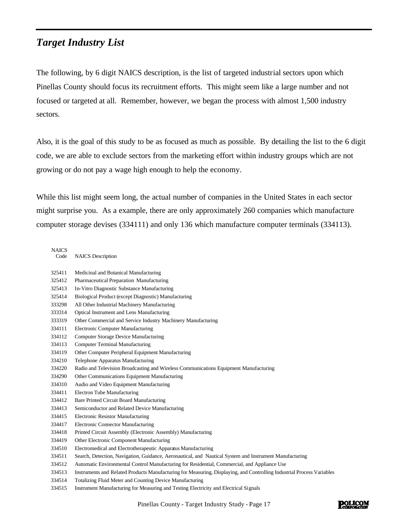# *Target Industry List*

The following, by 6 digit NAICS description, is the list of targeted industrial sectors upon which Pinellas County should focus its recruitment efforts. This might seem like a large number and not focused or targeted at all. Remember, however, we began the process with almost 1,500 industry sectors.

Also, it is the goal of this study to be as focused as much as possible. By detailing the list to the 6 digit code, we are able to exclude sectors from the marketing effort within industry groups which are not growing or do not pay a wage high enough to help the economy.

While this list might seem long, the actual number of companies in the United States in each sector might surprise you. As a example, there are only approximately 260 companies which manufacture computer storage devises (334111) and only 136 which manufacture computer terminals (334113).

**NAICS** Code NAICS Description

| 325411 | Medicinal and Botanical Manufacturing                                                                                  |
|--------|------------------------------------------------------------------------------------------------------------------------|
| 325412 | Pharmaceutical Preparation Manufacturing                                                                               |
| 325413 | In-Vitro Diagnostic Substance Manufacturing                                                                            |
| 325414 | Biological Product (except Diagnostic) Manufacturing                                                                   |
| 333298 | All Other Industrial Machinery Manufacturing                                                                           |
| 333314 | Optical Instrument and Lens Manufacturing                                                                              |
| 333319 | Other Commercial and Service Industry Machinery Manufacturing                                                          |
| 334111 | <b>Electronic Computer Manufacturing</b>                                                                               |
| 334112 | <b>Computer Storage Device Manufacturing</b>                                                                           |
| 334113 | <b>Computer Terminal Manufacturing</b>                                                                                 |
| 334119 | Other Computer Peripheral Equipment Manufacturing                                                                      |
| 334210 | Telephone Apparatus Manufacturing                                                                                      |
| 334220 | Radio and Television Broadcasting and Wireless Communications Equipment Manufacturing                                  |
| 334290 | Other Communications Equipment Manufacturing                                                                           |
| 334310 | Audio and Video Equipment Manufacturing                                                                                |
| 334411 | <b>Electron Tube Manufacturing</b>                                                                                     |
| 334412 | Bare Printed Circuit Board Manufacturing                                                                               |
| 334413 | Semiconductor and Related Device Manufacturing                                                                         |
| 334415 | <b>Electronic Resistor Manufacturing</b>                                                                               |
| 334417 | <b>Electronic Connector Manufacturing</b>                                                                              |
| 334418 | Printed Circuit Assembly (Electronic Assembly) Manufacturing                                                           |
| 334419 | Other Electronic Component Manufacturing                                                                               |
| 334510 | Electromedical and Electrotherapeutic Apparatus Manufacturing                                                          |
| 334511 | Search, Detection, Navigation, Guidance, Aeronautical, and Nautical System and Instrument Manufacturing                |
| 334512 | Automatic Environmental Control Manufacturing for Residential, Commercial, and Appliance Use                           |
| 334513 | Instruments and Related Products Manufacturing for Measuring, Displaying, and Controlling Industrial Process Variables |
| 334514 | Totalizing Fluid Meter and Counting Device Manufacturing                                                               |
| 334515 | Instrument Manufacturing for Measuring and Testing Electricity and Electrical Signals                                  |
|        |                                                                                                                        |

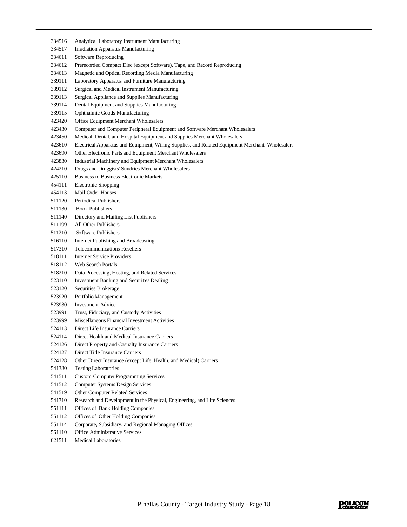| 334516 | Analytical Laboratory Instrument Manufacturing                                                  |
|--------|-------------------------------------------------------------------------------------------------|
| 334517 | <b>Irradiation Apparatus Manufacturing</b>                                                      |
| 334611 | Software Reproducing                                                                            |
| 334612 | Prerecorded Compact Disc (except Software), Tape, and Record Reproducing                        |
| 334613 | Magnetic and Optical Recording Media Manufacturing                                              |
| 339111 | Laboratory Apparatus and Furniture Manufacturing                                                |
| 339112 | Surgical and Medical Instrument Manufacturing                                                   |
| 339113 | Surgical Appliance and Supplies Manufacturing                                                   |
| 339114 | Dental Equipment and Supplies Manufacturing                                                     |
| 339115 | Ophthalmic Goods Manufacturing                                                                  |
| 423420 | Office Equipment Merchant Wholesalers                                                           |
| 423430 | Computer and Computer Peripheral Equipment and Software Merchant Wholesalers                    |
| 423450 | Medical, Dental, and Hospital Equipment and Supplies Merchant Wholesalers                       |
| 423610 | Electrical Apparatus and Equipment, Wiring Supplies, and Related Equipment Merchant Wholesalers |
| 423690 | Other Electronic Parts and Equipment Merchant Wholesalers                                       |
| 423830 | Industrial Machinery and Equipment Merchant Wholesalers                                         |
| 424210 | Drugs and Druggists' Sundries Merchant Wholesalers                                              |
| 425110 | <b>Business to Business Electronic Markets</b>                                                  |
| 454111 | <b>Electronic Shopping</b>                                                                      |
| 454113 | Mail-Order Houses                                                                               |
| 511120 | Periodical Publishers                                                                           |
| 511130 | <b>Book Publishers</b>                                                                          |
| 511140 | Directory and Mailing List Publishers                                                           |
| 511199 | All Other Publishers                                                                            |
| 511210 | Software Publishers                                                                             |
| 516110 | Internet Publishing and Broadcasting                                                            |
| 517310 | <b>Telecommunications Resellers</b>                                                             |
| 518111 | <b>Internet Service Providers</b>                                                               |
| 518112 | <b>Web Search Portals</b>                                                                       |
| 518210 | Data Processing, Hosting, and Related Services                                                  |
| 523110 | Investment Banking and Securities Dealing                                                       |
| 523120 | Securities Brokerage                                                                            |
| 523920 | Portfolio Management                                                                            |
| 523930 | <b>Investment Advice</b>                                                                        |
| 523991 | Trust, Fiduciary, and Custody Activities                                                        |
| 523999 | Miscellaneous Financial Investment Activities                                                   |
| 524113 | Direct Life Insurance Carriers                                                                  |
| 524114 | Direct Health and Medical Insurance Carriers                                                    |
| 524126 | Direct Property and Casualty Insurance Carriers                                                 |
| 524127 | Direct Title Insurance Carriers                                                                 |
| 524128 | Other Direct Insurance (except Life, Health, and Medical) Carriers                              |
| 541380 | <b>Testing Laboratories</b>                                                                     |
| 541511 | <b>Custom Computer Programming Services</b>                                                     |
| 541512 | <b>Computer Systems Design Services</b>                                                         |
| 541519 | Other Computer Related Services                                                                 |
| 541710 | Research and Development in the Physical, Engineering, and Life Sciences                        |
| 551111 | Offices of Bank Holding Companies                                                               |
| 551112 | Offices of Other Holding Companies                                                              |
| 551114 | Corporate, Subsidiary, and Regional Managing Offices                                            |
| 561110 | <b>Office Administrative Services</b>                                                           |
|        |                                                                                                 |

Medical Laboratories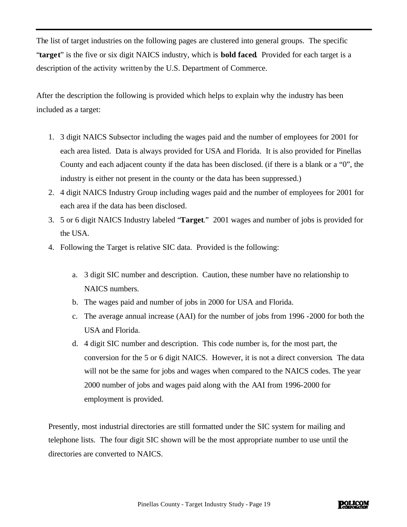The list of target industries on the following pages are clustered into general groups. The specific "**target**" is the five or six digit NAICS industry, which is **bold faced**. Provided for each target is a description of the activity written by the U.S. Department of Commerce.

After the description the following is provided which helps to explain why the industry has been included as a target:

- 1. 3 digit NAICS Subsector including the wages paid and the number of employees for 2001 for each area listed. Data is always provided for USA and Florida. It is also provided for Pinellas County and each adjacent county if the data has been disclosed. (if there is a blank or a "0", the industry is either not present in the county or the data has been suppressed.)
- 2. 4 digit NAICS Industry Group including wages paid and the number of employees for 2001 for each area if the data has been disclosed.
- 3. 5 or 6 digit NAICS Industry labeled "**Target**." 2001 wages and number of jobs is provided for the USA.
- 4. Following the Target is relative SIC data. Provided is the following:
	- a. 3 digit SIC number and description. Caution, these number have no relationship to NAICS numbers.
	- b. The wages paid and number of jobs in 2000 for USA and Florida.
	- c. The average annual increase (AAI) for the number of jobs from 1996 -2000 for both the USA and Florida.
	- d. 4 digit SIC number and description. This code number is, for the most part, the conversion for the 5 or 6 digit NAICS. However, it is not a direct conversion. The data will not be the same for jobs and wages when compared to the NAICS codes. The year 2000 number of jobs and wages paid along with the AAI from 1996-2000 for employment is provided.

Presently, most industrial directories are still formatted under the SIC system for mailing and telephone lists. The four digit SIC shown will be the most appropriate number to use until the directories are converted to NAICS.

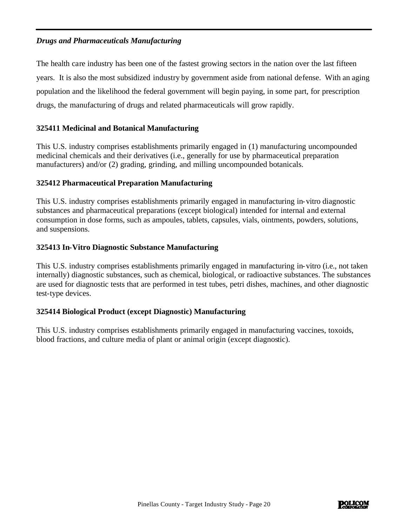# *Drugs and Pharmaceuticals Manufacturing*

The health care industry has been one of the fastest growing sectors in the nation over the last fifteen years. It is also the most subsidized industry by government aside from national defense. With an aging population and the likelihood the federal government will begin paying, in some part, for prescription drugs, the manufacturing of drugs and related pharmaceuticals will grow rapidly.

# **325411 Medicinal and Botanical Manufacturing**

This U.S. industry comprises establishments primarily engaged in (1) manufacturing uncompounded medicinal chemicals and their derivatives (i.e., generally for use by pharmaceutical preparation manufacturers) and/or (2) grading, grinding, and milling uncompounded botanicals.

#### **325412 Pharmaceutical Preparation Manufacturing**

This U.S. industry comprises establishments primarily engaged in manufacturing in-vitro diagnostic substances and pharmaceutical preparations (except biological) intended for internal and external consumption in dose forms, such as ampoules, tablets, capsules, vials, ointments, powders, solutions, and suspensions.

#### **325413 In-Vitro Diagnostic Substance Manufacturing**

This U.S. industry comprises establishments primarily engaged in manufacturing in-vitro (i.e., not taken internally) diagnostic substances, such as chemical, biological, or radioactive substances. The substances are used for diagnostic tests that are performed in test tubes, petri dishes, machines, and other diagnostic test-type devices.

#### **325414 Biological Product (except Diagnostic) Manufacturing**

This U.S. industry comprises establishments primarily engaged in manufacturing vaccines, toxoids, blood fractions, and culture media of plant or animal origin (except diagnostic).

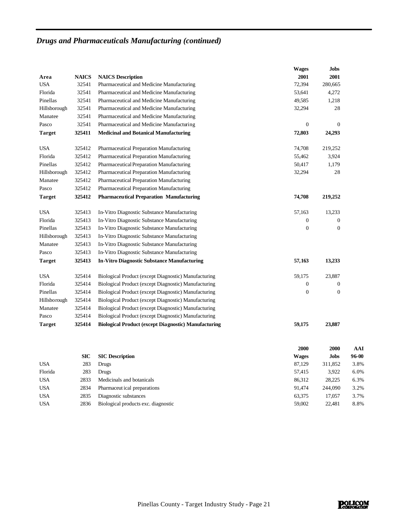# *Drugs and Pharmaceuticals Manufacturing (continued)*

|                 |              |                                                             | <b>Wages</b>     | <b>Jobs</b>      |           |
|-----------------|--------------|-------------------------------------------------------------|------------------|------------------|-----------|
| Area            | <b>NAICS</b> | <b>NAICS Description</b>                                    | 2001             | 2001             |           |
| <b>USA</b>      | 32541        | Pharmaceutical and Medicine Manufacturing                   | 72,394           | 280,665          |           |
| Florida         | 32541        | Pharmaceutical and Medicine Manufacturing                   | 53,641           | 4,272            |           |
| Pinellas        | 32541        | Pharmaceutical and Medicine Manufacturing                   | 49,585           | 1,218            |           |
| Hillsborough    | 32541        | Pharmaceutical and Medicine Manufacturing                   | 32,294           | 28               |           |
| Manatee         | 32541        | Pharmaceutical and Medicine Manufacturing                   |                  |                  |           |
| Pasco           | 32541        | Pharmaceutical and Medicine Manufacturing                   | $\boldsymbol{0}$ | $\boldsymbol{0}$ |           |
| <b>Target</b>   | 325411       | <b>Medicinal and Botanical Manufacturing</b>                | 72,803           | 24,293           |           |
| <b>USA</b>      | 325412       | Pharmaceutical Preparation Manufacturing                    | 74,708           | 219,252          |           |
| Florida         | 325412       | Pharmaceutical Preparation Manufacturing                    | 55,462           | 3,924            |           |
| Pinellas        | 325412       | Pharmaceutical Preparation Manufacturing                    | 50,417           | 1,179            |           |
| Hillsborough    | 325412       | Pharmaceutical Preparation Manufacturing                    | 32,294           | 28               |           |
| Manatee         | 325412       | Pharmaceutical Preparation Manufacturing                    |                  |                  |           |
| Pasco           | 325412       | Pharmaceutical Preparation Manufacturing                    |                  |                  |           |
| Target          | 325412       | <b>Pharmaceutical Preparation Manufacturing</b>             | 74,708           | 219,252          |           |
| <b>USA</b>      | 325413       | In-Vitro Diagnostic Substance Manufacturing                 | 57,163           | 13,233           |           |
| Florida         | 325413       | In-Vitro Diagnostic Substance Manufacturing                 | $\boldsymbol{0}$ | 0                |           |
| Pinellas        | 325413       | In-Vitro Diagnostic Substance Manufacturing                 | $\mathbf{0}$     | 0                |           |
| Hillsborough    | 325413       | In-Vitro Diagnostic Substance Manufacturing                 |                  |                  |           |
| Manatee         | 325413       | In-Vitro Diagnostic Substance Manufacturing                 |                  |                  |           |
| Pasco           | 325413       | In-Vitro Diagnostic Substance Manufacturing                 |                  |                  |           |
| <b>Target</b>   | 325413       | <b>In-Vitro Diagnostic Substance Manufacturing</b>          | 57,163           | 13,233           |           |
| <b>USA</b>      | 325414       | Biological Product (except Diagnostic) Manufacturing        | 59,175           | 23,887           |           |
| Florida         | 325414       | Biological Product (except Diagnostic) Manufacturing        | 0                | 0                |           |
| Pinellas        | 325414       | Biological Product (except Diagnostic) Manufacturing        | $\boldsymbol{0}$ | $\boldsymbol{0}$ |           |
| Hillsborough    | 325414       | Biological Product (except Diagnostic) Manufacturing        |                  |                  |           |
| Manatee         | 325414       | Biological Product (except Diagnostic) Manufacturing        |                  |                  |           |
| Pasco           | 325414       | Biological Product (except Diagnostic) Manufacturing        |                  |                  |           |
| Target          | 325414       | <b>Biological Product (except Diagnostic) Manufacturing</b> | 59,175           | 23,887           |           |
|                 |              |                                                             | 2000             | 2000             | <b>AA</b> |
|                 | <b>SIC</b>   | <b>SIC</b> Description                                      | <b>Wages</b>     | <b>Jobs</b>      | 96-00     |
| USA             | 283          | Drugs                                                       | 87,129           | 311,852          | 3.8%      |
| $\Gamma$ loride | 2002         | $D_{\text{max}}$                                            | 57.115           | 2.022            | 6.004     |

| <b>USA</b> | 283  | Drugs                               | 87.129 | 311,852 | 3.8% |
|------------|------|-------------------------------------|--------|---------|------|
| Florida    | 283  | Drugs                               | 57.415 | 3.922   | 6.0% |
| <b>USA</b> | 2833 | Medicinals and botanicals           | 86.312 | 28.225  | 6.3% |
| <b>USA</b> | 2834 | Pharmaceut ical preparations        | 91.474 | 244,090 | 3.2% |
| <b>USA</b> | 2835 | Diagnostic substances               | 63.375 | 17.057  | 3.7% |
| <b>USA</b> | 2836 | Biological products exc. diagnostic | 59,002 | 22.481  | 8.8% |
|            |      |                                     |        |         |      |



**2000 2000 AAI**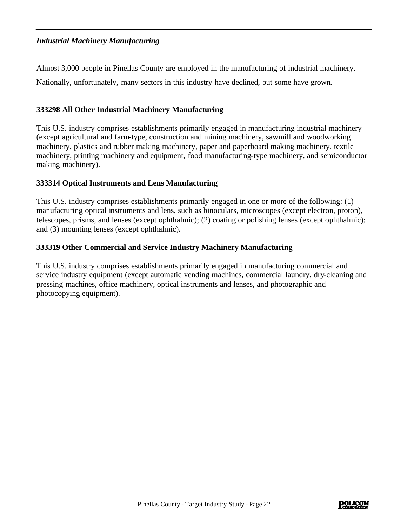## *Industrial Machinery Manufacturing*

Almost 3,000 people in Pinellas County are employed in the manufacturing of industrial machinery.

Nationally, unfortunately, many sectors in this industry have declined, but some have grown.

#### **333298 All Other Industrial Machinery Manufacturing**

This U.S. industry comprises establishments primarily engaged in manufacturing industrial machinery (except agricultural and farm-type, construction and mining machinery, sawmill and woodworking machinery, plastics and rubber making machinery, paper and paperboard making machinery, textile machinery, printing machinery and equipment, food manufacturing-type machinery, and semiconductor making machinery).

#### **333314 Optical Instruments and Lens Manufacturing**

This U.S. industry comprises establishments primarily engaged in one or more of the following: (1) manufacturing optical instruments and lens, such as binoculars, microscopes (except electron, proton), telescopes, prisms, and lenses (except ophthalmic); (2) coating or polishing lenses (except ophthalmic); and (3) mounting lenses (except ophthalmic).

#### **333319 Other Commercial and Service Industry Machinery Manufacturing**

This U.S. industry comprises establishments primarily engaged in manufacturing commercial and service industry equipment (except automatic vending machines, commercial laundry, dry-cleaning and pressing machines, office machinery, optical instruments and lenses, and photographic and photocopying equipment).

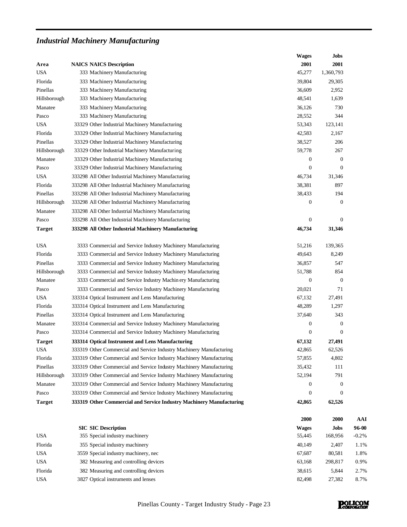# *Industrial Machinery Manufacturing*

|                      |                                                                                                                          | <b>Wages</b>           | Jobs                   |                  |
|----------------------|--------------------------------------------------------------------------------------------------------------------------|------------------------|------------------------|------------------|
| Area                 | <b>NAICS NAICS Description</b>                                                                                           | 2001                   | 2001                   |                  |
| USA                  | 333 Machinery Manufacturing                                                                                              | 45,277                 | 1,360,793              |                  |
| Florida              | 333 Machinery Manufacturing                                                                                              | 39,804                 | 29,305                 |                  |
| Pinellas             | 333 Machinery Manufacturing                                                                                              | 36,609                 | 2,952                  |                  |
| Hillsborough         | 333 Machinery Manufacturing                                                                                              | 48,541                 | 1,639                  |                  |
| Manatee              | 333 Machinery Manufacturing                                                                                              | 36,126                 | 730                    |                  |
| Pasco                | 333 Machinery Manufacturing                                                                                              | 28,552                 | 344                    |                  |
| USA                  | 33329 Other Industrial Machinery Manufacturing                                                                           | 53,343                 | 123,141                |                  |
| Florida              | 33329 Other Industrial Machinery Manufacturing                                                                           | 42,583                 | 2,167                  |                  |
| Pinellas             | 33329 Other Industrial Machinery Manufacturing                                                                           | 38,527                 | 206                    |                  |
| Hillsborough         | 33329 Other Industrial Machinery Manufacturing                                                                           | 59,778                 | 267                    |                  |
| Manatee              | 33329 Other Industrial Machinery Manufacturing                                                                           | 0                      | 0                      |                  |
| Pasco                | 33329 Other Industrial Machinery Manufacturing                                                                           | 0                      | $\boldsymbol{0}$       |                  |
| USA                  | 333298 All Other Industrial Machinery Manufacturing                                                                      | 46,734                 | 31,346                 |                  |
| Florida              | 333298 All Other Industrial Machinery Manufacturing                                                                      | 38,381                 | 897                    |                  |
| Pinellas             | 333298 All Other Industrial Machinery Manufacturing                                                                      | 38,433                 | 194                    |                  |
| Hillsborough         | 333298 All Other Industrial Machinery Manufacturing                                                                      | 0                      | $\boldsymbol{0}$       |                  |
| Manatee              | 333298 All Other Industrial Machinery Manufacturing                                                                      |                        |                        |                  |
| Pasco                | 333298 All Other Industrial Machinery Manufacturing                                                                      | 0                      | $\boldsymbol{0}$       |                  |
| <b>Target</b>        | 333298 All Other Industrial Machinery Manufacturing                                                                      | 46,734                 | 31,346                 |                  |
|                      |                                                                                                                          |                        |                        |                  |
| USA                  | 3333 Commercial and Service Industry Machinery Manufacturing                                                             | 51,216                 | 139,365                |                  |
| Florida              | 3333 Commercial and Service Industry Machinery Manufacturing                                                             | 49,643                 | 8,249                  |                  |
| Pinellas             | 3333 Commercial and Service Industry Machinery Manufacturing                                                             | 36,857                 | 547                    |                  |
| Hillsborough         | 3333 Commercial and Service Industry Machinery Manufacturing                                                             | 51,788                 | 854                    |                  |
| Manatee              | 3333 Commercial and Service Industry Machin ery Manufacturing                                                            | $\bf{0}$               | $\boldsymbol{0}$       |                  |
| Pasco                | 3333 Commercial and Service Industry Machinery Manufacturing                                                             | 20,021                 | 71                     |                  |
| USA                  | 333314 Optical Instrument and Lens Manufacturing                                                                         | 67,132                 | 27,491                 |                  |
| Florida              | 333314 Optical Instrument and Lens Manufacturing                                                                         | 48,289                 | 1,297                  |                  |
| Pinellas             | 333314 Optical Instrument and Lens Manufacturing                                                                         | 37,640                 | 343                    |                  |
| Manatee              | 333314 Commercial and Service Industry Machinery Manufacturing                                                           | 0                      | 0                      |                  |
| Pasco                | 333314 Commercial and Service Industry Machinery Manufacturing                                                           | 0                      | $\boldsymbol{0}$       |                  |
|                      |                                                                                                                          |                        |                        |                  |
| <b>Target</b><br>USA | 333314 Optical Instrument and Lens Manufacturing<br>333319 Other Commercial and Service Industry Machinery Manufacturing | 67,132<br>42,865       | 27,491<br>62,526       |                  |
| Florida              | 333319 Other Commercial and Service Industry Machinery Manufacturing                                                     | 57,855                 | 4,802                  |                  |
| Pinellas             | 333319 Other Commercial and Service Industry Machinery Manufacturing                                                     | 35,432                 | 111                    |                  |
| Hillsborough         | 333319 Other Commercial and Service Industry Machinery Manufacturing                                                     | 52,194                 | 791                    |                  |
| Manatee              |                                                                                                                          | 0                      | $\boldsymbol{0}$       |                  |
|                      | 333319 Other Commercial and Service Industry Machinery Manufacturing                                                     |                        |                        |                  |
| Pasco                | 333319 Other Commercial and Service Industry Machinery Manufacturing                                                     | 0                      | 0                      |                  |
| <b>Target</b>        | 333319 Other Commercial and Service Industry Machinery Manufacturing                                                     | 42,865                 | 62,526                 |                  |
|                      |                                                                                                                          |                        |                        |                  |
|                      |                                                                                                                          | 2000                   | <b>2000</b>            | AAI              |
| USA                  | <b>SIC SIC Description</b><br>355 Special industry machinery                                                             | <b>Wages</b><br>55,445 | <b>Jobs</b><br>168,956 | 96-00<br>$-0.2%$ |
|                      |                                                                                                                          |                        |                        |                  |
| Florida              | 355 Special industry machinery                                                                                           | 40,149                 | 2,407                  | 1.1%             |
| <b>USA</b>           | 3559 Special industry machinery, nec                                                                                     | 67,687                 | 80,581                 | 1.8%             |
| <b>USA</b>           | 382 Measuring and controlling devices                                                                                    | 63,168                 | 298,817                | 0.9%             |
| Florida              | 382 Measuring and controlling devices                                                                                    | 38,615                 | 5,844                  | 2.7%             |
| USA                  | 3827 Optical instruments and lenses                                                                                      | 82,498                 | 27,382                 | 8.7%             |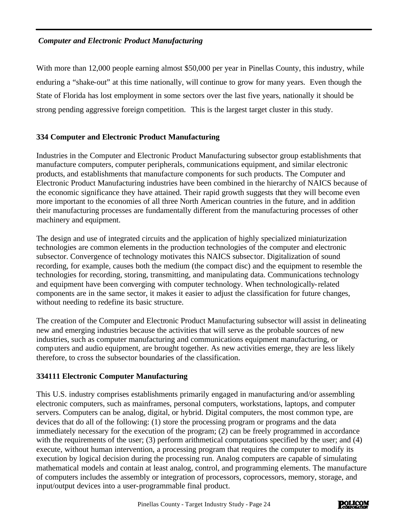# *Computer and Electronic Product Manufacturing*

With more than 12,000 people earning almost \$50,000 per year in Pinellas County, this industry, while enduring a "shake-out" at this time nationally, will continue to grow for many years. Even though the State of Florida has lost employment in some sectors over the last five years, nationally it should be strong pending aggressive foreign competition. This is the largest target cluster in this study.

# **334 Computer and Electronic Product Manufacturing**

Industries in the Computer and Electronic Product Manufacturing subsector group establishments that manufacture computers, computer peripherals, communications equipment, and similar electronic products, and establishments that manufacture components for such products. The Computer and Electronic Product Manufacturing industries have been combined in the hierarchy of NAICS because of the economic significance they have attained. Their rapid growth suggests that they will become even more important to the economies of all three North American countries in the future, and in addition their manufacturing processes are fundamentally different from the manufacturing processes of other machinery and equipment.

The design and use of integrated circuits and the application of highly specialized miniaturization technologies are common elements in the production technologies of the computer and electronic subsector. Convergence of technology motivates this NAICS subsector. Digitalization of sound recording, for example, causes both the medium (the compact disc) and the equipment to resemble the technologies for recording, storing, transmitting, and manipulating data. Communications technology and equipment have been converging with computer technology. When technologically-related components are in the same sector, it makes it easier to adjust the classification for future changes, without needing to redefine its basic structure.

The creation of the Computer and Electronic Product Manufacturing subsector will assist in delineating new and emerging industries because the activities that will serve as the probable sources of new industries, such as computer manufacturing and communications equipment manufacturing, or computers and audio equipment, are brought together. As new activities emerge, they are less likely therefore, to cross the subsector boundaries of the classification.

#### **334111 Electronic Computer Manufacturing**

This U.S. industry comprises establishments primarily engaged in manufacturing and/or assembling electronic computers, such as mainframes, personal computers, workstations, laptops, and computer servers. Computers can be analog, digital, or hybrid. Digital computers, the most common type, are devices that do all of the following: (1) store the processing program or programs and the data immediately necessary for the execution of the program; (2) can be freely programmed in accordance with the requirements of the user; (3) perform arithmetical computations specified by the user; and (4) execute, without human intervention, a processing program that requires the computer to modify its execution by logical decision during the processing run. Analog computers are capable of simulating mathematical models and contain at least analog, control, and programming elements. The manufacture of computers includes the assembly or integration of processors, coprocessors, memory, storage, and input/output devices into a user-programmable final product.

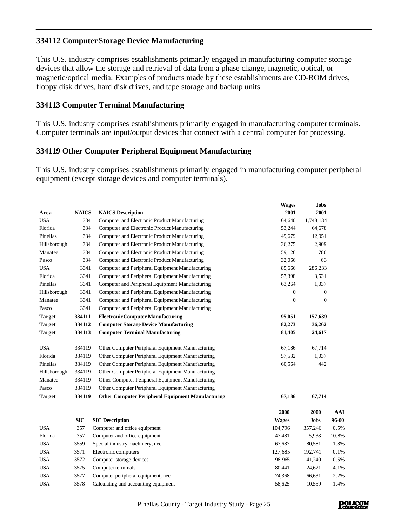#### **334112 Computer Storage Device Manufacturing**

This U.S. industry comprises establishments primarily engaged in manufacturing computer storage devices that allow the storage and retrieval of data from a phase change, magnetic, optical, or magnetic/optical media. Examples of products made by these establishments are CD-ROM drives, floppy disk drives, hard disk drives, and tape storage and backup units.

#### **334113 Computer Terminal Manufacturing**

This U.S. industry comprises establishments primarily engaged in manufacturing computer terminals. Computer terminals are input/output devices that connect with a central computer for processing.

#### **334119 Other Computer Peripheral Equipment Manufacturing**

This U.S. industry comprises establishments primarily engaged in manufacturing computer peripheral equipment (except storage devices and computer terminals).

|               |              |                                                          | <b>Wages</b> | Jobs        |              |
|---------------|--------------|----------------------------------------------------------|--------------|-------------|--------------|
| Area          | <b>NAICS</b> | <b>NAICS Description</b>                                 | 2001         | 2001        |              |
| <b>USA</b>    | 334          | Computer and Electronic Product Manufacturing            | 64,640       | 1,748,134   |              |
| Florida       | 334          | Computer and Electronic Product Manufacturing            | 53,244       | 64,678      |              |
| Pinellas      | 334          | Computer and Electronic Product Manufacturing            | 49,679       | 12,951      |              |
| Hillsborough  | 334          | Computer and Electronic Product Manufacturing            | 36,275       | 2,909       |              |
| Manatee       | 334          | Computer and Electronic Product Manufacturing            | 59,126       | 780         |              |
| Pasco         | 334          | Computer and Electronic Product Manufacturing            | 32,066       | 63          |              |
| <b>USA</b>    | 3341         | Computer and Peripheral Equipment Manufacturing          | 85,666       | 286,233     |              |
| Florida       | 3341         | Computer and Peripheral Equipment Manufacturing          | 57,398       | 3,531       |              |
| Pinellas      | 3341         | Computer and Peripheral Equipment Manufacturing          | 63,264       | 1,037       |              |
| Hillsborough  | 3341         | Computer and Peripheral Equipment Manufacturing          | $\mathbf{0}$ |             | $\mathbf{0}$ |
| Manatee       | 3341         | Computer and Peripheral Equipment Manufacturing          | $\mathbf{0}$ |             | $\bf{0}$     |
| Pasco         | 3341         | Computer and Peripheral Equipment Manufacturing          |              |             |              |
| <b>Target</b> | 334111       | <b>Electronic Computer Manufacturing</b>                 | 95,051       | 157,639     |              |
| <b>Target</b> | 334112       | <b>Computer Storage Device Manufacturing</b>             | 82,273       | 36,262      |              |
| <b>Target</b> | 334113       | <b>Computer Terminal Manufacturing</b>                   | 81,405       | 24,617      |              |
| <b>USA</b>    | 334119       | Other Computer Peripheral Equipment Manufacturing        | 67,186       | 67,714      |              |
| Florida       | 334119       | Other Computer Peripheral Equipment Manufacturing        | 57,532       | 1,037       |              |
| Pinellas      | 334119       | Other Computer Peripheral Equipment Manufacturing        | 60,564       | 442         |              |
| Hillsborough  | 334119       | Other Computer Peripheral Equipment Manufacturing        |              |             |              |
| Manatee       | 334119       | Other Computer Peripheral Equipment Manufacturing        |              |             |              |
| Pasco         | 334119       | Other Computer Peripheral Equipment Manufacturing        |              |             |              |
| <b>Target</b> | 334119       | <b>Other Computer Peripheral Equipment Manufacturing</b> | 67,186       | 67,714      |              |
|               |              |                                                          | 2000         | 2000        | AAI          |
|               | <b>SIC</b>   | <b>SIC</b> Description                                   | <b>Wages</b> | <b>Jobs</b> | 96-00        |
| <b>USA</b>    | 357          | Computer and office equipment                            | 104,796      | 357,246     | 0.5%         |
| Florida       | 357          | Computer and office equipment                            | 47,481       | 5,938       | $-10.8%$     |
| <b>USA</b>    | 3559         | Special industry machinery, nec                          | 67,687       | 80,581      | 1.8%         |
| <b>USA</b>    | 3571         | Electronic computers                                     | 127,685      | 192,741     | 0.1%         |
| <b>USA</b>    | 3572         | Computer storage devices                                 | 98,965       | 41,240      | 0.5%         |
| <b>USA</b>    | 3575         | Computer terminals                                       | 80,441       | 24,621      | 4.1%         |
| <b>USA</b>    | 3577         | Computer peripheral equipment, nec                       | 74,368       | 66,631      | 2.2%         |
| <b>USA</b>    | 3578         | Calculating and accounting equipment                     | 58,625       | 10,559      | 1.4%         |

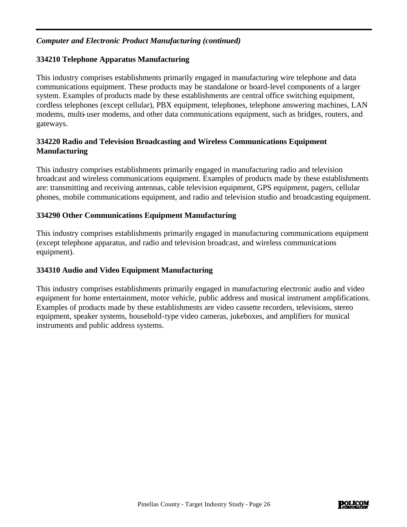# **334210 Telephone Apparatus Manufacturing**

This industry comprises establishments primarily engaged in manufacturing wire telephone and data communications equipment. These products may be standalone or board-level components of a larger system. Examples of products made by these establishments are central office switching equipment, cordless telephones (except cellular), PBX equipment, telephones, telephone answering machines, LAN modems, multi-user modems, and other data communications equipment, such as bridges, routers, and gateways.

# **334220 Radio and Television Broadcasting and Wireless Communications Equipment Manufacturing**

This industry comprises establishments primarily engaged in manufacturing radio and television broadcast and wireless communications equipment. Examples of products made by these establishments are: transmitting and receiving antennas, cable television equipment, GPS equipment, pagers, cellular phones, mobile communications equipment, and radio and television studio and broadcasting equipment.

# **334290 Other Communications Equipment Manufacturing**

This industry comprises establishments primarily engaged in manufacturing communications equipment (except telephone apparatus, and radio and television broadcast, and wireless communications equipment).

# **334310 Audio and Video Equipment Manufacturing**

This industry comprises establishments primarily engaged in manufacturing electronic audio and video equipment for home entertainment, motor vehicle, public address and musical instrument amplifications. Examples of products made by these establishments are video cassette recorders, televisions, stereo equipment, speaker systems, household-type video cameras, jukeboxes, and amplifiers for musical instruments and public address systems.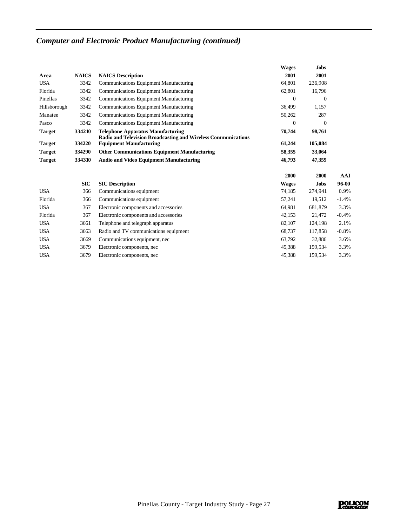|               |              |                                                                                                        | <b>Wages</b> | <b>Jobs</b> |                                 |
|---------------|--------------|--------------------------------------------------------------------------------------------------------|--------------|-------------|---------------------------------|
| Area          | <b>NAICS</b> | <b>NAICS</b> Description                                                                               | 2001         | 2001        |                                 |
| <b>USA</b>    | 3342         | <b>Communications Equipment Manufacturing</b>                                                          | 64,801       | 236,908     |                                 |
| Florida       | 3342         | <b>Communications Equipment Manufacturing</b>                                                          | 62,801       | 16,796      |                                 |
| Pinellas      | 3342         | <b>Communications Equipment Manufacturing</b>                                                          | $\Omega$     | $\theta$    |                                 |
| Hillsborough  | 3342         | <b>Communications Equipment Manufacturing</b>                                                          | 36,499       | 1,157       |                                 |
| Manatee       | 3342         | <b>Communications Equipment Manufacturing</b>                                                          | 50,262       | 287         |                                 |
| Pasco         | 3342         | <b>Communications Equipment Manufacturing</b>                                                          | 0            | $\Omega$    |                                 |
| <b>Target</b> | 334210       | <b>Telephone Apparatus Manufacturing</b>                                                               | 70,744       | 98,761      |                                 |
| <b>Target</b> | 334220       | <b>Radio and Television Broadcasting and Wireless Communications</b><br><b>Equipment Manufacturing</b> | 61,244       | 105,084     |                                 |
| <b>Target</b> | 334290       | <b>Other Communications Equipment Manufacturing</b>                                                    | 58,355       | 33,064      |                                 |
| <b>Target</b> | 334310       | <b>Audio and Video Equipment Manufacturing</b>                                                         | 46,793       | 47,359      |                                 |
|               |              |                                                                                                        | <b>2000</b>  | 2000        | AAI                             |
|               | SIC          | <b>SIC</b> Description                                                                                 | <b>Wages</b> | Jobs        | 96-00                           |
| T TC A        | 266          | Communications coverant                                                                                | 74 195       | 274.041     | $\Omega$ $\Omega$ <sub>04</sub> |

| <b>USA</b> | 366  | Communications equipment              | 74,185 | 274,941 | 0.9%     |
|------------|------|---------------------------------------|--------|---------|----------|
| Florida    | 366  | Communications equipment              | 57,241 | 19,512  | $-1.4%$  |
| <b>USA</b> | 367  | Electronic components and accessories | 64,981 | 681,879 | 3.3%     |
| Florida    | 367  | Electronic components and accessories | 42,153 | 21,472  | $-0.4\%$ |
| <b>USA</b> | 3661 | Telephone and telegraph apparatus     | 82,107 | 124,198 | 2.1%     |
| <b>USA</b> | 3663 | Radio and TV communications equipment | 68,737 | 117,858 | $-0.8\%$ |
| <b>USA</b> | 3669 | Communications equipment, nec         | 63,792 | 32,886  | 3.6%     |
| <b>USA</b> | 3679 | Electronic components, nec            | 45,388 | 159,534 | 3.3%     |
| <b>USA</b> | 3679 | Electronic components, nec            | 45,388 | 159.534 | 3.3%     |

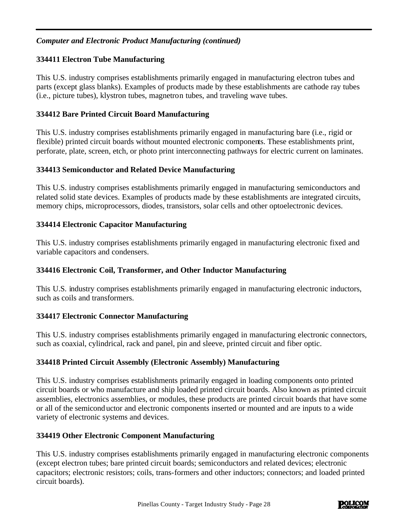# **334411 Electron Tube Manufacturing**

This U.S. industry comprises establishments primarily engaged in manufacturing electron tubes and parts (except glass blanks). Examples of products made by these establishments are cathode ray tubes (i.e., picture tubes), klystron tubes, magnetron tubes, and traveling wave tubes.

# **334412 Bare Printed Circuit Board Manufacturing**

This U.S. industry comprises establishments primarily engaged in manufacturing bare (i.e., rigid or flexible) printed circuit boards without mounted electronic components. These establishments print, perforate, plate, screen, etch, or photo print interconnecting pathways for electric current on laminates.

#### **334413 Semiconductor and Related Device Manufacturing**

This U.S. industry comprises establishments primarily engaged in manufacturing semiconductors and related solid state devices. Examples of products made by these establishments are integrated circuits, memory chips, microprocessors, diodes, transistors, solar cells and other optoelectronic devices.

# **334414 Electronic Capacitor Manufacturing**

This U.S. industry comprises establishments primarily engaged in manufacturing electronic fixed and variable capacitors and condensers.

# **334416 Electronic Coil, Transformer, and Other Inductor Manufacturing**

This U.S. industry comprises establishments primarily engaged in manufacturing electronic inductors, such as coils and transformers.

# **334417 Electronic Connector Manufacturing**

This U.S. industry comprises establishments primarily engaged in manufacturing electronic connectors, such as coaxial, cylindrical, rack and panel, pin and sleeve, printed circuit and fiber optic.

# **334418 Printed Circuit Assembly (Electronic Assembly) Manufacturing**

This U.S. industry comprises establishments primarily engaged in loading components onto printed circuit boards or who manufacture and ship loaded printed circuit boards. Also known as printed circuit assemblies, electronics assemblies, or modules, these products are printed circuit boards that have some or all of the semiconductor and electronic components inserted or mounted and are inputs to a wide variety of electronic systems and devices.

#### **334419 Other Electronic Component Manufacturing**

This U.S. industry comprises establishments primarily engaged in manufacturing electronic components (except electron tubes; bare printed circuit boards; semiconductors and related devices; electronic capacitors; electronic resistors; coils, trans-formers and other inductors; connectors; and loaded printed circuit boards).

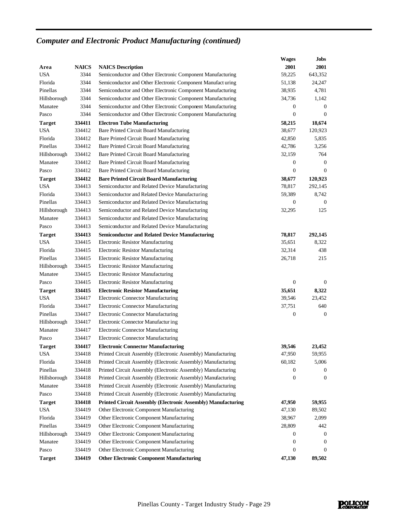|               |              |                                                                     | <b>Wages</b>     | Jobs           |
|---------------|--------------|---------------------------------------------------------------------|------------------|----------------|
| Area          | <b>NAICS</b> | <b>NAICS Description</b>                                            | 2001             | 2001           |
| <b>USA</b>    | 3344         | Semiconductor and Other Electronic Component Manufacturing          | 59,225           | 643,352        |
| Florida       | 3344         | Semiconductor and Other Electronic Component Manufact uring         | 51,138           | 24,247         |
| Pinellas      | 3344         | Semiconductor and Other Electronic Component Manufacturing          | 38,935           | 4,781          |
| Hillsborough  | 3344         | Semiconductor and Other Electronic Component Manufacturing          | 34,736           | 1,142          |
| Manatee       | 3344         | Semiconductor and Other Electronic Component Manufacturing          | $\mathbf{0}$     | $\overline{0}$ |
| Pasco         | 3344         | Semiconductor and Other Electronic Component Manufacturing          | $\mathbf{0}$     | $\mathbf{0}$   |
| <b>Target</b> | 334411       | <b>Electron Tube Manufacturing</b>                                  | 58,215           | 18,674         |
| <b>USA</b>    | 334412       | Bare Printed Circuit Board Manufacturing                            | 38,677           | 120,923        |
| Florida       | 334412       | Bare Printed Circuit Board Manufacturing                            | 42,850           | 5,835          |
| Pinellas      | 334412       | Bare Printed Circuit Board Manufacturing                            | 42,786           | 3,256          |
| Hillsborough  | 334412       | Bare Printed Circuit Board Manufacturing                            | 32,159           | 764            |
| Manatee       | 334412       | Bare Printed Circuit Board Manufacturing                            | $\mathbf{0}$     | $\overline{0}$ |
| Pasco         | 334412       | Bare Printed Circuit Board Manufacturing                            | $\mathbf{0}$     | $\mathbf{0}$   |
| <b>Target</b> | 334412       | <b>Bare Printed Circuit Board Manufacturing</b>                     | 38,677           | 120,923        |
| <b>USA</b>    | 334413       | Semiconductor and Related Device Manufacturing                      | 78,817           | 292,145        |
| Florida       | 334413       | Semiconductor and Related Device Manufacturing                      | 59,389           | 8,742          |
| Pinellas      | 334413       | Semiconductor and Related Device Manufacturing                      | $\bf{0}$         | $\bf{0}$       |
| Hillsborough  | 334413       | Semiconductor and Related Device Manufacturing                      | 32,295           | 125            |
| Manatee       | 334413       | Semiconductor and Related Device Manufacturing                      |                  |                |
| Pasco         | 334413       | Semiconductor and Related Device Manufacturing                      |                  |                |
| <b>Target</b> | 334413       | <b>Semiconductor and Related Device Manufacturing</b>               | 78,817           | 292,145        |
| <b>USA</b>    | 334415       | <b>Electronic Resistor Manufacturing</b>                            | 35,651           | 8,322          |
| Florida       | 334415       | <b>Electronic Resistor Manufacturing</b>                            | 32,314           | 438            |
| Pinellas      | 334415       | <b>Electronic Resistor Manufacturing</b>                            | 26,718           | 215            |
| Hillsborough  | 334415       | <b>Electronic Resistor Manufacturing</b>                            |                  |                |
| Manatee       | 334415       | <b>Electronic Resistor Manufacturing</b>                            |                  |                |
| Pasco         | 334415       | <b>Electronic Resistor Manufacturing</b>                            | $\boldsymbol{0}$ | $\mathbf{0}$   |
| <b>Target</b> | 334415       | <b>Electronic Resistor Manufacturing</b>                            | 35,651           | 8,322          |
| <b>USA</b>    | 334417       | <b>Electronic Connector Manufacturing</b>                           | 39,546           | 23,452         |
| Florida       | 334417       | <b>Electronic Connector Manufacturing</b>                           | 37,751           | 640            |
| Pinellas      | 334417       | <b>Electronic Connector Manufacturing</b>                           | $\mathbf{0}$     | $\overline{0}$ |
| Hillsborough  | 334417       | Electronic Connector Manufactur ing                                 |                  |                |
| Manatee       | 334417       | <b>Electronic Connector Manufacturing</b>                           |                  |                |
|               | 334417       |                                                                     |                  |                |
| Pasco         |              | <b>Electronic Connector Manufacturing</b>                           |                  |                |
| <b>Target</b> | 334417       | <b>Electronic Connector Manufacturing</b>                           | 39,546           | 23,452         |
| USA           | 334418       | Printed Circuit Assembly (Electronic Assembly) Manufacturing        | 47,950           | 59,955         |
| Florida       | 334418       | Printed Circuit Assembly (Electronic Assembly) Manufacturing        | 60,182           | 5,006          |
| Pinellas      | 334418       | Printed Circuit Assembly (Electronic Assembly) Manufacturing        | 0                | $\overline{0}$ |
| Hillsborough  | 334418       | Printed Circuit Assembly (Electronic Assembly) Manufacturing        | $\mathbf{0}$     | 0              |
| Manatee       | 334418       | Printed Circuit Assembly (Electronic Assembly) Manufacturing        |                  |                |
| Pasco         | 334418       | Printed Circuit Assembly (Electronic Assembly) Manufacturing        |                  |                |
| <b>Target</b> | 334418       | <b>Printed Circuit Assembly (Electronic Assembly) Manufacturing</b> | 47,950           | 59,955         |
| USA           | 334419       | Other Electronic Component Manufacturing                            | 47,130           | 89,502         |
| Florida       | 334419       | Other Electronic Component Manufacturing                            | 38,967           | 2,099          |
| Pinellas      | 334419       | Other Electronic Component Manufacturing                            | 28,809           | 442            |
| Hillsborough  | 334419       | Other Electronic Component Manufacturing                            | $\boldsymbol{0}$ | $\overline{0}$ |
| Manatee       | 334419       | Other Electronic Component Manufacturing                            | $\bf{0}$         | 0              |
| Pasco         | 334419       | Other Electronic Component Manufacturing                            | $\bf{0}$         | 0              |
| <b>Target</b> | 334419       | <b>Other Electronic Component Manufacturing</b>                     | 47,130           | 89,502         |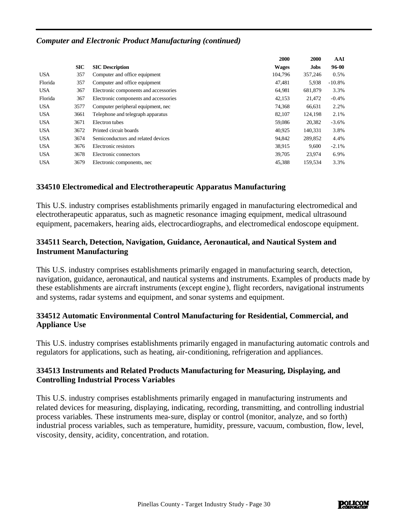|            |            |                                       | 2000         | 2000        | AAI      |
|------------|------------|---------------------------------------|--------------|-------------|----------|
|            | <b>SIC</b> | <b>SIC</b> Description                | <b>Wages</b> | <b>Jobs</b> | 96-00    |
| <b>USA</b> | 357        | Computer and office equipment         | 104,796      | 357,246     | 0.5%     |
| Florida    | 357        | Computer and office equipment         | 47,481       | 5,938       | $-10.8%$ |
| <b>USA</b> | 367        | Electronic components and accessories | 64,981       | 681,879     | 3.3%     |
| Florida    | 367        | Electronic components and accessories | 42,153       | 21,472      | $-0.4\%$ |
| <b>USA</b> | 3577       | Computer peripheral equipment, nec    | 74,368       | 66,631      | 2.2%     |
| <b>USA</b> | 3661       | Telephone and telegraph apparatus     | 82,107       | 124,198     | 2.1%     |
| <b>USA</b> | 3671       | Electron tubes                        | 59,086       | 20,382      | $-3.6%$  |
| <b>USA</b> | 3672       | Printed circuit boards                | 40,925       | 140,331     | 3.8%     |
| <b>USA</b> | 3674       | Semiconductors and related devices    | 94,842       | 289,852     | 4.4%     |
| <b>USA</b> | 3676       | Electronic resistors                  | 38,915       | 9,600       | $-2.1%$  |
| <b>USA</b> | 3678       | Electronic connectors                 | 39,705       | 23,974      | 6.9%     |
| <b>USA</b> | 3679       | Electronic components, nec            | 45,388       | 159,534     | 3.3%     |

#### **334510 Electromedical and Electrotherapeutic Apparatus Manufacturing**

This U.S. industry comprises establishments primarily engaged in manufacturing electromedical and electrotherapeutic apparatus, such as magnetic resonance imaging equipment, medical ultrasound equipment, pacemakers, hearing aids, electrocardiographs, and electromedical endoscope equipment.

## **334511 Search, Detection, Navigation, Guidance, Aeronautical, and Nautical System and Instrument Manufacturing**

This U.S. industry comprises establishments primarily engaged in manufacturing search, detection, navigation, guidance, aeronautical, and nautical systems and instruments. Examples of products made by these establishments are aircraft instruments (except engine ), flight recorders, navigational instruments and systems, radar systems and equipment, and sonar systems and equipment.

#### **334512 Automatic Environmental Control Manufacturing for Residential, Commercial, and Appliance Use**

This U.S. industry comprises establishments primarily engaged in manufacturing automatic controls and regulators for applications, such as heating, air-conditioning, refrigeration and appliances.

#### **334513 Instruments and Related Products Manufacturing for Measuring, Displaying, and Controlling Industrial Process Variables**

This U.S. industry comprises establishments primarily engaged in manufacturing instruments and related devices for measuring, displaying, indicating, recording, transmitting, and controlling industrial process variables. These instruments mea-sure, display or control (monitor, analyze, and so forth) industrial process variables, such as temperature, humidity, pressure, vacuum, combustion, flow, level, viscosity, density, acidity, concentration, and rotation.

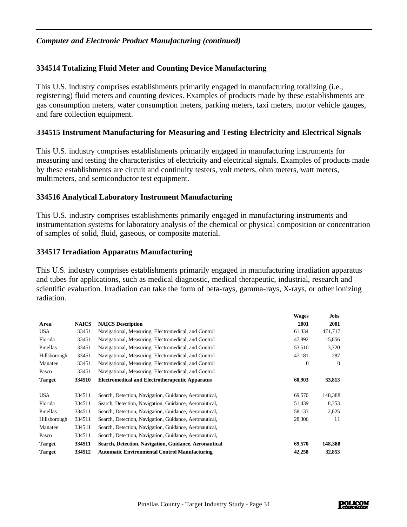#### **334514 Totalizing Fluid Meter and Counting Device Manufacturing**

This U.S. industry comprises establishments primarily engaged in manufacturing totalizing (i.e., registering) fluid meters and counting devices. Examples of products made by these establishments are gas consumption meters, water consumption meters, parking meters, taxi meters, motor vehicle gauges, and fare collection equipment.

#### **334515 Instrument Manufacturing for Measuring and Testing Electricity and Electrical Signals**

This U.S. industry comprises establishments primarily engaged in manufacturing instruments for measuring and testing the characteristics of electricity and electrical signals. Examples of products made by these establishments are circuit and continuity testers, volt meters, ohm meters, watt meters, multimeters, and semiconductor test equipment.

#### **334516 Analytical Laboratory Instrument Manufacturing**

This U.S. industry comprises establishments primarily engaged in manufacturing instruments and instrumentation systems for laboratory analysis of the chemical or physical composition or concentration of samples of solid, fluid, gaseous, or composite material.

#### **334517 Irradiation Apparatus Manufacturing**

This U.S. industry comprises establishments primarily engaged in manufacturing irradiation apparatus and tubes for applications, such as medical diagnostic, medical therapeutic, industrial, research and scientific evaluation. Irradiation can take the form of beta-rays, gamma-rays, X-rays, or other ionizing radiation.

|               |              |                                                        | <b>Wages</b> | <b>Jobs</b>  |
|---------------|--------------|--------------------------------------------------------|--------------|--------------|
| Area          | <b>NAICS</b> | <b>NAICS</b> Description                               | 2001         | 2001         |
| <b>USA</b>    | 33451        | Navigational, Measuring, Electromedical, and Control   | 61,334       | 471,717      |
| Florida       | 33451        | Navigational, Measuring, Electromedical, and Control   | 47,892       | 15,856       |
| Pinellas      | 33451        | Navigational, Measuring, Electromedical, and Control   | 53,510       | 3,720        |
| Hillsborough  | 33451        | Navigational, Measuring, Electromedical, and Control   | 47,181       | 287          |
| Manatee       | 33451        | Navigational, Measuring, Electromedical, and Control   | $\mathbf{0}$ | $\mathbf{0}$ |
| Pasco         | 33451        | Navigational, Measuring, Electromedical, and Control   |              |              |
| <b>Target</b> | 334510       | <b>Electromedical and Electrotherapeutic Apparatus</b> | 60,903       | 53,813       |
|               |              |                                                        |              |              |
| <b>USA</b>    | 334511       | Search, Detection, Navigation, Guidance, Aeronautical, | 69,570       | 148,388      |
| Florida       | 334511       | Search, Detection, Navigation, Guidance, Aeronautical, | 51,439       | 8,353        |
| Pinellas      | 334511       | Search, Detection, Navigation, Guidance, Aeronautical, | 58,133       | 2,625        |
| Hillsborough  | 334511       | Search, Detection, Navigation, Guidance, Aeronautical, | 28,306       | 11           |
| Manatee       | 334511       | Search, Detection, Navigation, Guidance, Aeronautical, |              |              |
| Pasco         | 334511       | Search, Detection, Navigation, Guidance, Aeronautical, |              |              |
| <b>Target</b> | 334511       | Search, Detection, Navigation, Guidance, Aeronautical  | 69,570       | 148,388      |
| <b>Target</b> | 334512       | <b>Automatic Environmental Control Manufacturing</b>   | 42,258       | 32,853       |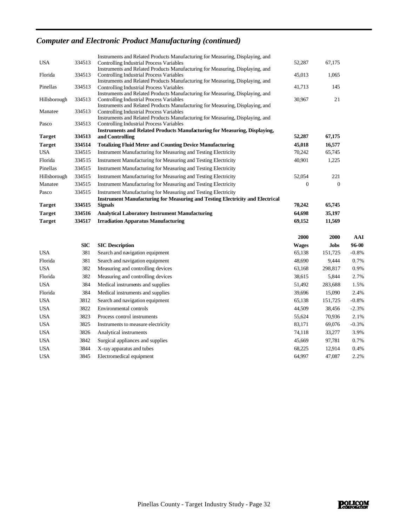|               |            | Instruments and Related Products Manufacturing for Measuring, Displaying, and                                                |                  |                  |         |
|---------------|------------|------------------------------------------------------------------------------------------------------------------------------|------------------|------------------|---------|
| <b>USA</b>    | 334513     | <b>Controlling Industrial Process Variables</b>                                                                              | 52,287           | 67,175           |         |
| Florida       | 334513     | Instruments and Related Products Manufacturing for Measuring, Displaying, and<br>Controlling Industrial Process Variables    | 45,013           | 1,065            |         |
|               |            | Instruments and Related Products Manufacturing for Measuring, Displaying, and                                                |                  |                  |         |
| Pinellas      | 334513     | <b>Controlling Industrial Process Variables</b>                                                                              | 41,713           | 145              |         |
| Hillsborough  | 334513     | Instruments and Related Products Manufacturing for Measuring, Displaying, and<br>Controlling Industrial Process Variables    | 30,967           | 21               |         |
|               |            | Instruments and Related Products Manufacturing for Measuring, Displaying, and                                                |                  |                  |         |
| Manatee       | 334513     | Controlling Industrial Process Variables                                                                                     |                  |                  |         |
|               |            | Instruments and Related Products Manufacturing for Measuring, Displaying, and                                                |                  |                  |         |
| Pasco         | 334513     | Controlling Industrial Process Variables<br><b>Instruments and Related Products Manufacturing for Measuring, Displaying,</b> |                  |                  |         |
| <b>Target</b> | 334513     | and Controlling                                                                                                              | 52,287           | 67,175           |         |
| <b>Target</b> | 334514     | <b>Totalizing Fluid Meter and Counting Device Manufacturing</b>                                                              | 45,018           | 16,577           |         |
| <b>USA</b>    | 334515     | Instrument Manufacturing for Measuring and Testing Electricity                                                               | 70,242           | 65,745           |         |
| Florida       | 334515     | Instrument Manufacturing for Measuring and Testing Electricity                                                               | 40,901           | 1,225            |         |
| Pinellas      | 334515     | Instrument Manufacturing for Measuring and Testing Electricity                                                               |                  |                  |         |
| Hillsborough  | 334515     | Instrument Manufacturing for Measuring and Testing Electricity                                                               | 52,054           | 221              |         |
| Manatee       | 334515     | Instrument Manufacturing for Measuring and Testing Electricity                                                               | $\boldsymbol{0}$ | $\boldsymbol{0}$ |         |
| Pasco         | 334515     | Instrument Manufacturing for Measuring and Testing Electricity                                                               |                  |                  |         |
|               |            | <b>Instrument Manufacturing for Measuring and Testing Electricity and Electrical</b>                                         |                  |                  |         |
| <b>Target</b> | 334515     | <b>Signals</b>                                                                                                               | 70,242           | 65,745           |         |
| <b>Target</b> | 334516     | <b>Analytical Laboratory Instrument Manufacturing</b>                                                                        | 64,698           | 35,197           |         |
| <b>Target</b> | 334517     | <b>Irradiation Apparatus Manufacturing</b>                                                                                   | 69,152           | 11,569           |         |
|               |            |                                                                                                                              | 2000             | 2000             | AAI     |
|               | <b>SIC</b> | <b>SIC Description</b>                                                                                                       | <b>Wages</b>     | <b>Jobs</b>      | 96-00   |
| <b>USA</b>    | 381        | Search and navigation equipment                                                                                              | 65,138           | 151,725          | $-0.8%$ |
| Florida       | 381        | Search and navigation equipment                                                                                              | 48,690           | 9,444            | 0.7%    |
| <b>USA</b>    | 382        | Measuring and controlling devices                                                                                            | 63,168           | 298,817          | 0.9%    |
| Florida       | 382        | Measuring and controlling devices                                                                                            | 38,615           | 5,844            | 2.7%    |
| <b>USA</b>    | 384        | Medical instruments and supplies                                                                                             | 51,492           | 283,688          | 1.5%    |
| Florida       | 384        | Medical instruments and supplies                                                                                             | 39,696           | 15,090           | 2.4%    |
| <b>USA</b>    | 3812       | Search and navigation equipment                                                                                              | 65,138           | 151,725          | $-0.8%$ |
| <b>USA</b>    | 3822       | Environmental controls                                                                                                       | 44,509           | 38,456           | $-2.3%$ |
| <b>USA</b>    | 3823       | Process control instruments                                                                                                  | 55,624           | 70,936           | 2.1%    |
| <b>USA</b>    | 3825       | Instruments to measure electricity                                                                                           | 83,171           | 69,076           | $-0.3%$ |
| <b>USA</b>    | 3826       | Analytical instruments                                                                                                       | 74,118           | 33,277           | 3.9%    |
| <b>USA</b>    | 3842       | Surgical appliances and supplies                                                                                             | 45,669           | 97,781           | 0.7%    |
| <b>USA</b>    | 3844       | X-ray apparatus and tubes                                                                                                    | 68,225           | 12,914           | 0.4%    |
| <b>USA</b>    | 3845       | Electromedical equipment                                                                                                     | 64.997           | 47,087           | 2.2%    |

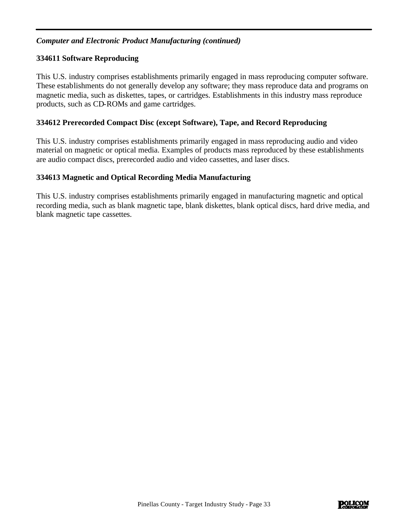#### **334611 Software Reproducing**

This U.S. industry comprises establishments primarily engaged in mass reproducing computer software. These establishments do not generally develop any software; they mass reproduce data and programs on magnetic media, such as diskettes, tapes, or cartridges. Establishments in this industry mass reproduce products, such as CD-ROMs and game cartridges.

#### **334612 Prerecorded Compact Disc (except Software), Tape, and Record Reproducing**

This U.S. industry comprises establishments primarily engaged in mass reproducing audio and video material on magnetic or optical media. Examples of products mass reproduced by these establishments are audio compact discs, prerecorded audio and video cassettes, and laser discs.

#### **334613 Magnetic and Optical Recording Media Manufacturing**

This U.S. industry comprises establishments primarily engaged in manufacturing magnetic and optical recording media, such as blank magnetic tape, blank diskettes, blank optical discs, hard drive media, and blank magnetic tape cassettes.

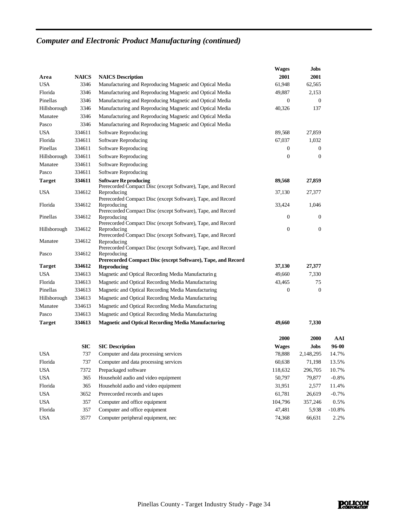|               |              |                                                                             | <b>Wages</b>     | Jobs             |          |
|---------------|--------------|-----------------------------------------------------------------------------|------------------|------------------|----------|
| Area          | <b>NAICS</b> | <b>NAICS Description</b>                                                    | 2001             | 2001             |          |
| <b>USA</b>    | 3346         | Manufacturing and Reproducing Magnetic and Optical Media                    | 61,948           | 62,565           |          |
| Florida       | 3346         | Manufacturing and Reproducing Magnetic and Optical Media                    | 49,887           | 2,153            |          |
| Pinellas      | 3346         | Manufacturing and Reproducing Magnetic and Optical Media                    | $\mathbf{0}$     | $\boldsymbol{0}$ |          |
| Hillsborough  | 3346         | Manufacturing and Reproducing Magnetic and Optical Media                    | 40,326           | 137              |          |
| Manatee       | 3346         | Manufacturing and Reproducing Magnetic and Optical Media                    |                  |                  |          |
| Pasco         | 3346         | Manufacturing and Reproducing Magnetic and Optical Media                    |                  |                  |          |
| <b>USA</b>    | 334611       | Software Reproducing                                                        | 89,568           | 27,859           |          |
| Florida       | 334611       | Software Reproducing                                                        | 67,037           | 1,032            |          |
| Pinellas      | 334611       | Software Reproducing                                                        | $\overline{0}$   | 0                |          |
| Hillsborough  | 334611       | Software Reproducing                                                        | $\mathbf{0}$     | $\boldsymbol{0}$ |          |
| Manatee       | 334611       | Software Reproducing                                                        |                  |                  |          |
| Pasco         | 334611       | Software Reproducing                                                        |                  |                  |          |
| <b>Target</b> | 334611       | <b>Software Re producing</b>                                                | 89,568           | 27,859           |          |
|               |              | Prerecorded Compact Disc (except Software), Tape, and Record                |                  |                  |          |
| <b>USA</b>    | 334612       | Reproducing                                                                 | 37,130           | 27,377           |          |
| Florida       | 334612       | Prerecorded Compact Disc (except Software), Tape, and Record<br>Reproducing | 33,424           | 1,046            |          |
|               |              | Prerecorded Compact Disc (except Software), Tape, and Record                |                  |                  |          |
| Pinellas      | 334612       | Reproducing                                                                 | $\boldsymbol{0}$ | 0                |          |
| Hillsborough  | 334612       | Prerecorded Compact Disc (except Software), Tape, and Record<br>Reproducing | $\boldsymbol{0}$ | $\boldsymbol{0}$ |          |
|               |              | Prerecorded Compact Disc (except Software), Tape, and Record                |                  |                  |          |
| Manatee       | 334612       | Reproducing                                                                 |                  |                  |          |
|               |              | Prerecorded Compact Disc (except Software), Tape, and Record                |                  |                  |          |
| Pasco         | 334612       | Reproducing<br>Prerecorded Compact Disc (except Software), Tape, and Record |                  |                  |          |
| <b>Target</b> | 334612       | Reproducing                                                                 | 37,130           | 27,377           |          |
| <b>USA</b>    | 334613       | Magnetic and Optical Recording Media Manufacturin g                         | 49,660           | 7,330            |          |
| Florida       | 334613       | Magnetic and Optical Recording Media Manufacturing                          | 43,465           | 75               |          |
| Pinellas      | 334613       | Magnetic and Optical Recording Media Manufacturing                          | $\boldsymbol{0}$ | $\boldsymbol{0}$ |          |
| Hillsborough  | 334613       | Magnetic and Optical Recording Media Manufacturing                          |                  |                  |          |
| Manatee       | 334613       | Magnetic and Optical Recording Media Manufacturing                          |                  |                  |          |
| Pasco         | 334613       | Magnetic and Optical Recording Media Manufacturing                          |                  |                  |          |
| Target        | 334613       | <b>Magnetic and Optical Recording Media Manufacturing</b>                   | 49,660           | 7,330            |          |
|               |              |                                                                             | <b>2000</b>      | 2000             | AAI      |
|               | <b>SIC</b>   | <b>SIC</b> Description                                                      | <b>Wages</b>     | <b>Jobs</b>      | 96-00    |
| <b>USA</b>    | 737          | Computer and data processing services                                       | 78,888           | 2,148,295        | 14.7%    |
| Florida       | 737          | Computer and data processing services                                       | 60,638           | 71,198           | 13.5%    |
| <b>USA</b>    | 7372         | Prepackaged software                                                        | 118,632          | 296,705          | 10.7%    |
| <b>USA</b>    | 365          | Household audio and video equipment                                         | 50,797           | 79,877           | $-0.8%$  |
| Florida       | 365          | Household audio and video equipment                                         | 31,951           | 2,577            | 11.4%    |
| <b>USA</b>    | 3652         | Prerecorded records and tapes                                               | 61,781           | 26,619           | $-0.7%$  |
| <b>USA</b>    | 357          | Computer and office equipment                                               | 104,796          | 357,246          | 0.5%     |
| Florida       | 357          | Computer and office equipment                                               | 47,481           | 5,938            | $-10.8%$ |
| <b>USA</b>    | 3577         | Computer peripheral equipment, nec                                          | 74,368           | 66,631           | 2.2%     |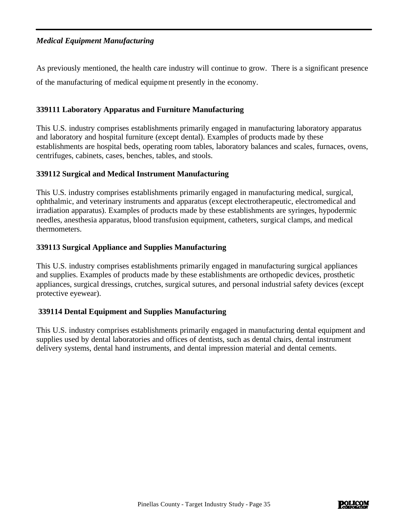# *Medical Equipment Manufacturing*

As previously mentioned, the health care industry will continue to grow. There is a significant presence of the manufacturing of medical equipment presently in the economy.

#### **339111 Laboratory Apparatus and Furniture Manufacturing**

This U.S. industry comprises establishments primarily engaged in manufacturing laboratory apparatus and laboratory and hospital furniture (except dental). Examples of products made by these establishments are hospital beds, operating room tables, laboratory balances and scales, furnaces, ovens, centrifuges, cabinets, cases, benches, tables, and stools.

#### **339112 Surgical and Medical Instrument Manufacturing**

This U.S. industry comprises establishments primarily engaged in manufacturing medical, surgical, ophthalmic, and veterinary instruments and apparatus (except electrotherapeutic, electromedical and irradiation apparatus). Examples of products made by these establishments are syringes, hypodermic needles, anesthesia apparatus, blood transfusion equipment, catheters, surgical clamps, and medical thermometers.

#### **339113 Surgical Appliance and Supplies Manufacturing**

This U.S. industry comprises establishments primarily engaged in manufacturing surgical appliances and supplies. Examples of products made by these establishments are orthopedic devices, prosthetic appliances, surgical dressings, crutches, surgical sutures, and personal industrial safety devices (except protective eyewear).

#### **339114 Dental Equipment and Supplies Manufacturing**

This U.S. industry comprises establishments primarily engaged in manufacturing dental equipment and supplies used by dental laboratories and offices of dentists, such as dental chairs, dental instrument delivery systems, dental hand instruments, and dental impression material and dental cements.

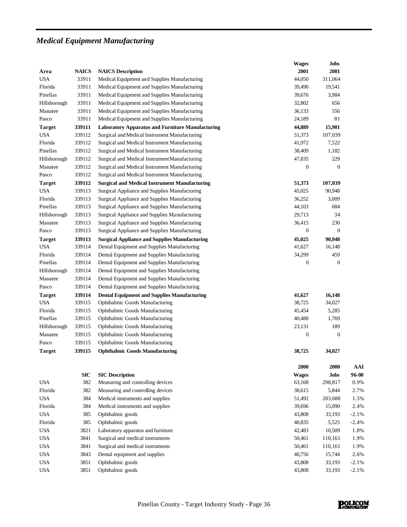# *Medical Equipment Manufacturing*

|               |              |                                                         | <b>Wages</b>     | Jobs             |            |
|---------------|--------------|---------------------------------------------------------|------------------|------------------|------------|
| Area          | <b>NAICS</b> | <b>NAICS</b> Description                                | 2001             | 2001             |            |
| <b>USA</b>    | 33911        | Medical Equipment and Supplies Manufacturing            | 44,050           | 311,064          |            |
| Florida       | 33911        | Medical Equipment and Supplies Manufacturing            | 39,490           | 19,541           |            |
| Pinellas      | 33911        | Medical Equipment and Supplies Manufacturing            | 39,676           | 3,984            |            |
| Hillsborough  | 33911        | Medical Equipment and Supplies Manufacturing            | 32,802           | 656              |            |
| Manatee       | 33911        | Medical Equipment and Supplies Manufacturing            | 36,133           | 556              |            |
| Pasco         | 33911        | Medical Equipment and Supplies Manufacturing            | 24,189           | 81               |            |
| <b>Target</b> | 339111       | <b>Laboratory Apparatus and Furniture Manufacturing</b> | 44,889           | 15,901           |            |
| <b>USA</b>    | 339112       | Surgical and Medical Instrument Manufacturing           | 51,373           | 107,039          |            |
| Florida       | 339112       | Surgical and Medical Instrument Manufacturing           | 41,972           | 7,522            |            |
| Pinellas      | 339112       | Surgical and Medical Instrument Manufacturing           | 38,409           | 1,182            |            |
| Hillsborough  | 339112       | Surgical and Medical Instrument Manufacturing           | 47,835           | 229              |            |
| Manatee       | 339112       | Surgical and Medical Instrument Manufacturing           | $\mathbf{0}$     | $\boldsymbol{0}$ |            |
| Pasco         | 339112       | Surgical and Medical Instrument Manufacturing           |                  |                  |            |
| <b>Target</b> | 339112       | <b>Surgical and Medical Instrument Manufacturing</b>    | 51,373           | 107,039          |            |
| <b>USA</b>    | 339113       | Surgical Appliance and Supplies Manufacturing           | 45,025           | 90,948           |            |
| Florida       | 339113       | Surgical Appliance and Supplies Manufacturing           | 36,252           | 3,009            |            |
| Pinellas      | 339113       | Surgical Appliance and Supplies Manufacturing           | 44,103           | 684              |            |
| Hillsborough  | 339113       | Surgical Appliance and Supplies Manufacturing           | 29,713           | 34               |            |
| Manatee       | 339113       | Surgical Appliance and Supplies Manufacturing           | 36,415           | 230              |            |
| Pasco         | 339113       | Surgical Appliance and Supplies Manufacturing           | $\boldsymbol{0}$ | $\boldsymbol{0}$ |            |
| <b>Target</b> | 339113       | <b>Surgical Appliance and Supplies Manufacturing</b>    | 45,025           | 90,948           |            |
| <b>USA</b>    | 339114       | Dental Equipment and Supplies Manufacturing             | 41,627           | 16,148           |            |
| Florida       | 339114       | Dental Equipment and Supplies Manufacturing             | 34,299           | 459              |            |
| Pinellas      | 339114       | Dental Equipment and Supplies Manufacturing             | $\mathbf{0}$     | $\boldsymbol{0}$ |            |
| Hillsborough  | 339114       | Dental Equipment and Supplies Manufacturing             |                  |                  |            |
| Manatee       | 339114       | Dental Equipment and Supplies Manufacturing             |                  |                  |            |
| Pasco         | 339114       | Dental Equipment and Supplies Manufacturing             |                  |                  |            |
| <b>Target</b> | 339114       | <b>Dental Equipment and Supplies Manufacturing</b>      | 41,627           | 16,148           |            |
| <b>USA</b>    | 339115       | Ophthalmic Goods Manufacturing                          | 38,725           | 34,027           |            |
| Florida       | 339115       | Ophthalmic Goods Manufacturing                          | 45,454           | 5,285            |            |
| Pinellas      | 339115       | <b>Ophthalmic Goods Manufacturing</b>                   | 40,488           | 1,769            |            |
| Hillsborough  | 339115       | <b>Ophthalmic Goods Manufacturing</b>                   | 23,131           | 189              |            |
| Manatee       | 339115       | <b>Ophthalmic Goods Manufacturing</b>                   | $\overline{0}$   | $\boldsymbol{0}$ |            |
| Pasco         | 339115       | <b>Ophthalmic Goods Manufacturing</b>                   |                  |                  |            |
| Target        | 339115       | <b>Ophthalmic Goods Manufacturing</b>                   | 38,725           | 34,027           |            |
|               |              |                                                         |                  |                  |            |
|               |              |                                                         | 2000             | 2000             | <b>AAI</b> |
|               | <b>SIC</b>   | <b>SIC Description</b>                                  | <b>Wages</b>     | <b>Jobs</b>      | 96-00      |
| <b>USA</b>    | 382          | Measuring and controlling devices                       | 63,168           | 298,817          | 0.9%       |
| Florida       | 382          | Measuring and controlling devices                       | 38,615           | 5,844            | 2.7%       |
| <b>USA</b>    | 384          | Medical instruments and supplies                        | 51,492           | 283,688          | 1.5%       |
| Florida       | 384          | Medical instruments and supplies                        | 39,696           | 15,090           | 2.4%       |
| <b>USA</b>    | 385          | Ophthalmic goods                                        | 43,808           | 33,193           | $-2.1%$    |
| Florida       | 385          | Ophthalmic goods                                        | 40,835           | 5,525            | $-2.4%$    |
| <b>USA</b>    | 3821         | Laboratory apparatus and furniture                      | 42,483           | 10,509           | 1.8%       |
| <b>USA</b>    | 3841         | Surgical and medical instruments                        | 50,461           | 110,161          | 1.9%       |
| <b>USA</b>    | 3841         | Surgical and medical instruments                        | 50,461           | 110,161          | 1.9%       |
| <b>USA</b>    | 3843         | Dental equipment and supplies                           | 40,756           | 15,744           | 2.6%       |
| <b>USA</b>    | 3851         | Ophthalmic goods                                        | 43,808           | 33,193           | $-2.1%$    |
| <b>USA</b>    | 3851         | Ophthalmic goods                                        | 43,808           | 33,193           | $-2.1%$    |
|               |              |                                                         |                  |                  |            |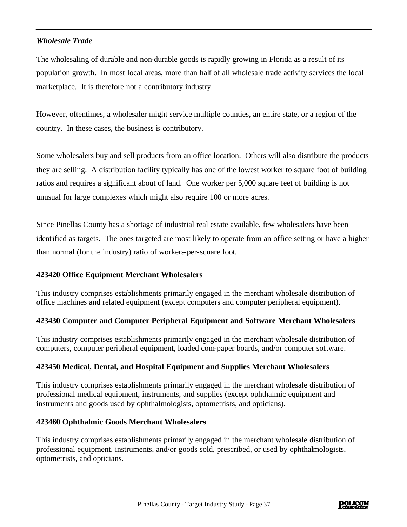## *Wholesale Trade*

The wholesaling of durable and non-durable goods is rapidly growing in Florida as a result of its population growth. In most local areas, more than half of all wholesale trade activity services the local marketplace. It is therefore not a contributory industry.

However, oftentimes, a wholesaler might service multiple counties, an entire state, or a region of the country. In these cases, the business is contributory.

Some wholesalers buy and sell products from an office location. Others will also distribute the products they are selling. A distribution facility typically has one of the lowest worker to square foot of building ratios and requires a significant about of land. One worker per 5,000 square feet of building is not unusual for large complexes which might also require 100 or more acres.

Since Pinellas County has a shortage of industrial real estate available, few wholesalers have been identified as targets. The ones targeted are most likely to operate from an office setting or have a higher than normal (for the industry) ratio of workers-per-square foot.

#### **423420 Office Equipment Merchant Wholesalers**

This industry comprises establishments primarily engaged in the merchant wholesale distribution of office machines and related equipment (except computers and computer peripheral equipment).

#### **423430 Computer and Computer Peripheral Equipment and Software Merchant Wholesalers**

This industry comprises establishments primarily engaged in the merchant wholesale distribution of computers, computer peripheral equipment, loaded com-paper boards, and/or computer software.

#### **423450 Medical, Dental, and Hospital Equipment and Supplies Merchant Wholesalers**

This industry comprises establishments primarily engaged in the merchant wholesale distribution of professional medical equipment, instruments, and supplies (except ophthalmic equipment and instruments and goods used by ophthalmologists, optometrists, and opticians).

#### **423460 Ophthalmic Goods Merchant Wholesalers**

This industry comprises establishments primarily engaged in the merchant wholesale distribution of professional equipment, instruments, and/or goods sold, prescribed, or used by ophthalmologists, optometrists, and opticians.

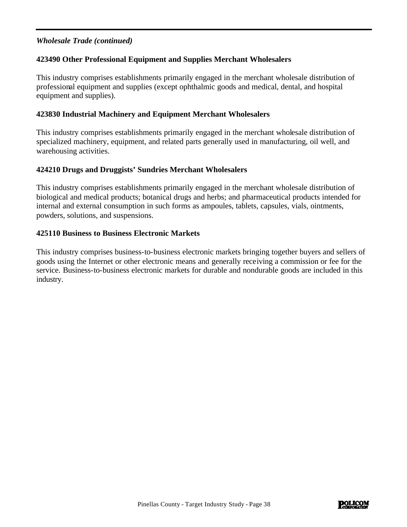#### *Wholesale Trade (continued)*

#### **423490 Other Professional Equipment and Supplies Merchant Wholesalers**

This industry comprises establishments primarily engaged in the merchant wholesale distribution of professional equipment and supplies (except ophthalmic goods and medical, dental, and hospital equipment and supplies).

#### **423830 Industrial Machinery and Equipment Merchant Wholesalers**

This industry comprises establishments primarily engaged in the merchant wholesale distribution of specialized machinery, equipment, and related parts generally used in manufacturing, oil well, and warehousing activities.

#### **424210 Drugs and Druggists' Sundries Merchant Wholesalers**

This industry comprises establishments primarily engaged in the merchant wholesale distribution of biological and medical products; botanical drugs and herbs; and pharmaceutical products intended for internal and external consumption in such forms as ampoules, tablets, capsules, vials, ointments, powders, solutions, and suspensions.

#### **425110 Business to Business Electronic Markets**

This industry comprises business-to-business electronic markets bringing together buyers and sellers of goods using the Internet or other electronic means and generally receiving a commission or fee for the service. Business-to-business electronic markets for durable and nondurable goods are included in this industry.

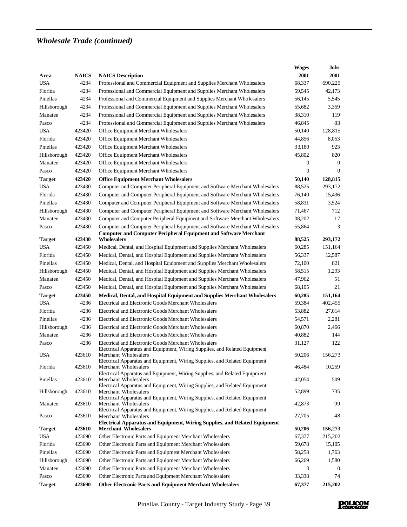# *Wholesale Trade (continued)*

|               |              |                                                                                                    | <b>Wages</b>     | <b>Jobs</b>  |
|---------------|--------------|----------------------------------------------------------------------------------------------------|------------------|--------------|
| Area          | <b>NAICS</b> | <b>NAICS</b> Description                                                                           | 2001             | 2001         |
| <b>USA</b>    | 4234         | Professional and Commercial Equipment and Supplies Merchant Wholesalers                            | 68,337           | 690,225      |
| Florida       | 4234         | Professional and Commercial Equipment and Supplies Merchant Wholesalers                            | 59,545           | 42,173       |
| Pinellas      | 4234         | Professional and Commercial Equipment and Supplies Merchant Wholesalers                            | 56,145           | 5,545        |
| Hillsborough  | 4234         | Professional and Commercial Equipment and Supplies Merchant Wholesalers                            | 55,682           | 3,359        |
| Manatee       | 4234         | Professional and Commercial Equipment and Supplies Merchant Wholesalers                            | 38,310           | 119          |
| Pasco         | 4234         | Professional and Commercial Equipment and Supplies Merchant Wholesalers                            | 46,845           | 83           |
| <b>USA</b>    | 423420       | Office Equipment Merchant Wholesalers                                                              | 50,140           | 128,815      |
| Florida       | 423420       | Office Equipment Merchant Wholesalers                                                              | 44,856           | 8,053        |
| Pinellas      | 423420       | Office Equipment Merchant Wholesalers                                                              | 33,180           | 923          |
| Hillsborough  | 423420       | Office Equipment Merchant Wholesalers                                                              | 45,802           | 820          |
| Manatee       | 423420       | Office Equipment Merchant Wholesalers                                                              | 0                | $\theta$     |
| Pasco         | 423420       | Office Equipment Merchant Wholesalers                                                              | $\boldsymbol{0}$ | $\theta$     |
| <b>Target</b> | 423420       | <b>Office Equipment Merchant Wholesalers</b>                                                       | 50,140           | 128,815      |
| <b>USA</b>    | 423430       | Computer and Computer Peripheral Equipment and Software Merchant Wholesalers                       | 88,525           | 293,172      |
| Florida       | 423430       | Computer and Computer Peripheral Equipment and Software Merchant Wholesalers                       | 76,140           | 15,436       |
| Pinellas      | 423430       | Computer and Computer Peripheral Equipment and Software Merchant Wholesalers                       | 58,831           | 3,524        |
| Hillsborough  | 423430       | Computer and Computer Peripheral Equipment and Software Merchant Wholesalers                       | 71,467           | 712          |
| Manatee       | 423430       | Computer and Computer Peripheral Equipment and Software Merchant Wholesalers                       | 38,202           | 17           |
| Pasco         | 423430       | Computer and Computer Peripheral Equipment and Software Merchant Wholesalers                       | 55,864           | 3            |
|               |              | <b>Computer and Computer Peripheral Equipment and Software Merchant</b>                            |                  |              |
| <b>Target</b> | 423430       | <b>Wholesalers</b>                                                                                 | 88,525           | 293,172      |
| <b>USA</b>    | 423450       | Medical, Dental, and Hospital Equipment and Supplies Merchant Wholesalers                          | 60,285           | 151,164      |
| Florida       | 423450       | Medical, Dental, and Hospital Equipment and Supplies Merchant Wholesalers                          | 56,337           | 12,587       |
| Pinellas      | 423450       | Medical, Dental, and Hospital Equipment and Supplies Merchant Wholesalers                          | 72,100           | 821          |
| Hillsborough  | 423450       | Medical, Dental, and Hospital Equipment and Supplies Merchant Wholesalers                          | 58,515           | 1,293        |
| Manatee       | 423450       | Medical, Dental, and Hospital Equipment and Supplies Merchant Wholesalers                          | 47,962           | 51           |
| Pasco         | 423450       | Medical, Dental, and Hospital Equipment and Supplies Merchant Wholesalers                          | 68,105           | 21           |
| <b>Target</b> | 423450       | Medical, Dental, and Hospital Equipment and Supplies Merchant Wholesalers                          | 60,285           | 151,164      |
| <b>USA</b>    | 4236         | Electrical and Electronic Goods Merchant Wholesalers                                               | 59,384           | 402,455      |
| Florida       | 4236         | Electrical and Electronic Goods Merchant Wholesalers                                               | 53,882           | 27,014       |
| Pinellas      | 4236         | Electrical and Electronic Goods Merchant Wholesalers                                               | 54,571           | 2,281        |
| Hillsborough  | 4236         | Electrical and Electronic Goods Merchant Wholesalers                                               | 60,870           | 2,466        |
| Manatee       | 4236         | Electrical and Electronic Goods Merchant Wholesalers                                               | 40,882           | 144          |
| Pasco         | 4236         | Electrical and Electronic Goods Merchant Wholesalers                                               | 31,127           | 122          |
|               |              | Electrical Apparatus and Equipment, Wiring Supplies, and Related Equipment                         |                  |              |
| <b>USA</b>    | 423610       | Merchant Wholesalers                                                                               | 50,206           | 156,273      |
| Florida       | 423610       | Electrical Apparatus and Equipment, Wiring Supplies, and Related Equipment<br>Merchant Wholesalers | 46,484           | 10,259       |
|               |              | Electrical Apparatus and Equipment, Wiring Supplies, and Related Equipment                         |                  |              |
| Pinellas      | 423610       | Merchant Wholesalers                                                                               | 42,054           | 509          |
| Hillsborough  | 423610       | Electrical Apparatus and Equipment, Wiring Supplies, and Related Equipment                         | 52,899           | 735          |
|               |              | Merchant Wholesalers<br>Electrical Apparatus and Equipment, Wiring Supplies, and Related Equipment |                  |              |
| Manatee       | 423610       | Merchant Wholesalers                                                                               | 42,873           | 99           |
|               |              | Electrical Apparatus and Equipment, Wiring Supplies, and Related Equipment                         |                  |              |
| Pasco         | 423610       | Merchant Wholesalers<br>Electrical Apparatus and Equipment, Wiring Supplies, and Related Equipment | 27,705           | 48           |
| <b>Target</b> | 423610       | <b>Merchant Wholesalers</b>                                                                        | 50,206           | 156,273      |
| <b>USA</b>    | 423690       | Other Electronic Parts and Equipment Merchant Wholesalers                                          | 67,377           | 215,202      |
| Florida       | 423690       | Other Electronic Parts and Equipment Merchant Wholesalers                                          | 59,678           | 15,105       |
| Pinellas      | 423690       | Other Electronic Parts and Equipment Merchant Wholesalers                                          | 58,258           | 1,763        |
| Hillsborough  | 423690       | Other Electronic Parts and Equipment Merchant Wholesalers                                          | 66,269           | 1,580        |
| Manatee       | 423690       | Other Electronic Parts and Equipment Merchant Wholesalers                                          | 0                | $\mathbf{0}$ |
| Pasco         | 423690       | Other Electronic Parts and Equipment Merchant Wholesalers                                          | 33,338           | 74           |
| <b>Target</b> | 423690       | <b>Other Electronic Parts and Equipment Merchant Wholesalers</b>                                   | 67,377           | 215,202      |
|               |              |                                                                                                    |                  |              |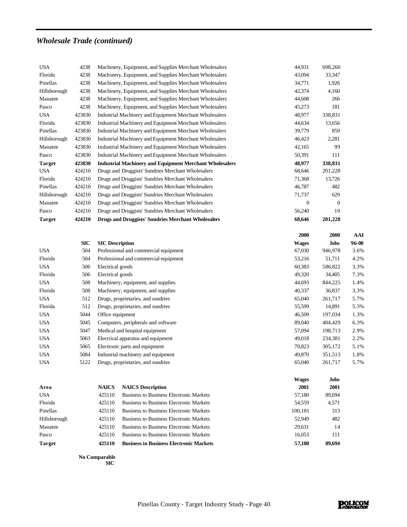# *Wholesale Trade (continued)*

| <b>USA</b>    | 4238       | Machinery, Equipment, and Supplies Merchant Wholesalers        | 44,931       | 698,260          |       |
|---------------|------------|----------------------------------------------------------------|--------------|------------------|-------|
| Florida       | 4238       | Machinery, Equipment, and Supplies Merchant Wholesalers        | 43,094       | 33,347           |       |
| Pinellas      | 4238       | Machinery, Equipment, and Supplies Merchant Wholesalers        | 34,771       | 1,926            |       |
| Hillsborough  | 4238       | Machinery, Equipment, and Supplies Merchant Wholesalers        | 42,374       | 4,160            |       |
| Manatee       | 4238       | Machinery, Equipment, and Supplies Merchant Wholesalers        | 44,608       | 266              |       |
| Pasco         | 4238       | Machinery, Equipment, and Supplies Merchant Wholesalers        | 45,273       | 181              |       |
| <b>USA</b>    | 423830     | Industrial Machinery and Equipment Merchant Wholesalers        | 48,977       | 338,831          |       |
| Florida       | 423830     | Industrial Machinery and Equipment Merchant Wholesalers        | 44,634       | 13,656           |       |
| Pinellas      | 423830     | Industrial Machinery and Equipment Merchant Wholesalers        | 39,779       | 859              |       |
| Hillsborough  | 423830     | Industrial Machinery and Equipment Merchant Wholesalers        | 46,423       | 2,281            |       |
| Manatee       | 423830     | Industrial Machinery and Equipment Merchant Wholesalers        | 42,165       | 99               |       |
| Pasco         | 423830     | Industrial Machinery and Equipment Merchant Wholesalers        | 50,391       | 111              |       |
| <b>Target</b> | 423830     | <b>Industrial Machinery and Equipment Merchant Wholesalers</b> | 48,977       | 338,831          |       |
| <b>USA</b>    | 424210     | Drugs and Druggists' Sundries Merchant Wholesalers             | 68,646       | 201,228          |       |
| Florida       | 424210     | Drugs and Druggists' Sundries Merchant Wholesalers             | 71,368       | 13,726           |       |
| Pinellas      | 424210     | Drugs and Druggists' Sundries Merchant Wholesalers             | 46,787       | 482              |       |
| Hillsborough  | 424210     | Drugs and Druggists' Sundries Merchant Wholesalers             | 71,737       | 629              |       |
| Manatee       | 424210     | Drugs and Druggists' Sundries Merchant Wholesalers             | 0            | $\boldsymbol{0}$ |       |
| Pasco         | 424210     | Drugs and Druggists' Sundries Merchant Wholesalers             | 56,240       | 10               |       |
| <b>Target</b> | 424210     | <b>Drugs and Druggists' Sundries Merchant Wholesalers</b>      | 68,646       | 201,228          |       |
|               |            |                                                                |              |                  |       |
|               |            |                                                                | 2000         | 2000             | AAI   |
|               | <b>SIC</b> | <b>SIC Description</b>                                         | <b>Wages</b> | <b>Jobs</b>      | 96-00 |
| <b>USA</b>    | 504        | Professional and commercial equipment                          | 67,030       | 946,978          | 3.6%  |
| Florida       | 504        | Professional and commercial equipment                          | 53,216       | 51,711           | 4.2%  |
| <b>USA</b>    | 506        | Electrical goods                                               | 60,383       | 586,822          | 3.3%  |
| Florida       | 506        | Electrical goods                                               | 49,320       | 34,405           | 7.3%  |
| <b>USA</b>    | 508        | Machinery, equipment, and supplies                             | 44,693       | 844,225          | 1.4%  |
| Florida       | 508        | Machinery, equipment, and supplies                             | 40,337       | 36,837           | 3.3%  |
| <b>USA</b>    | 512        | Drugs, proprietaries, and sundries                             | 65,040       | 261,717          | 5.7%  |
| Florida       | 512        | Drugs, proprietaries, and sundries                             | 55,599       | 14,891           | 5.3%  |
| <b>USA</b>    | 5044       | Office equipment                                               | 46,509       | 197,034          | 1.3%  |
| <b>USA</b>    | 5045       | Computers, peripherals and software                            | 89,040       | 404,429          | 6.3%  |
| <b>USA</b>    | 5047       | Medical and hospital equipment                                 | 57,094       | 198,713          | 2.9%  |
| <b>USA</b>    | 5063       | Electrical apparatus and equipment                             | 49,018       | 234,381          | 2.2%  |
| <b>USA</b>    | 5065       | Electronic parts and equipment                                 | 70,823       | 305,172          | 5.1%  |
| <b>USA</b>    | 5084       | Industrial machinery and equipment                             | 49,870       | 351,513          | 1.8%  |
| <b>USA</b>    | 5122       | Drugs, proprietaries, and sundries                             | 65,040       | 261,717          | 5.7%  |
|               |            |                                                                | <b>Wages</b> | <b>Jobs</b>      |       |
| Area          |            | <b>NAICS</b><br><b>NAICS</b> Description                       | 2001         | 2001             |       |
| <b>USA</b>    |            | 425110<br><b>Business to Business Electronic Markets</b>       | 57,180       | 89,694           |       |
| Florida       |            | 425110<br><b>Business to Business Electronic Markets</b>       | 54,559       | 4,571            |       |
| Pinellas      |            | 425110<br><b>Business to Business Electronic Markets</b>       | 100,181      | 313              |       |
| Hillsborough  |            | 425110<br><b>Business to Business Electronic Markets</b>       | 52,949       | 482              |       |
| Manatee       |            | 425110<br><b>Business to Business Electronic Markets</b>       | 29,631       | 14               |       |
| Pasco         |            | 425110<br><b>Business to Business Electronic Markets</b>       | 16,053       | 111              |       |

**No Comparable SIC**

Pinellas County - Target Industry Study - Page 40

**Target 425110 Business to Business Electronic Markets 57,180 89,694**

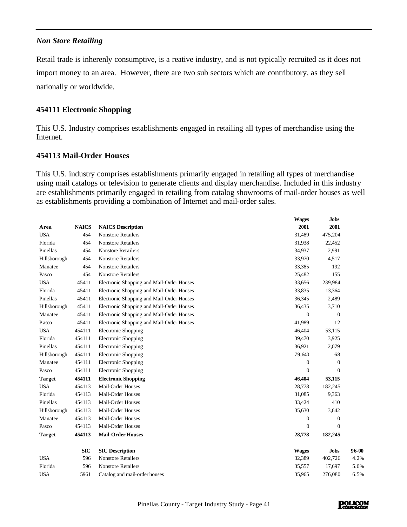#### *Non Store Retailing*

Retail trade is inherenly consumptive, is a reative industry, and is not typically recruited as it does not import money to an area. However, there are two sub sectors which are contributory, as they sell nationally or worldwide.

#### **454111 Electronic Shopping**

This U.S. Industry comprises establishments engaged in retailing all types of merchandise using the Internet.

#### **454113 Mail-Order Houses**

This U.S. industry comprises establishments primarily engaged in retailing all types of merchandise using mail catalogs or television to generate clients and display merchandise. Included in this industry are establishments primarily engaged in retailing from catalog showrooms of mail-order houses as well as establishments providing a combination of Internet and mail-order sales.

|               |              |                                           | <b>Wages</b>     | <b>Jobs</b>      |       |
|---------------|--------------|-------------------------------------------|------------------|------------------|-------|
| Area          | <b>NAICS</b> | <b>NAICS</b> Description                  | 2001             | 2001             |       |
| <b>USA</b>    | 454          | <b>Nonstore Retailers</b>                 | 31,489           | 475,204          |       |
| Florida       | 454          | <b>Nonstore Retailers</b>                 | 31,938           | 22,452           |       |
| Pinellas      | 454          | <b>Nonstore Retailers</b>                 | 34,937           | 2,991            |       |
| Hillsborough  | 454          | <b>Nonstore Retailers</b>                 | 33,970           | 4,517            |       |
| Manatee       | 454          | <b>Nonstore Retailers</b>                 | 33,385           | 192              |       |
| Pasco         | 454          | Nonstore Retailers                        | 25,482           | 155              |       |
| <b>USA</b>    | 45411        | Electronic Shopping and Mail-Order Houses | 33,656           | 239,984          |       |
| Florida       | 45411        | Electronic Shopping and Mail-Order Houses | 33,835           | 13,364           |       |
| Pinellas      | 45411        | Electronic Shopping and Mail-Order Houses | 36,345           | 2,489            |       |
| Hillsborough  | 45411        | Electronic Shopping and Mail-Order Houses | 36,435           | 3,710            |       |
| Manatee       | 45411        | Electronic Shopping and Mail-Order Houses | $\boldsymbol{0}$ | $\boldsymbol{0}$ |       |
| Pasco         | 45411        | Electronic Shopping and Mail-Order Houses | 41,989           | 12               |       |
| <b>USA</b>    | 454111       | <b>Electronic Shopping</b>                | 46,404           | 53,115           |       |
| Florida       | 454111       | <b>Electronic Shopping</b>                | 39,470           | 3,925            |       |
| Pinellas      | 454111       | <b>Electronic Shopping</b>                | 36,921           | 2,079            |       |
| Hillsborough  | 454111       | <b>Electronic Shopping</b>                | 79,640           | 68               |       |
| Manatee       | 454111       | <b>Electronic Shopping</b>                | $\boldsymbol{0}$ | $\boldsymbol{0}$ |       |
| Pasco         | 454111       | <b>Electronic Shopping</b>                | $\boldsymbol{0}$ | $\mathbf{0}$     |       |
| <b>Target</b> | 454111       | <b>Electronic Shopping</b>                | 46,404           | 53,115           |       |
| <b>USA</b>    | 454113       | Mail-Order Houses                         | 28,778           | 182,245          |       |
| Florida       | 454113       | Mail-Order Houses                         | 31,085           | 9,363            |       |
| Pinellas      | 454113       | Mail-Order Houses                         | 33,424           | 410              |       |
| Hillsborough  | 454113       | Mail-Order Houses                         | 35,630           | 3,642            |       |
| Manatee       | 454113       | Mail-Order Houses                         | $\boldsymbol{0}$ | $\mathbf{0}$     |       |
| Pasco         | 454113       | Mail-Order Houses                         | $\overline{0}$   | $\Omega$         |       |
| <b>Target</b> | 454113       | <b>Mail-Order Houses</b>                  | 28,778           | 182,245          |       |
|               | SIC          | <b>SIC</b> Description                    | <b>Wages</b>     | <b>Jobs</b>      | 96-00 |
| <b>USA</b>    | 596          | <b>Nonstore Retailers</b>                 | 32,389           | 402,726          | 4.2%  |
| Florida       | 596          | <b>Nonstore Retailers</b>                 | 35,557           | 17,697           | 5.0%  |
| <b>USA</b>    | 5961         | Catalog and mail-order houses             | 35,965           | 276,080          | 6.5%  |

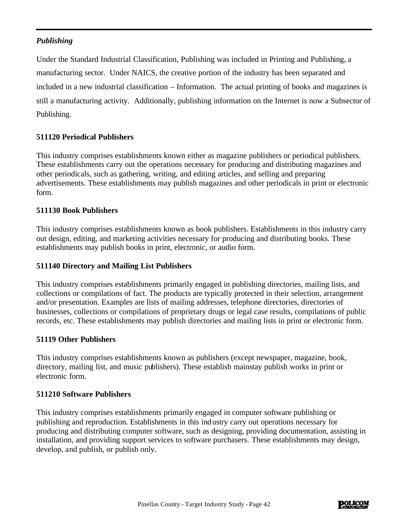# *Publishing*

Under the Standard Industrial Classification, Publishing was included in Printing and Publishing, a manufacturing sector. Under NAICS, the creative portion of the industry has been separated and included in a new industrial classification – Information. The actual printing of books and magazines is still a manufacturing activity. Additionally, publishing information on the Internet is now a Subsector of Publishing.

# **511120 Periodical Publishers**

This industry comprises establishments known either as magazine publishers or periodical publishers. These establishments carry out the operations necessary for producing and distributing magazines and other periodicals, such as gathering, writing, and editing articles, and selling and preparing advertisements. These establishments may publish magazines and other periodicals in print or electronic form.

# **511130 Book Publishers**

This industry comprises establishments known as book publishers. Establishments in this industry carry out design, editing, and marketing activities necessary for producing and distributing books. These establishments may publish books in print, electronic, or audio form.

## **511140 Directory and Mailing List Publishers**

This industry comprises establishments primarily engaged in publishing directories, mailing lists, and collections or compilations of fact. The products are typically protected in their selection, arrangement and/or presentation. Examples are lists of mailing addresses, telephone directories, directories of businesses, collections or compilations of proprietary drugs or legal case results, compilations of public records, etc. These establishments may publish directories and mailing lists in print or electronic form.

#### **51119 Other Publishers**

This industry comprises establishments known as publishers (except newspaper, magazine, book, directory, mailing list, and music publishers). These establish mainstay publish works in print or electronic form.

#### **511210 Software Publishers**

This industry comprises establishments primarily engaged in computer software publishing or publishing and reproduction. Establishments in this industry carry out operations necessary for producing and distributing computer software, such as designing, providing documentation, assisting in installation, and providing support services to software purchasers. These establishments may design, develop, and publish, or publish only.

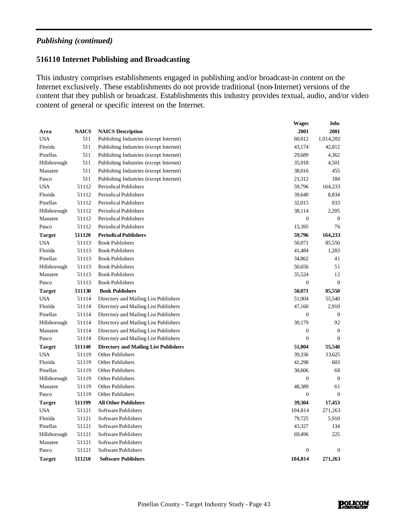# *Publishing (continued)*

## **516110 Internet Publishing and Broadcasting**

This industry comprises establishments engaged in publishing and/or broadcast-in content on the Internet exclusively. These establishments do not provide traditional (non-Internet) versions of the content that they publish or broadcast. Establishments this industry provides textual, audio, and/or video content of general or specific interest on the Internet.

|               |              |                                              | <b>Wages</b>     | <b>Jobs</b>      |
|---------------|--------------|----------------------------------------------|------------------|------------------|
| Area          | <b>NAICS</b> | <b>NAICS</b> Description                     | 2001             | 2001             |
| <b>USA</b>    | 511          | Publishing Industries (except Internet)      | 60,012           | 1,014,282        |
| Florida       | 511          | Publishing Industries (except Internet)      | 43,174           | 42,812           |
| Pinellas      | 511          | Publishing Industries (except Internet)      | 29,689           | 4,362            |
| Hillsborough  | 511          | Publishing Industries (except Internet)      | 35,918           | 4,501            |
| Manatee       | 511          | Publishing Industries (except Internet)      | 38,016           | 455              |
| Pasco         | 511          | Publishing Industries (except Internet)      | 21,312           | 184              |
| <b>USA</b>    | 51112        | Periodical Publishers                        | 59,796           | 164,233          |
| Florida       | 51112        | Periodical Publishers                        | 39,640           | 8,834            |
| Pinellas      | 51112        | Periodical Publishers                        | 32,015           | 833              |
| Hillsborough  | 51112        | Periodical Publishers                        | 38,114           | 2,205            |
| Manatee       | 51112        | Periodical Publishers                        | $\boldsymbol{0}$ | $\mathbf{0}$     |
| Pasco         | 51112        | Periodical Publishers                        | 15,395           | 76               |
| <b>Target</b> | 511120       | <b>Periodical Publishers</b>                 | 59,796           | 164,233          |
| <b>USA</b>    | 51113        | <b>Book Publishers</b>                       | 50,071           | 85,550           |
| Florida       | 51113        | <b>Book Publishers</b>                       | 41,484           | 1,283            |
| Pinellas      | 51113        | <b>Book Publishers</b>                       | 34,862           | 41               |
| Hillsborough  | 51113        | <b>Book Publishers</b>                       | 50,656           | 51               |
| Manatee       | 51113        | <b>Book Publishers</b>                       | 35,524           | 12               |
| Pasco         | 51113        | <b>Book Publishers</b>                       | $\boldsymbol{0}$ | $\mathbf{0}$     |
| <b>Target</b> | 511130       | <b>Book Publishers</b>                       | 50,071           | 85,550           |
| <b>USA</b>    | 51114        | Directory and Mailing List Publishers        | 51,004           | 55,540           |
| Florida       | 51114        | Directory and Mailing List Publishers        | 47,160           | 2,910            |
| Pinellas      | 51114        | Directory and Mailing List Publishers        | $\boldsymbol{0}$ | $\boldsymbol{0}$ |
| Hillsborough  | 51114        | Directory and Mailing List Publishers        | 30,179           | 92               |
| Manatee       | 51114        | Directory and Mailing List Publishers        | $\boldsymbol{0}$ | $\boldsymbol{0}$ |
| Pasco         | 51114        | Directory and Mailing List Publishers        | $\overline{0}$   | $\overline{0}$   |
| <b>Target</b> | 511140       | <b>Directory and Mailing List Publishers</b> | 51,004           | 55,540           |
| <b>USA</b>    | 51119        | Other Publishers                             | 39,336           | 33,625           |
| Florida       | 51119        | Other Publishers                             | 41,298           | 603              |
| Pinellas      | 51119        | Other Publishers                             | 38,606           | 68               |
| Hillsborough  | 51119        | Other Publishers                             | $\boldsymbol{0}$ | $\boldsymbol{0}$ |
| Manatee       | 51119        | Other Publishers                             | 48,389           | 61               |
| Pasco         | 51119        | Other Publishers                             | $\boldsymbol{0}$ | $\boldsymbol{0}$ |
| Target        | 511199       | <b>All Other Publishers</b>                  | 39,304           | 17,453           |
| <b>USA</b>    | 51121        | Software Publishers                          | 104,814          | 271,263          |
| Florida       | 51121        | Software Publishers                          | 79,725           | 5,910            |
| Pinellas      | 51121        | Software Publishers                          | 43,327           | 134              |
| Hillsborough  | 51121        | Software Publishers                          | 69,496           | 225              |
| Manatee       | 51121        | Software Publishers                          |                  |                  |
| Pasco         | 51121        | Software Publishers                          | $\mathbf{0}$     | $\overline{0}$   |
| Target        | 511210       | <b>Software Publishers</b>                   | 104,814          | 271,263          |

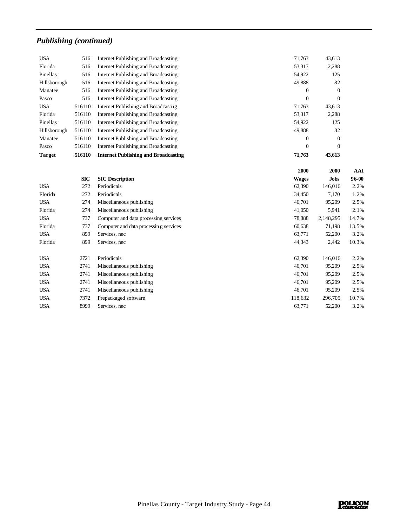# *Publishing (continued)*

| <b>USA</b>    | 516    | Internet Publishing and Broadcasting        | 71,763   | 43,613       |  |
|---------------|--------|---------------------------------------------|----------|--------------|--|
| Florida       | 516    | Internet Publishing and Broadcasting        | 53,317   | 2,288        |  |
| Pinellas      | 516    | Internet Publishing and Broadcasting        | 54,922   | 125          |  |
| Hillsborough  | 516    | Internet Publishing and Broadcasting        | 49,888   | 82           |  |
| Manatee       | 516    | Internet Publishing and Broadcasting        | $\theta$ | $\bf{0}$     |  |
| Pasco         | 516    | Internet Publishing and Broadcasting        | $\theta$ | $\mathbf{0}$ |  |
| <b>USA</b>    | 516110 | Internet Publishing and Broadcasting        | 71.763   | 43,613       |  |
| Florida       | 516110 | Internet Publishing and Broadcasting        | 53,317   | 2,288        |  |
| Pinellas      | 516110 | Internet Publishing and Broadcasting        | 54,922   | 125          |  |
| Hillsborough  | 516110 | Internet Publishing and Broadcasting        | 49,888   | 82           |  |
| Manatee       | 516110 | Internet Publishing and Broadcasting        | $\theta$ | $\mathbf{0}$ |  |
| Pasco         | 516110 | Internet Publishing and Broadcasting        | $\theta$ | $\mathbf{0}$ |  |
| <b>Target</b> | 516110 | <b>Internet Publishing and Broadcasting</b> | 71,763   | 43,613       |  |

|            |      |                                       | 2000         | 2000        | AAI   |
|------------|------|---------------------------------------|--------------|-------------|-------|
|            | SIC  | <b>SIC</b> Description                | <b>Wages</b> | <b>Jobs</b> | 96-00 |
| <b>USA</b> | 272  | Periodicals                           | 62,390       | 146,016     | 2.2%  |
| Florida    | 272  | Periodicals                           | 34,450       | 7,170       | 1.2%  |
| <b>USA</b> | 274  | Miscellaneous publishing              | 46,701       | 95,209      | 2.5%  |
| Florida    | 274  | Miscellaneous publishing              | 41,050       | 5,941       | 2.1%  |
| <b>USA</b> | 737  | Computer and data processing services | 78,888       | 2,148,295   | 14.7% |
| Florida    | 737  | Computer and data processing services | 60,638       | 71,198      | 13.5% |
| <b>USA</b> | 899  | Services, nec                         | 63,771       | 52,200      | 3.2%  |
| Florida    | 899  | Services, nec                         | 44,343       | 2,442       | 10.3% |
| <b>USA</b> | 2721 | Periodicals                           | 62,390       | 146,016     | 2.2%  |
| <b>USA</b> | 2741 | Miscellaneous publishing              | 46,701       | 95,209      | 2.5%  |
| <b>USA</b> | 2741 | Miscellaneous publishing              | 46,701       | 95,209      | 2.5%  |
| <b>USA</b> | 2741 | Miscellaneous publishing              | 46,701       | 95,209      | 2.5%  |
| <b>USA</b> | 2741 | Miscellaneous publishing              | 46,701       | 95,209      | 2.5%  |
| <b>USA</b> | 7372 | Prepackaged software                  | 118,632      | 296,705     | 10.7% |
| <b>USA</b> | 8999 | Services, nec                         | 63,771       | 52,200      | 3.2%  |

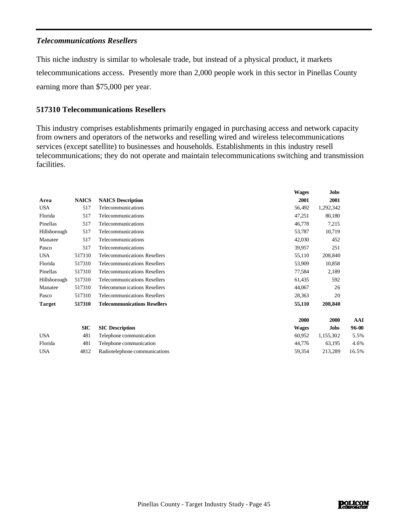#### *Telecommunications Resellers*

This niche industry is similar to wholesale trade, but instead of a physical product, it markets telecommunications access. Presently more than 2,000 people work in this sector in Pinellas County earning more than \$75,000 per year.

#### **517310 Telecommunications Resellers**

This industry comprises establishments primarily engaged in purchasing access and network capacity from owners and operators of the networks and reselling wired and wireless telecommunications services (except satellite) to businesses and households. Establishments in this industry resell telecommunications; they do not operate and maintain telecommunications switching and transmission facilities.

|               |              |                                      | <b>Wages</b> | <b>Jobs</b> |       |
|---------------|--------------|--------------------------------------|--------------|-------------|-------|
| Area          | <b>NAICS</b> | <b>NAICS Description</b>             | 2001         | 2001        |       |
| <b>USA</b>    | 517          | Telecommunications                   | 56,492       | 1,292,342   |       |
| Florida       | 517          | Telecommunications                   | 47,251       | 80,180      |       |
| Pinellas      | 517          | Telecommunications                   | 46,778       | 7,215       |       |
| Hillsborough  | 517          | Telecommunications                   | 53,787       | 10,719      |       |
| Manatee       | 517          | Telecommunications                   | 42,030       | 452         |       |
| Pasco         | 517          | Telecommunications                   | 39,957       | 251         |       |
| <b>USA</b>    | 517310       | <b>Telecommunications Resellers</b>  | 55,110       | 208,840     |       |
| Florida       | 517310       | <b>Telecommunications Resellers</b>  | 53,909       | 10,858      |       |
| Pinellas      | 517310       | <b>Telecommunications Resellers</b>  | 77,584       | 2,189       |       |
| Hillsborough  | 517310       | <b>Telecommunications Resellers</b>  | 61,435       | 592         |       |
| Manatee       | 517310       | <b>Telecommun ications Resellers</b> | 44,067       | 26          |       |
| Pasco         | 517310       | <b>Telecommunications Resellers</b>  | 28,363       | 20          |       |
| <b>Target</b> | 517310       | <b>Telecommunications Resellers</b>  | 55,110       | 208,840     |       |
|               |              |                                      | 2000         | 2000        | AAI   |
|               | <b>SIC</b>   | <b>SIC Description</b>               | <b>Wages</b> | <b>Jobs</b> | 96-00 |
| <b>USA</b>    | 481          | Telephone communication              | 60,952       | 1,155,302   | 5.5%  |
| Florida       | 481          | Telephone communication              | 44,776       | 63,195      | 4.6%  |
| <b>USA</b>    | 4812         | Radiotelephone communications        | 59,354       | 213,289     | 16.5% |

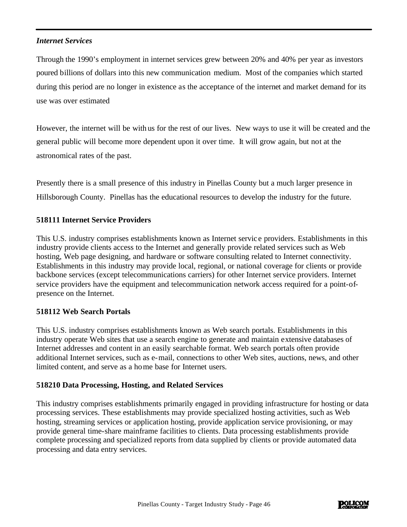#### *Internet Services*

Through the 1990's employment in internet services grew between 20% and 40% per year as investors poured billions of dollars into this new communication medium. Most of the companies which started during this period are no longer in existence as the acceptance of the internet and market demand for its use was over estimated

However, the internet will be with us for the rest of our lives. New ways to use it will be created and the general public will become more dependent upon it over time. It will grow again, but not at the astronomical rates of the past.

Presently there is a small presence of this industry in Pinellas County but a much larger presence in Hillsborough County. Pinellas has the educational resources to develop the industry for the future.

#### **518111 Internet Service Providers**

This U.S. industry comprises establishments known as Internet servic e providers. Establishments in this industry provide clients access to the Internet and generally provide related services such as Web hosting, Web page designing, and hardware or software consulting related to Internet connectivity. Establishments in this industry may provide local, regional, or national coverage for clients or provide backbone services (except telecommunications carriers) for other Internet service providers. Internet service providers have the equipment and telecommunication network access required for a point-ofpresence on the Internet.

#### **518112 Web Search Portals**

This U.S. industry comprises establishments known as Web search portals. Establishments in this industry operate Web sites that use a search engine to generate and maintain extensive databases of Internet addresses and content in an easily searchable format. Web search portals often provide additional Internet services, such as e-mail, connections to other Web sites, auctions, news, and other limited content, and serve as a home base for Internet users.

#### **518210 Data Processing, Hosting, and Related Services**

This industry comprises establishments primarily engaged in providing infrastructure for hosting or data processing services. These establishments may provide specialized hosting activities, such as Web hosting, streaming services or application hosting, provide application service provisioning, or may provide general time-share mainframe facilities to clients. Data processing establishments provide complete processing and specialized reports from data supplied by clients or provide automated data processing and data entry services.

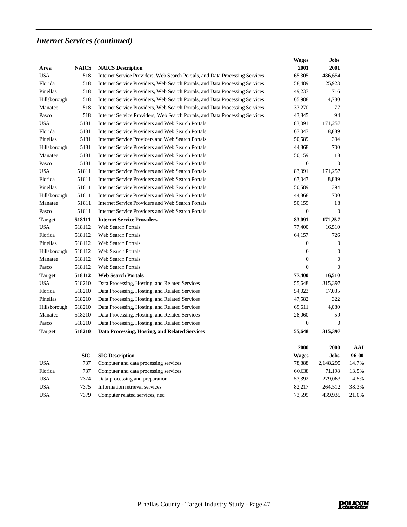#### *Internet Services (continued)*

|                     |              |                                                                               | <b>Wages</b>     | <b>Jobs</b>      |       |
|---------------------|--------------|-------------------------------------------------------------------------------|------------------|------------------|-------|
| Area                | <b>NAICS</b> | <b>NAICS</b> Description                                                      | 2001             | 2001             |       |
| <b>USA</b>          | 518          | Internet Service Providers, Web Search Port als, and Data Processing Services | 65,305           | 486,654          |       |
| Florida<br>Pinellas | 518          | Internet Service Providers, Web Search Portals, and Data Processing Services  | 58,489           | 25,923<br>716    |       |
|                     | 518          | Internet Service Providers, Web Search Portals, and Data Processing Services  | 49,237           |                  |       |
| Hillsborough        | 518          | Internet Service Providers, Web Search Portals, and Data Processing Services  | 65,988           | 4,780            |       |
| Manatee             | 518          | Internet Service Providers, Web Search Portals, and Data Processing Services  | 33,270           | 77               |       |
| Pasco               | 518          | Internet Service Providers, Web Search Portals, and Data Processing Services  | 43,845           | 94               |       |
| <b>USA</b>          | 5181         | Internet Service Providers and Web Search Portals                             | 83,091           | 171,257          |       |
| Florida             | 5181         | Internet Service Providers and Web Search Portals                             | 67,047           | 8,889            |       |
| Pinellas            | 5181         | Internet Service Providers and Web Search Portals                             | 50,589           | 394              |       |
| Hillsborough        | 5181         | Internet Service Providers and Web Search Portals                             | 44,868           | 700              |       |
| Manatee             | 5181         | Internet Service Providers and Web Search Portals                             | 50,159           | 18               |       |
| Pasco               | 5181         | Internet Service Providers and Web Search Portals                             | $\boldsymbol{0}$ | $\mathbf{0}$     |       |
| <b>USA</b>          | 51811        | Internet Service Providers and Web Search Portals                             | 83,091           | 171,257          |       |
| Florida             | 51811        | Internet Service Providers and Web Search Portals                             | 67,047           | 8,889            |       |
| Pinellas            | 51811        | Internet Service Providers and Web Search Portals                             | 50,589           | 394              |       |
| Hillsborough        | 51811        | Internet Service Providers and Web Search Portals                             | 44,868           | 700              |       |
| Manatee             | 51811        | Internet Service Providers and Web Search Portals                             | 50,159           | 18               |       |
| Pasco               | 51811        | Internet Service Providers and Web Search Portals                             | $\mathbf{0}$     | $\mathbf{0}$     |       |
| <b>Target</b>       | 518111       | <b>Internet Service Providers</b>                                             | 83,091           | 171,257          |       |
| <b>USA</b>          | 518112       | Web Search Portals                                                            | 77,400           | 16,510           |       |
| Florida             | 518112       | Web Search Portals                                                            | 64,157           | 726              |       |
| Pinellas            | 518112       | Web Search Portals                                                            | $\mathbf{0}$     | $\boldsymbol{0}$ |       |
| Hillsborough        | 518112       | <b>Web Search Portals</b>                                                     | $\mathbf{0}$     | $\mathbf{0}$     |       |
| Manatee             | 518112       | <b>Web Search Portals</b>                                                     | $\boldsymbol{0}$ | $\boldsymbol{0}$ |       |
| Pasco               | 518112       | <b>Web Search Portals</b>                                                     | $\overline{0}$   | $\Omega$         |       |
| <b>Target</b>       | 518112       | <b>Web Search Portals</b>                                                     | 77,400           | 16,510           |       |
| <b>USA</b>          | 518210       | Data Processing, Hosting, and Related Services                                | 55,648           | 315,397          |       |
| Florida             | 518210       | Data Processing, Hosting, and Related Services                                | 54,023           | 17,035           |       |
| Pinellas            | 518210       | Data Processing, Hosting, and Related Services                                | 47,582           | 322              |       |
| Hillsborough        | 518210       | Data Processing, Hosting, and Related Services                                | 69,611           | 4,080            |       |
| Manatee             | 518210       | Data Processing, Hosting, and Related Services                                | 28,060           | 59               |       |
| Pasco               | 518210       | Data Processing, Hosting, and Related Services                                | $\boldsymbol{0}$ | $\mathbf{0}$     |       |
| <b>Target</b>       | 518210       | Data Processing, Hosting, and Related Services                                | 55,648           | 315,397          |       |
|                     |              |                                                                               | 2000             | 2000             | AAI   |
|                     | <b>SIC</b>   | <b>SIC Description</b>                                                        | <b>Wages</b>     | Jobs             | 96-00 |
| <b>USA</b>          | 737          | Computer and data processing services                                         | 78,888           | 2,148,295        | 14.7% |

Florida 737 Computer and data processing services 60,638 71,198 13.5% USA 7374 Data processing and preparation 53,392 279,063 4.5% USA 7375 Information retrieval services 82,217 264,512 38.3% USA 7379 Computer related services, nec 73,599 439,935 21.0%

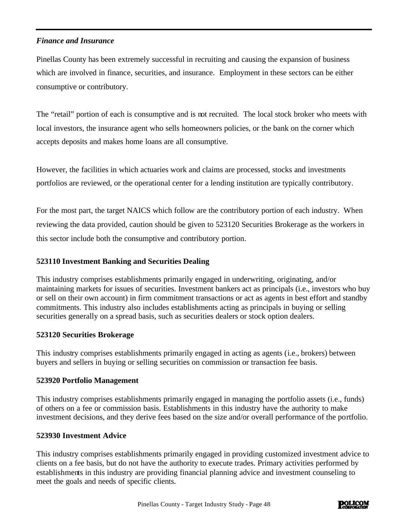# *Finance and Insurance*

Pinellas County has been extremely successful in recruiting and causing the expansion of business which are involved in finance, securities, and insurance. Employment in these sectors can be either consumptive or contributory.

The "retail" portion of each is consumptive and is not recruited. The local stock broker who meets with local investors, the insurance agent who sells homeowners policies, or the bank on the corner which accepts deposits and makes home loans are all consumptive.

However, the facilities in which actuaries work and claims are processed, stocks and investments portfolios are reviewed, or the operational center for a lending institution are typically contributory.

For the most part, the target NAICS which follow are the contributory portion of each industry. When reviewing the data provided, caution should be given to 523120 Securities Brokerage as the workers in this sector include both the consumptive and contributory portion.

## **523110 Investment Banking and Securities Dealing**

This industry comprises establishments primarily engaged in underwriting, originating, and/or maintaining markets for issues of securities. Investment bankers act as principals (i.e., investors who buy or sell on their own account) in firm commitment transactions or act as agents in best effort and standby commitments. This industry also includes establishments acting as principals in buying or selling securities generally on a spread basis, such as securities dealers or stock option dealers.

#### **523120 Securities Brokerage**

This industry comprises establishments primarily engaged in acting as agents (i.e., brokers) between buyers and sellers in buying or selling securities on commission or transaction fee basis.

#### **523920 Portfolio Management**

This industry comprises establishments primarily engaged in managing the portfolio assets (i.e., funds) of others on a fee or commission basis. Establishments in this industry have the authority to make investment decisions, and they derive fees based on the size and/or overall performance of the portfolio.

#### **523930 Investment Advice**

This industry comprises establishments primarily engaged in providing customized investment advice to clients on a fee basis, but do not have the authority to execute trades. Primary activities performed by establishments in this industry are providing financial planning advice and investment counseling to meet the goals and needs of specific clients.

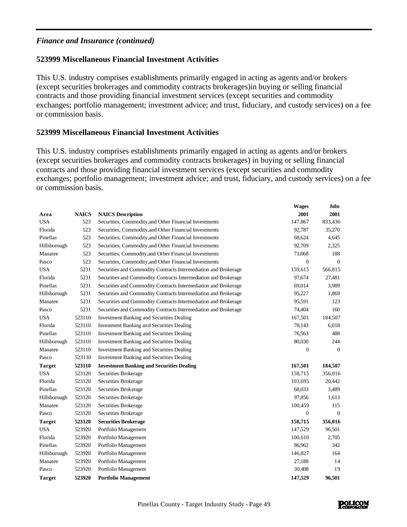#### **523999 Miscellaneous Financial Investment Activities**

This U.S. industry comprises establishments primarily engaged in acting as agents and/or brokers (except securities brokerages and commodity contracts brokerages)in buying or selling financial contracts and those providing financial investment services (except securities and commodity exchanges; portfolio management; investment advice; and trust, fiduciary, and custody services) on a fee or commission basis.

#### **523999 Miscellaneous Financial Investment Activities**

This U.S. industry comprises establishments primarily engaged in acting as agents and/or brokers (except securities brokerages and commodity contracts brokerages) in buying or selling financial contracts and those providing financial investment services (except securities and commodity exchanges; portfolio management; investment advice; and trust, fiduciary, and custody services) on a fee or commission basis.

|               |              |                                                                 | <b>Wages</b>     | <b>Jobs</b>    |
|---------------|--------------|-----------------------------------------------------------------|------------------|----------------|
| Area          | <b>NAICS</b> | <b>NAICS</b> Description                                        | 2001             | 2001           |
| <b>USA</b>    | 523          | Securities, Commodity, and Other Financial Investments          | 147,867          | 833,436        |
| Florida       | 523          | Securities, Commodity, and Other Financial Investments          | 92,787           | 35,270         |
| Pinellas      | 523          | Securities, Commodity, and Other Financial Investments          | 68,624           | 4,645          |
| Hillsborough  | 523          | Securities, Commodity, and Other Financial Investments          | 92,709           | 2,325          |
| Manatee       | 523          | Securities, Commodity, and Other Financial Investments          | 71,068           | 188            |
| Pasco         | 523          | Securities, Commodity, and Other Financial Investments          | $\boldsymbol{0}$ | $\mathbf{0}$   |
| <b>USA</b>    | 5231         | Securities and Commodity Contracts Intermediation and Brokerage | 159,615          | 566,815        |
| Florida       | 5231         | Securities and Commodity Contracts Intermediation and Brokerage | 97,674           | 27,481         |
| Pinellas      | 5231         | Securities and Commodity Contracts Intermediation and Brokerage | 69,014           | 3,989          |
| Hillsborough  | 5231         | Securities and Commodity Contracts Intermediation and Brokerage | 95,227           | 1,869          |
| Manatee       | 5231         | Securities and Commodity Contracts Intermediation and Brokerage | 95,591           | 123            |
| Pasco         | 5231         | Securities and Commodity Contracts Intermediation and Brokerage | 74,404           | 160            |
| <b>USA</b>    | 523110       | Investment Banking and Securities Dealing                       | 167,501          | 184,507        |
| Florida       | 523110       | Investment Banking and Securities Dealing                       | 78,143           | 6,018          |
| Pinellas      | 523110       | <b>Investment Banking and Securities Dealing</b>                | 76,563           | 488            |
| Hillsborough  | 523110       | Investment Banking and Securities Dealing                       | 80,030           | 244            |
| Manatee       | 523110       | Investment Banking and Securities Dealing                       | $\boldsymbol{0}$ | $\mathbf{0}$   |
| Pasco         | 523110       | Investment Banking and Securities Dealing                       |                  |                |
| <b>Target</b> | 523110       | <b>Investment Banking and Securities Dealing</b>                | 167,501          | 184,507        |
| <b>USA</b>    | 523120       | Securities Brokerage                                            | 158,715          | 356,016        |
| Florida       | 523120       | Securities Brokerage                                            | 103,695          | 20,442         |
| Pinellas      | 523120       | Securities Brokerage                                            | 68,033           | 3,489          |
| Hillsborough  | 523120       | Securities Brokerage                                            | 97,856           | 1,613          |
| Manatee       | 523120       | Securities Brokerage                                            | 100,459          | 115            |
| Pasco         | 523120       | Securities Brokerage                                            | $\overline{0}$   | $\overline{0}$ |
| <b>Target</b> | 523120       | <b>Securities Brokerage</b>                                     | 158,715          | 356,016        |
| <b>USA</b>    | 523920       | Portfolio Management                                            | 147,529          | 96,501         |
| Florida       | 523920       | Portfolio Management                                            | 100,610          | 2,705          |
| Pinellas      | 523920       | Portfolio Management                                            | 86,962           | 342            |
| Hillsborough  | 523920       | Portfolio Management                                            | 146,827          | 164            |
| Manatee       | 523920       | Portfolio Management                                            | 27,188           | 14             |
| Pasco         | 523920       | Portfolio Management                                            | 30,498           | 19             |
| Target        | 523920       | <b>Portfolio Management</b>                                     | 147,529          | 96,501         |

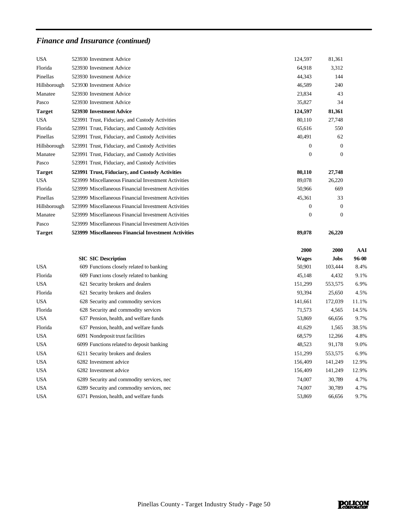| <b>USA</b>    | 523930 Investment Advice                             | 124,597          | 81,361           |       |
|---------------|------------------------------------------------------|------------------|------------------|-------|
| Florida       | 523930 Investment Advice                             | 64,918           | 3,312            |       |
| Pinellas      | 523930 Investment Advice                             | 44,343           | 144              |       |
| Hillsborough  | 523930 Investment Advice                             | 46,589           | 240              |       |
| Manatee       | 523930 Investment Advice                             | 23,834           | 43               |       |
| Pasco         | 523930 Investment Advice                             | 35,827           | 34               |       |
| <b>Target</b> | 523930 Investment Advice                             | 124,597          | 81,361           |       |
| <b>USA</b>    | 523991 Trust, Fiduciary, and Custody Activities      | 80,110           | 27,748           |       |
| Florida       | 523991 Trust, Fiduciary, and Custody Activities      | 65,616           | 550              |       |
| Pinellas      | 523991 Trust, Fiduciary, and Custody Activities      | 40,491           | 62               |       |
| Hillsborough  | 523991 Trust, Fiduciary, and Custody Activities      | $\boldsymbol{0}$ | $\boldsymbol{0}$ |       |
| Manatee       | 523991 Trust, Fiduciary, and Custody Activities      | $\mathbf{0}$     | 0                |       |
| Pasco         | 523991 Trust, Fiduciary, and Custody Activities      |                  |                  |       |
| <b>Target</b> | 523991 Trust, Fiduciary, and Custody Activities      | 80,110           | 27,748           |       |
| <b>USA</b>    | 523999 Miscellaneous Financial Investment Activities | 89,078           | 26,220           |       |
| Florida       | 523999 Miscellaneous Financial Investment Activities | 50,966           | 669              |       |
| Pinellas      | 523999 Miscellaneous Financial Investment Activities | 45,361           | 33               |       |
| Hillsborough  | 523999 Miscellaneous Financial Investment Activities | $\boldsymbol{0}$ | $\boldsymbol{0}$ |       |
| Manatee       | 523999 Miscellaneous Financial Investment Activities | $\overline{0}$   | $\overline{0}$   |       |
| Pasco         | 523999 Miscellaneous Financial Investment Activities |                  |                  |       |
| <b>Target</b> | 523999 Miscellaneous Financial Investment Activities | 89,078           | 26,220           |       |
|               |                                                      | 2000             | 2000             | AAI   |
|               | <b>SIC SIC Description</b>                           | <b>Wages</b>     | <b>Jobs</b>      | 96-00 |
| <b>USA</b>    | 609 Functions closely related to banking             | 50,901           | 103,444          | 8.4%  |
| Florida       | 609 Funct ions closely related to banking            | 45,148           | 4,432            | 9.1%  |
| <b>USA</b>    | 621 Security brokers and dealers                     | 151,299          | 553,575          | 6.9%  |
| Florida       | 621 Security brokers and dealers                     | 93,394           | 25,650           | 4.5%  |
| <b>USA</b>    | 628 Security and commodity services                  | 141,661          | 172,039          | 11.1% |
| Florida       | 628 Security and commodity services                  | 71,573           | 4,565            | 14.5% |
| <b>USA</b>    | 637 Pension, health, and welfare funds               | 53,869           | 66,656           | 9.7%  |
| Florida       | 637 Pension, health, and welfare funds               | 41,629           | 1,565            | 38.5% |
| <b>USA</b>    | 6091 Nondeposit trust facilities                     | 68,579           | 12,266           | 4.8%  |
| <b>USA</b>    | 6099 Functions related to deposit banking            | 48,523           | 91,178           | 9.0%  |
| <b>USA</b>    | 6211 Security brokers and dealers                    | 151,299          | 553,575          | 6.9%  |
| <b>USA</b>    | 6282 Investment advice                               | 156,409          | 141,249          | 12.9% |
| USA           | 6282 Investment advice                               | 156,409          | 141,249          | 12.9% |
| <b>USA</b>    | 6289 Security and commodity services, nec            | 74,007           | 30,789           | 4.7%  |
| <b>USA</b>    | 6289 Security and commodity services, nec            | 74,007           | 30,789           | 4.7%  |
| <b>USA</b>    | 6371 Pension, health, and welfare funds              | 53,869           | 66,656           | 9.7%  |

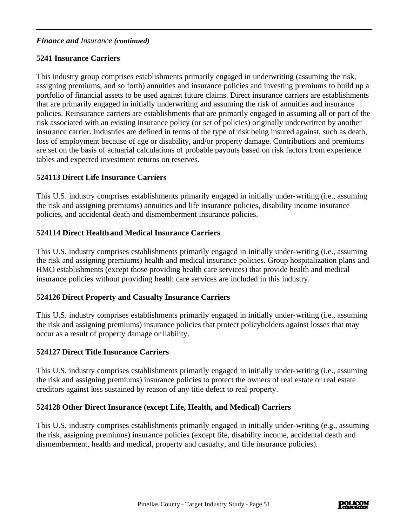# **5241 Insurance Carriers**

This industry group comprises establishments primarily engaged in underwriting (assuming the risk, assigning premiums, and so forth) annuities and insurance policies and investing premiums to build up a portfolio of financial assets to be used against future claims. Direct insurance carriers are establishments that are primarily engaged in initially underwriting and assuming the risk of annuities and insurance policies. Reinsurance carriers are establishments that are primarily engaged in assuming all or part of the risk associated with an existing insurance policy (or set of policies) originally underwritten by another insurance carrier. Industries are defined in terms of the type of risk being insured against, such as death, loss of employment because of age or disability, and/or property damage. Contributions and premiums are set on the basis of actuarial calculations of probable payouts based on risk factors from experience tables and expected investment returns on reserves.

# **524113 Direct Life Insurance Carriers**

This U.S. industry comprises establishments primarily engaged in initially under-writing (i.e., assuming the risk and assigning premiums) annuities and life insurance policies, disability income insurance policies, and accidental death and dismemberment insurance policies.

# **524114 Direct Health and Medical Insurance Carriers**

This U.S. industry comprises establishments primarily engaged in initially under-writing (i.e., assuming the risk and assigning premiums) health and medical insurance policies. Group hospitalization plans and HMO establishments (except those providing health care services) that provide health and medical insurance policies without providing health care services are included in this industry.

# **524126 Direct Property and Casualty Insurance Carriers**

This U.S. industry comprises establishments primarily engaged in initially under-writing (i.e., assuming the risk and assigning premiums) insurance policies that protect policyholders against losses that may occur as a result of property damage or liability.

# **524127 Direct Title Insurance Carriers**

This U.S. industry comprises establishments primarily engaged in initially under-writing (i.e., assuming the risk and assigning premiums) insurance policies to protect the owners of real estate or real estate creditors against loss sustained by reason of any title defect to real property.

# **524128 Other Direct Insurance (except Life, Health, and Medical) Carriers**

This U.S. industry comprises establishments primarily engaged in initially under-writing (e.g., assuming the risk, assigning premiums) insurance policies (except life, disability income, accidental death and dismemberment, health and medical, property and casualty, and title insurance policies).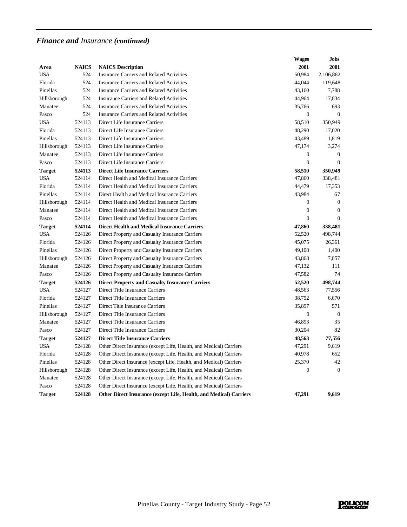|               |              |                                                                    | <b>Wages</b>     | <b>Jobs</b>  |
|---------------|--------------|--------------------------------------------------------------------|------------------|--------------|
| Area          | <b>NAICS</b> | <b>NAICS</b> Description                                           | 2001             | 2001         |
| <b>USA</b>    | 524          | <b>Insurance Carriers and Related Activities</b>                   | 50,984           | 2,106,882    |
| Florida       | 524          | <b>Insurance Carriers and Related Activities</b>                   | 44,044           | 119,648      |
| Pinellas      | 524          | <b>Insurance Carriers and Related Activities</b>                   | 43,160           | 7,788        |
| Hillsborough  | 524          | Insur ance Carriers and Related Activities                         | 44,964           | 17,834       |
| Manatee       | 524          | <b>Insurance Carriers and Related Activities</b>                   | 35,766           | 693          |
| Pasco         | 524          | <b>Insurance Carriers and Related Activities</b>                   | $\boldsymbol{0}$ | $\bf{0}$     |
| <b>USA</b>    | 524113       | Direct Life Insurance Carriers                                     | 58,510           | 350,949      |
| Florida       | 524113       | Direct Life Insurance Carriers                                     | 48,290           | 17,020       |
| Pinellas      | 524113       | Direct Life Insurance Carriers                                     | 43,489           | 1,819        |
| Hillsborough  | 524113       | Direct Life Insurance Carriers                                     | 47,174           | 3,274        |
| Manatee       | 524113       | Direct Life Insurance Carriers                                     | 0                | $\Omega$     |
| Pasco         | 524113       | Direct Life Insurance Carriers                                     | $\boldsymbol{0}$ | $\mathbf{0}$ |
| <b>Target</b> | 524113       | <b>Direct Life Insurance Carriers</b>                              | 58,510           | 350,949      |
| <b>USA</b>    | 524114       | Direct Health and Medical Insurance Carriers                       | 47,860           | 338,481      |
| Florida       | 524114       | Direct Health and Medical Insurance Carriers                       | 44,479           | 17,353       |
| Pinellas      | 524114       | Direct Healt h and Medical Insurance Carriers                      | 43,984           | 67           |
| Hillsborough  | 524114       | Direct Health and Medical Insurance Carriers                       | $\overline{0}$   | $\mathbf{0}$ |
| Manatee       | 524114       | Direct Health and Medical Insurance Carriers                       | $\overline{0}$   | $\mathbf{0}$ |
| Pasco         | 524114       | Direct Health and Medical Insurance Carriers                       | $\theta$         | $\Omega$     |
| <b>Target</b> | 524114       | <b>Direct Health and Medical Insurance Carriers</b>                | 47,860           | 338,481      |
| <b>USA</b>    | 524126       | Direct Property and Casualty Insurance Carriers                    | 52,520           | 498,744      |
| Florida       | 524126       | Direct Property and Casualty Insurance Carriers                    | 45,075           | 26,361       |
| Pinellas      | 524126       | Direct Property and Casualty Insurance Carriers                    | 49,108           | 1,400        |
| Hillsborough  | 524126       | Direct Property and Casualty Insurance Carriers                    | 43,868           | 7,057        |
| Manatee       | 524126       | Direct Property and Casualty Insurance Carriers                    | 47,132           | 111          |
| Pasco         | 524126       | Direct Property and Casualty Insurance Carriers                    | 47,582           | 74           |
| <b>Target</b> | 524126       | <b>Direct Property and Casualty Insurance Carriers</b>             | 52,520           | 498,744      |
| <b>USA</b>    | 524127       | Direct Title Insurance Carriers                                    | 48,563           | 77,556       |
| Florida       | 524127       | Direct Title Insurance Carriers                                    | 38,752           | 6,670        |
| Pinellas      | 524127       | Direct Title Insurance Carriers                                    | 35,897           | 571          |
| Hillsborough  | 524127       | Direct Title Insurance Carriers                                    | $\overline{0}$   | $\theta$     |
| Manatee       | 524127       | Direct Title Insurance Carriers                                    | 46,893           | 35           |
| Pasco         | 524127       | Direct Title Insurance Carriers                                    | 30,204           | 82           |
| <b>Target</b> | 524127       | <b>Direct Title Insurance Carriers</b>                             | 48,563           | 77,556       |
| <b>USA</b>    | 524128       | Other Direct Insurance (except Life, Health, and Medical) Carriers | 47,291           | 9,619        |
| Florida       | 524128       | Other Direct Insurance (except Life, Health, and Medical) Carriers | 40,978           | 652          |
| Pinellas      | 524128       | Other Direct Insurance (except Life, Health, and Medical) Carriers | 25,370           | 42           |
| Hillsborough  | 524128       | Other Direct Insurance (except Life, Health, and Medical) Carriers | $\overline{0}$   | $\Omega$     |
| Manatee       | 524128       | Other Direct Insurance (except Life, Health, and Medical) Carriers |                  |              |
| Pasco         | 524128       | Other Direct Insurance (except Life, Health, and Medical) Carriers |                  |              |
| <b>Target</b> | 524128       | Other Direct Insurance (except Life, Health, and Medical) Carriers | 47,291           | 9,619        |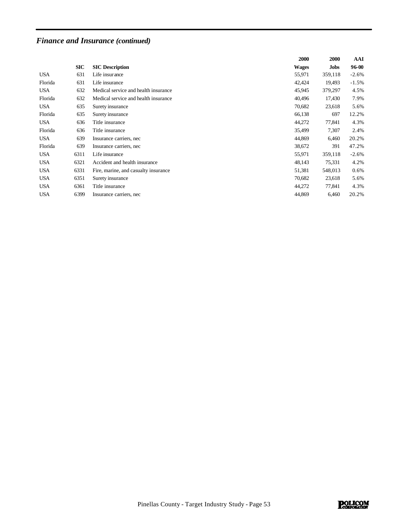|            |            |                                      | 2000         | 2000        | AAI     |
|------------|------------|--------------------------------------|--------------|-------------|---------|
|            | <b>SIC</b> | <b>SIC</b> Description               | <b>Wages</b> | <b>Jobs</b> | 96-00   |
| <b>USA</b> | 631        | Life insurance                       | 55,971       | 359,118     | $-2.6%$ |
| Florida    | 631        | Life insurance                       | 42,424       | 19,493      | $-1.5%$ |
| <b>USA</b> | 632        | Medical service and health insurance | 45,945       | 379,297     | 4.5%    |
| Florida    | 632        | Medical service and health insurance | 40,496       | 17,430      | 7.9%    |
| <b>USA</b> | 635        | Surety insurance                     | 70,682       | 23,618      | 5.6%    |
| Florida    | 635        | Surety insurance                     | 66,138       | 697         | 12.2%   |
| <b>USA</b> | 636        | Title insurance                      | 44,272       | 77,841      | 4.3%    |
| Florida    | 636        | Title insurance                      | 35,499       | 7,307       | 2.4%    |
| <b>USA</b> | 639        | Insurance carriers, nec              | 44,869       | 6,460       | 20.2%   |
| Florida    | 639        | Insurance carriers, nec              | 38,672       | 391         | 47.2%   |
| <b>USA</b> | 6311       | Life insurance                       | 55,971       | 359,118     | $-2.6%$ |
| <b>USA</b> | 6321       | Accident and health insurance        | 48,143       | 75,331      | 4.2%    |
| <b>USA</b> | 6331       | Fire, marine, and casualty insurance | 51,381       | 548,013     | 0.6%    |
| <b>USA</b> | 6351       | Surety insurance                     | 70,682       | 23,618      | 5.6%    |
| <b>USA</b> | 6361       | Title insurance                      | 44,272       | 77,841      | 4.3%    |
| <b>USA</b> | 6399       | Insurance carriers, nec              | 44,869       | 6,460       | 20.2%   |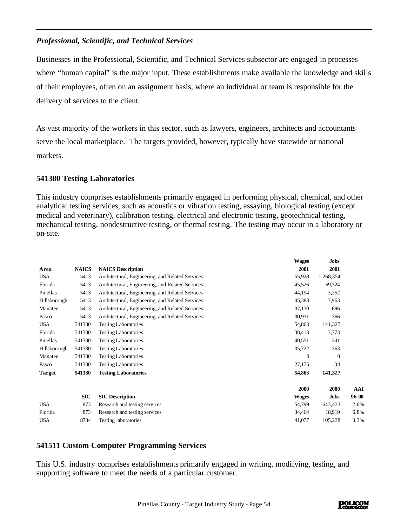## *Professional, Scientific, and Technical Services*

Businesses in the Professional, Scientific, and Technical Services subsector are engaged in processes where "human capital" is the major input. These establishments make available the knowledge and skills of their employees, often on an assignment basis, where an individual or team is responsible for the delivery of services to the client.

As vast majority of the workers in this sector, such as lawyers, engineers, architects and accountants serve the local marketplace. The targets provided, however, typically have statewide or national markets.

#### **541380 Testing Laboratories**

This industry comprises establishments primarily engaged in performing physical, chemical, and other analytical testing services, such as acoustics or vibration testing, assaying, biological testing (except medical and veterinary), calibration testing, electrical and electronic testing, geotechnical testing, mechanical testing, nondestructive testing, or thermal testing. The testing may occur in a laboratory or on-site.

|               |              |                                                  | <b>Wages</b> | <b>Jobs</b>  |       |
|---------------|--------------|--------------------------------------------------|--------------|--------------|-------|
| Area          | <b>NAICS</b> | <b>NAICS</b> Description                         | 2001         | 2001         |       |
| <b>USA</b>    | 5413         | Architectural, Engineering, and Related Services | 55,928       | 1,268,354    |       |
| Florida       | 5413         | Architectural, Engineering, and Related Services | 45,526       | 69,324       |       |
| Pinellas      | 5413         | Architectural, Engineering, and Related Services | 44,194       | 3,252        |       |
| Hillsborough  | 5413         | Architectural, Engineering, and Related Services | 45,388       | 7,963        |       |
| Manatee       | 5413         | Architectural, Engineering, and Related Services | 37,130       | 696          |       |
| Pasco         | 5413         | Architectural, Engineering, and Related Services | 30,931       | 366          |       |
| <b>USA</b>    | 541380       | <b>Testing Laboratories</b>                      | 54,863       | 141,327      |       |
| Florida       | 541380       | <b>Testing Laboratories</b>                      | 38,413       | 3,773        |       |
| Pinellas      | 541380       | <b>Testing Laboratories</b>                      | 40,551       | 241          |       |
| Hillsborough  | 541380       | <b>Testing Laboratories</b>                      | 35,722       | 363          |       |
| Manatee       | 541380       | <b>Testing Laboratories</b>                      | $\mathbf{0}$ | $\mathbf{0}$ |       |
| Pasco         | 541380       | <b>Testing Laboratories</b>                      | 27,175       | 34           |       |
| <b>Target</b> | 541380       | <b>Testing Laboratories</b>                      | 54,863       | 141,327      |       |
|               |              |                                                  | 2000         | 2000         | AAI   |
|               | SLC          | <b>SIC</b> Description                           | <b>Wages</b> | <b>Jobs</b>  | 96-00 |
| <b>USA</b>    | 873          | Research and testing services                    | 54,799       | 643,433      | 2.6%  |
| Florida       | 873          | Research and testing services                    | 34,464       | 18,919       | 6.8%  |
| <b>USA</b>    | 8734         | <b>Testing laboratories</b>                      | 41,077       | 105,238      | 3.3%  |

#### **541511 Custom Computer Programming Services**

This U.S. industry comprises establishments primarily engaged in writing, modifying, testing, and supporting software to meet the needs of a particular customer.

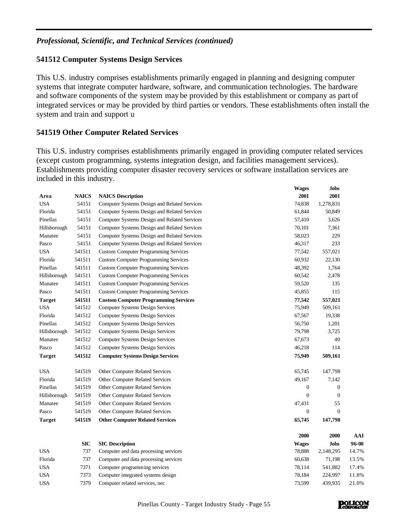# *Professional, Scientific, and Technical Services (continued)*

# **541512 Computer Systems Design Services**

This U.S. industry comprises establishments primarily engaged in planning and designing computer systems that integrate computer hardware, software, and communication technologies. The hardware and software components of the system may be provided by this establishment or company as part of integrated services or may be provided by third parties or vendors. These establishments often install the system and train and support u

#### **541519 Other Computer Related Services**

This U.S. industry comprises establishments primarily engaged in providing computer related services (except custom programming, systems integration design, and facilities management services). Establishments providing computer disaster recovery services or software installation services are included in this industry.

|               |              |                                              | <b>Wages</b>     | <b>Jobs</b>    |       |
|---------------|--------------|----------------------------------------------|------------------|----------------|-------|
| Area          | <b>NAICS</b> | <b>NAICS Description</b>                     | 2001             | 2001           |       |
| <b>USA</b>    | 54151        | Computer Systems Design and Related Services | 74,838           | 1,278,831      |       |
| Florida       | 54151        | Computer Systems Design and Related Services | 61,844           | 50,849         |       |
| Pinellas      | 54151        | Computer Systems Design and Related Services | 57,410           | 3,626          |       |
| Hillsborough  | 54151        | Computer Systems Design and Related Services | 70,101           | 7,361          |       |
| Manatee       | 54151        | Computer Systems Design and Related Services | 58,023           | 229            |       |
| Pasco         | 54151        | Computer Systems Design and Related Services | 46,317           | 233            |       |
| <b>USA</b>    | 541511       | <b>Custom Computer Programming Services</b>  | 77,542           | 557,021        |       |
| Florida       | 541511       | <b>Custom Computer Programming Services</b>  | 60,932           | 22,130         |       |
| Pinellas      | 541511       | <b>Custom Computer Programming Services</b>  | 48,392           | 1,764          |       |
| Hillsborough  | 541511       | <b>Custom Computer Programming Services</b>  | 60,542           | 2,478          |       |
| Manatee       | 541511       | <b>Custom Computer Programming Services</b>  | 59,520           | 135            |       |
| Pasco         | 541511       | <b>Custom Computer Programming Services</b>  | 45,855           | 115            |       |
| <b>Target</b> | 541511       | <b>Custom Computer Programming Services</b>  | 77,542           | 557,021        |       |
| <b>USA</b>    | 541512       | Computer Systems Design Services             | 75,949           | 509,161        |       |
| Florida       | 541512       | Computer Systems Design Services             | 67,567           | 19,338         |       |
| Pinellas      | 541512       | Computer Systems Design Services             | 56,750           | 1,201          |       |
| Hillsborough  | 541512       | <b>Computer Systems Design Services</b>      | 79,798           | 3,725          |       |
| Manatee       | 541512       | <b>Computer Systems Design Services</b>      | 67,673           | 40             |       |
| Pasco         | 541512       | Computer Systems Design Services             | 46,218           | 114            |       |
| <b>Target</b> | 541512       | <b>Computer Systems Design Services</b>      | 75,949           | 509,161        |       |
| <b>USA</b>    | 541519       | Other Computer Related Services              | 65,745           | 147,798        |       |
| Florida       | 541519       | Other Computer Related Services              | 49,167           | 7,142          |       |
| Pinellas      | 541519       | Other Computer Related Services              | $\boldsymbol{0}$ | $\mathbf{0}$   |       |
| Hillsborough  | 541519       | Other Computer Related Services              | $\overline{0}$   | $\mathbf{0}$   |       |
| Manatee       | 541519       | Other Computer Related Services              | 47,431           | 55             |       |
| Pasco         | 541519       | Other Computer Related Services              | $\boldsymbol{0}$ | $\overline{0}$ |       |
| <b>Target</b> | 541519       | <b>Other Computer Related Services</b>       | 65,745           | 147,798        |       |
|               |              |                                              | 2000             | 2000           | AAI   |
|               | <b>SIC</b>   | <b>SIC Description</b>                       | <b>Wages</b>     | Jobs           | 96-00 |
| <b>USA</b>    | 737          | Computer and data processing services        | 78,888           | 2,148,295      | 14.7% |
| Florida       | 737          | Computer and data processing services        | 60,638           | 71,198         | 13.5% |
| <b>USA</b>    | 7371         | Computer programming services                | 78,114           | 541,882        | 17.4% |
| <b>USA</b>    | 7373         | Computer integrated systems design           | 78,184           | 224,997        | 11.8% |



USA 7379 Computer related services, nec 73,599 439,935 21.0%

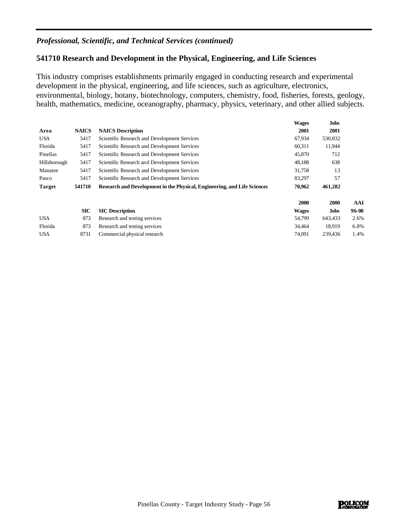#### *Professional, Scientific, and Technical Services (continued)*

#### **541710 Research and Development in the Physical, Engineering, and Life Sciences**

This industry comprises establishments primarily engaged in conducting research and experimental development in the physical, engineering, and life sciences, such as agriculture, electronics, environmental, biology, botany, biotechnology, computers, chemistry, food, fisheries, forests, geology, health, mathematics, medicine, oceanography, pharmacy, physics, veterinary, and other allied subjects.

|               |                         |                                                                          | <b>Wages</b> | <b>Jobs</b> |       |
|---------------|-------------------------|--------------------------------------------------------------------------|--------------|-------------|-------|
| Area          | <b>NAICS</b>            | <b>NAICS</b> Description                                                 | 2001         | 2001        |       |
| <b>USA</b>    | 5417                    | Scientific Research and Development Services                             | 67,934       | 530,832     |       |
| Florida       | 5417                    | Scientific Research and Development Services                             | 60,311       | 11,944      |       |
| Pinellas      | 5417                    | Scientific Research and Development Services                             | 45,870       | 712         |       |
| Hillsborough  | 5417                    | Scientific Research and Development Services                             | 48,188       | 638         |       |
| Manatee       | 5417                    | Scientific Research and Development Services                             | 31,758       | 13          |       |
| Pasco         | 5417                    | Scientific Research and Development Services                             | 83,297       | 57          |       |
| <b>Target</b> | 541710                  | Research and Development in the Physical, Engineering, and Life Sciences | 70,962       | 461,282     |       |
|               |                         |                                                                          | 2000         | 2000        | AAI   |
|               | $\overline{\text{SIC}}$ | <b>SIC</b> Description                                                   | <b>Wages</b> | <b>Jobs</b> | 96-00 |
| <b>USA</b>    | 873                     | Research and testing services                                            | 54,799       | 643,433     | 2.6%  |
| Florida       | 873                     | Research and testing services                                            | 34.464       | 18,919      | 6.8%  |

USA 8731 Commercial physical research 74,091 239,436 1.4%

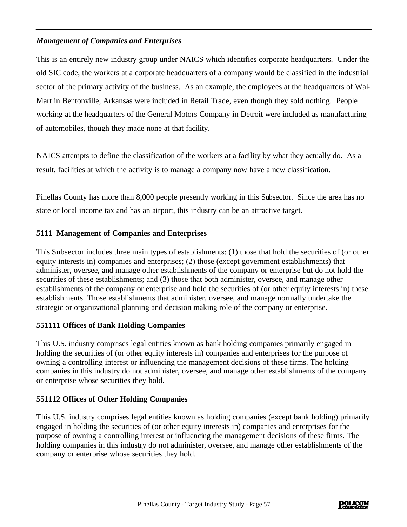# *Management of Companies and Enterprises*

This is an entirely new industry group under NAICS which identifies corporate headquarters. Under the old SIC code, the workers at a corporate headquarters of a company would be classified in the industrial sector of the primary activity of the business. As an example, the employees at the headquarters of Wal-Mart in Bentonville, Arkansas were included in Retail Trade, even though they sold nothing. People working at the headquarters of the General Motors Company in Detroit were included as manufacturing of automobiles, though they made none at that facility.

NAICS attempts to define the classification of the workers at a facility by what they actually do. As a result, facilities at which the activity is to manage a company now have a new classification.

Pinellas County has more than 8,000 people presently working in this Subsector. Since the area has no state or local income tax and has an airport, this industry can be an attractive target.

#### **5111 Management of Companies and Enterprises**

This Subsector includes three main types of establishments: (1) those that hold the securities of (or other equity interests in) companies and enterprises; (2) those (except government establishments) that administer, oversee, and manage other establishments of the company or enterprise but do not hold the securities of these establishments; and (3) those that both administer, oversee, and manage other establishments of the company or enterprise and hold the securities of (or other equity interests in) these establishments. Those establishments that administer, oversee, and manage normally undertake the strategic or organizational planning and decision making role of the company or enterprise.

#### **551111 Offices of Bank Holding Companies**

This U.S. industry comprises legal entities known as bank holding companies primarily engaged in holding the securities of (or other equity interests in) companies and enterprises for the purpose of owning a controlling interest or influencing the management decisions of these firms. The holding companies in this industry do not administer, oversee, and manage other establishments of the company or enterprise whose securities they hold.

# **551112 Offices of Other Holding Companies**

This U.S. industry comprises legal entities known as holding companies (except bank holding) primarily engaged in holding the securities of (or other equity interests in) companies and enterprises for the purpose of owning a controlling interest or influencing the management decisions of these firms. The holding companies in this industry do not administer, oversee, and manage other establishments of the company or enterprise whose securities they hold.

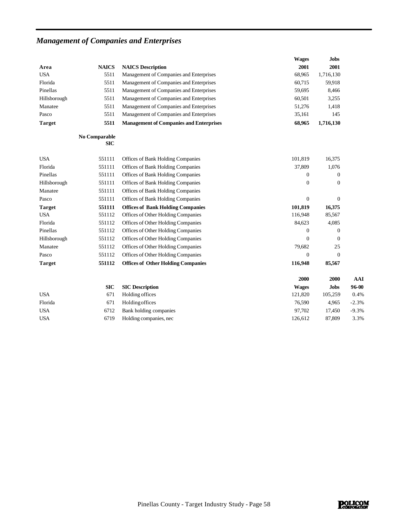# *Management of Companies and Enterprises*

|               |                             |                                                | <b>Wages</b>     | <b>Jobs</b>      |         |
|---------------|-----------------------------|------------------------------------------------|------------------|------------------|---------|
| Area          | <b>NAICS</b>                | <b>NAICS Description</b>                       | 2001             | 2001             |         |
| <b>USA</b>    | 5511                        | Management of Companies and Enterprises        | 68,965           | 1,716,130        |         |
| Florida       | 5511                        | Management of Companies and Enterprises        | 60,715           | 59,918           |         |
| Pinellas      | 5511                        | Management of Companies and Enterprises        | 59,695           | 8,466            |         |
| Hillsborough  | 5511                        | Management of Companies and Enterprises        | 60,501           | 3,255            |         |
| Manatee       | 5511                        | Management of Companies and Enterprises        | 51,276           | 1,418            |         |
| Pasco         | 5511                        | Management of Companies and Enterprises        | 35,161           | 145              |         |
| <b>Target</b> | 5511                        | <b>Management of Companies and Enterprises</b> | 68,965           | 1,716,130        |         |
|               | No Comparable<br><b>SIC</b> |                                                |                  |                  |         |
| <b>USA</b>    | 551111                      | Offices of Bank Holding Companies              | 101,819          | 16,375           |         |
| Florida       | 551111                      | Offices of Bank Holding Companies              | 37,809           | 1,076            |         |
| Pinellas      | 551111                      | Offices of Bank Holding Companies              | $\mathbf{0}$     | $\mathbf{0}$     |         |
| Hillsborough  | 551111                      | Offices of Bank Holding Companies              | $\boldsymbol{0}$ | $\mathbf{0}$     |         |
| Manatee       | 551111                      | Offices of Bank Holding Companies              |                  |                  |         |
| Pasco         | 551111                      | Offices of Bank Holding Companies              | $\boldsymbol{0}$ | $\boldsymbol{0}$ |         |
| <b>Target</b> | 551111                      | <b>Offices of Bank Holding Companies</b>       | 101,819          | 16,375           |         |
| <b>USA</b>    | 551112                      | Offices of Other Holding Companies             | 116,948          | 85,567           |         |
| Florida       | 551112                      | Offices of Other Holding Companies             | 84,623           | 4,085            |         |
| Pinellas      | 551112                      | Offices of Other Holding Companies             | $\boldsymbol{0}$ | $\boldsymbol{0}$ |         |
| Hillsborough  | 551112                      | Offices of Other Holding Companies             | $\overline{0}$   | $\mathbf{0}$     |         |
| Manatee       | 551112                      | Offices of Other Holding Companies             | 79,682           | 25               |         |
| Pasco         | 551112                      | Offices of Other Holding Companies             | $\boldsymbol{0}$ | $\boldsymbol{0}$ |         |
| <b>Target</b> | 551112                      | <b>Offices of Other Holding Companies</b>      | 116,948          | 85,567           |         |
|               |                             |                                                | 2000             | 2000             | AAI     |
|               | <b>SIC</b>                  | <b>SIC</b> Description                         | <b>Wages</b>     | <b>Jobs</b>      | 96-00   |
| <b>USA</b>    | 671                         | Holding offices                                | 121,820          | 105,259          | 0.4%    |
| Florida       | 671                         | Holding offices                                | 76,590           | 4,965            | $-2.3%$ |
| <b>USA</b>    | 6712                        | Bank holding companies                         | 97,702           | 17,450           | $-9.3%$ |
| <b>USA</b>    | 6719                        | Holding companies, nec                         | 126,612          | 87,809           | 3.3%    |

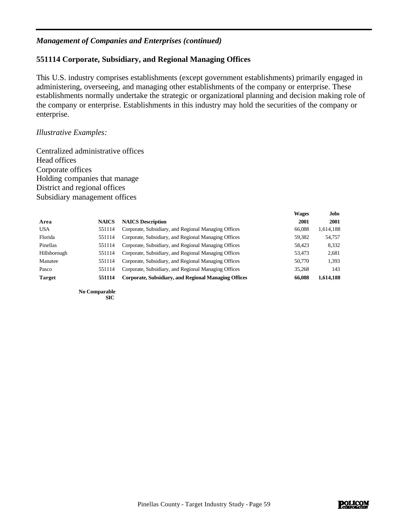## *Management of Companies and Enterprises (continued)*

#### **551114 Corporate, Subsidiary, and Regional Managing Offices**

This U.S. industry comprises establishments (except government establishments) primarily engaged in administering, overseeing, and managing other establishments of the company or enterprise. These establishments normally undertake the strategic or organizational planning and decision making role of the company or enterprise. Establishments in this industry may hold the securities of the company or enterprise.

#### *Illustrative Examples:*

Centralized administrative offices Head offices Corporate offices Holding companies that manage District and regional offices Subsidiary management offices

|               |              |                                                             | <b>Wages</b> | Jobs      |
|---------------|--------------|-------------------------------------------------------------|--------------|-----------|
| Area          | <b>NAICS</b> | <b>NAICS Description</b>                                    | 2001         | 2001      |
| <b>USA</b>    | 551114       | Corporate, Subsidiary, and Regional Managing Offices        | 66,088       | 1,614,188 |
| Florida       | 551114       | Corporate, Subsidiary, and Regional Managing Offices        | 59,382       | 54,757    |
| Pinellas      | 551114       | Corporate, Subsidiary, and Regional Managing Offices        | 58.423       | 8,332     |
| Hillsborough  | 551114       | Corporate, Subsidiary, and Regional Managing Offices        | 53.473       | 2,681     |
| Manatee       | 551114       | Corporate, Subsidiary, and Regional Managing Offices        | 50,770       | 1.393     |
| Pasco         | 551114       | Corporate, Subsidiary, and Regional Managing Offices        | 35.268       | 143       |
| <b>Target</b> | 551114       | <b>Corporate, Subsidiary, and Regional Managing Offices</b> | 66,088       | 1,614,188 |

**No Comparable SIC**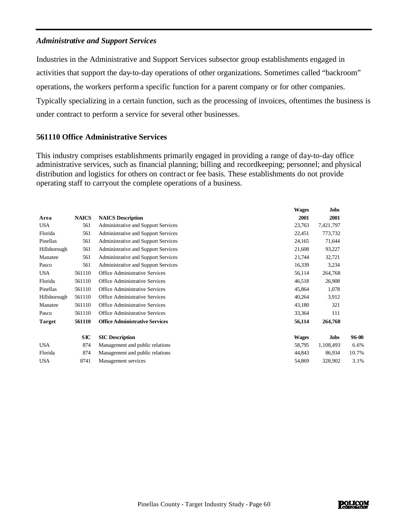#### *Administrative and Support Services*

Industries in the Administrative and Support Services subsector group establishments engaged in activities that support the day-to-day operations of other organizations. Sometimes called "backroom" operations, the workers perform a specific function for a parent company or for other companies. Typically specializing in a certain function, such as the processing of invoices, oftentimes the business is under contract to perform a service for several other businesses.

#### **561110 Office Administrative Services**

This industry comprises establishments primarily engaged in providing a range of day-to-day office administrative services, such as financial planning; billing and recordkeeping; personnel; and physical distribution and logistics for others on contract or fee basis. These establishments do not provide operating staff to carryout the complete operations of a business.

|               |              |                                       | <b>Wages</b> | <b>Jobs</b> |       |
|---------------|--------------|---------------------------------------|--------------|-------------|-------|
| Area          | <b>NAICS</b> | <b>NAICS Description</b>              | 2001         | 2001        |       |
| <b>USA</b>    | 561          | Administrative and Support Services   | 23,763       | 7,421,797   |       |
| Florida       | 561          | Administrative and Support Services   | 22,451       | 773,732     |       |
| Pinellas      | 561          | Administrative and Support Services   | 24,165       | 71,644      |       |
| Hillsborough  | 561          | Administrative and Support Services   | 21,608       | 93,227      |       |
| Manatee       | 561          | Administrative and Support Services   | 21,744       | 32,721      |       |
| Pasco         | 561          | Administrative and Support Services   | 16,339       | 3,234       |       |
| <b>USA</b>    | 561110       | <b>Office Administrative Services</b> | 56,114       | 264,768     |       |
| Florida       | 561110       | <b>Office Administrative Services</b> | 46,518       | 26,908      |       |
| Pinellas      | 561110       | <b>Office Administrative Services</b> | 45,864       | 1,078       |       |
| Hillsborough  | 561110       | <b>Office Administrative Services</b> | 40,264       | 3.912       |       |
| Manatee       | 561110       | <b>Office Administrative Services</b> | 43,180       | 321         |       |
| Pasco         | 561110       | <b>Office Administrative Services</b> | 33,364       | 111         |       |
| <b>Target</b> | 561110       | <b>Office Administrative Services</b> | 56,114       | 264,768     |       |
|               | SIC          | <b>SIC</b> Description                | <b>Wages</b> | <b>Jobs</b> | 96-00 |
| <b>USA</b>    | 874          | Management and public relations       | 58,795       | 1,108,493   | 6.6%  |
| Florida       | 874          | Management and public relations       | 44,843       | 86,934      | 10.7% |
| <b>USA</b>    | 8741         | Management services                   | 54,869       | 328,902     | 3.1%  |

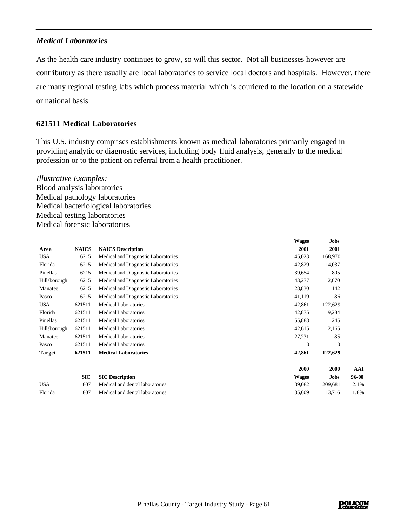#### *Medical Laboratories*

As the health care industry continues to grow, so will this sector. Not all businesses however are contributory as there usually are local laboratories to service local doctors and hospitals. However, there are many regional testing labs which process material which is couriered to the location on a statewide or national basis.

#### **621511 Medical Laboratories**

This U.S. industry comprises establishments known as medical laboratories primarily engaged in providing analytic or diagnostic services, including body fluid analysis, generally to the medical profession or to the patient on referral from a health practitioner.

*Illustrative Examples:* Blood analysis laboratories Medical pathology laboratories Medical bacteriological laboratories Medical testing laboratories Medical forensic laboratories

|               |              |                                     | <b>Wages</b> | <b>Jobs</b> |       |
|---------------|--------------|-------------------------------------|--------------|-------------|-------|
| Area          | <b>NAICS</b> | <b>NAICS</b> Description            | 2001         | 2001        |       |
| <b>USA</b>    | 6215         | Medical and Diagnostic Laboratories | 45,023       | 168,970     |       |
| Florida       | 6215         | Medical and Diagnostic Laboratories | 42,829       | 14,037      |       |
| Pinellas      | 6215         | Medical and Diagnostic Laboratories | 39,654       | 805         |       |
| Hillsborough  | 6215         | Medical and Diagnostic Laboratories | 43,277       | 2,670       |       |
| Manatee       | 6215         | Medical and Diagnostic Laboratories | 28,830       | 142         |       |
| Pasco         | 6215         | Medical and Diagnostic Laboratories | 41,119       | 86          |       |
| <b>USA</b>    | 621511       | <b>Medical Laboratories</b>         | 42,861       | 122,629     |       |
| Florida       | 621511       | <b>Medical Laboratories</b>         | 42,875       | 9,284       |       |
| Pinellas      | 621511       | <b>Medical Laboratories</b>         | 55,888       | 245         |       |
| Hillsborough  | 621511       | <b>Medical Laboratories</b>         | 42,615       | 2,165       |       |
| Manatee       | 621511       | <b>Medical Laboratories</b>         | 27,231       | 85          |       |
| Pasco         | 621511       | <b>Medical Laboratories</b>         | $\mathbf{0}$ | $\Omega$    |       |
| <b>Target</b> | 621511       | <b>Medical Laboratories</b>         | 42,861       | 122,629     |       |
|               |              |                                     | 2000         | 2000        | AAI   |
|               | SIC          | <b>SIC Description</b>              | <b>Wages</b> | <b>Jobs</b> | 96-00 |
| <b>USA</b>    | 807          | Medical and dental laboratories     | 39,082       | 209,681     | 2.1%  |
| Florida       | 807          | Medical and dental laboratories     | 35,609       | 13,716      | 1.8%  |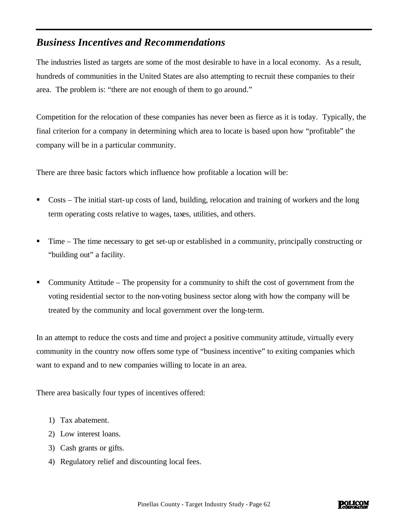# *Business Incentives and Recommendations*

The industries listed as targets are some of the most desirable to have in a local economy. As a result, hundreds of communities in the United States are also attempting to recruit these companies to their area. The problem is: "there are not enough of them to go around."

Competition for the relocation of these companies has never been as fierce as it is today. Typically, the final criterion for a company in determining which area to locate is based upon how "profitable" the company will be in a particular community.

There are three basic factors which influence how profitable a location will be:

- ß Costs The initial start-up costs of land, building, relocation and training of workers and the long term operating costs relative to wages, taxes, utilities, and others.
- ß Time The time necessary to get set-up or established in a community, principally constructing or "building out" a facility.
- ß Community Attitude The propensity for a community to shift the cost of government from the voting residential sector to the non-voting business sector along with how the company will be treated by the community and local government over the long-term.

In an attempt to reduce the costs and time and project a positive community attitude, virtually every community in the country now offers some type of "business incentive" to exiting companies which want to expand and to new companies willing to locate in an area.

There area basically four types of incentives offered:

- 1) Tax abatement.
- 2) Low interest loans.
- 3) Cash grants or gifts.
- 4) Regulatory relief and discounting local fees.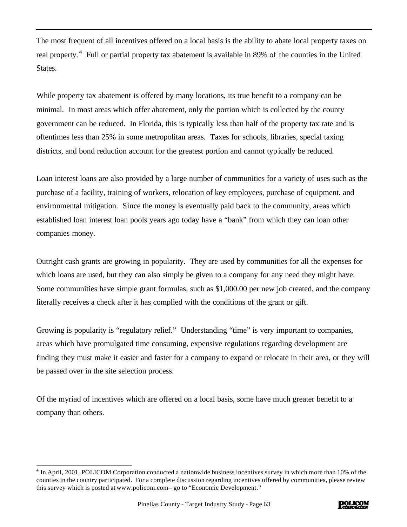The most frequent of all incentives offered on a local basis is the ability to abate local property taxes on real property.<sup>4</sup> Full or partial property tax abatement is available in 89% of the counties in the United States.

While property tax abatement is offered by many locations, its true benefit to a company can be minimal. In most areas which offer abatement, only the portion which is collected by the county government can be reduced. In Florida, this is typically less than half of the property tax rate and is oftentimes less than 25% in some metropolitan areas. Taxes for schools, libraries, special taxing districts, and bond reduction account for the greatest portion and cannot typically be reduced.

Loan interest loans are also provided by a large number of communities for a variety of uses such as the purchase of a facility, training of workers, relocation of key employees, purchase of equipment, and environmental mitigation. Since the money is eventually paid back to the community, areas which established loan interest loan pools years ago today have a "bank" from which they can loan other companies money.

Outright cash grants are growing in popularity. They are used by communities for all the expenses for which loans are used, but they can also simply be given to a company for any need they might have. Some communities have simple grant formulas, such as \$1,000.00 per new job created, and the company literally receives a check after it has complied with the conditions of the grant or gift.

Growing is popularity is "regulatory relief." Understanding "time" is very important to companies, areas which have promulgated time consuming, expensive regulations regarding development are finding they must make it easier and faster for a company to expand or relocate in their area, or they will be passed over in the site selection process.

Of the myriad of incentives which are offered on a local basis, some have much greater benefit to a company than others.



 4 In April, 2001, POLICOM Corporation conducted a nationwide business incentives survey in which more than 10% of the counties in the country participated. For a complete discussion regarding incentives offered by communities, please review this survey which is posted at www.policom.com– go to "Economic Development."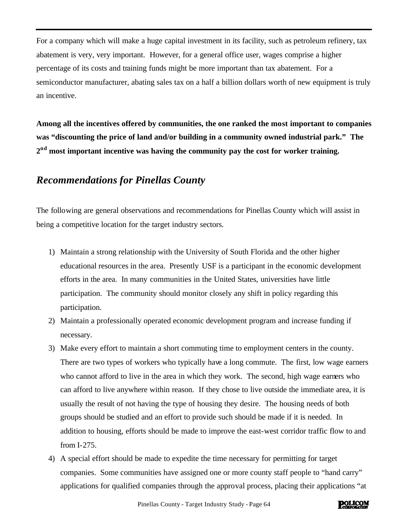For a company which will make a huge capital investment in its facility, such as petroleum refinery, tax abatement is very, very important. However, for a general office user, wages comprise a higher percentage of its costs and training funds might be more important than tax abatement. For a semiconductor manufacturer, abating sales tax on a half a billion dollars worth of new equipment is truly an incentive.

**Among all the incentives offered by communities, the one ranked the most important to companies was "discounting the price of land and/or building in a community owned industrial park." The 2 nd most important incentive was having the community pay the cost for worker training.**

# *Recommendations for Pinellas County*

The following are general observations and recommendations for Pinellas County which will assist in being a competitive location for the target industry sectors.

- 1) Maintain a strong relationship with the University of South Florida and the other higher educational resources in the area. Presently USF is a participant in the economic development efforts in the area. In many communities in the United States, universities have little participation. The community should monitor closely any shift in policy regarding this participation.
- 2) Maintain a professionally operated economic development program and increase funding if necessary.
- 3) Make every effort to maintain a short commuting time to employment centers in the county. There are two types of workers who typically have a long commute. The first, low wage earners who cannot afford to live in the area in which they work. The second, high wage earners who can afford to live anywhere within reason. If they chose to live outside the immediate area, it is usually the result of not having the type of housing they desire. The housing needs of both groups should be studied and an effort to provide such should be made if it is needed. In addition to housing, efforts should be made to improve the east-west corridor traffic flow to and from I-275.
- 4) A special effort should be made to expedite the time necessary for permitting for target companies. Some communities have assigned one or more county staff people to "hand carry" applications for qualified companies through the approval process, placing their applications "at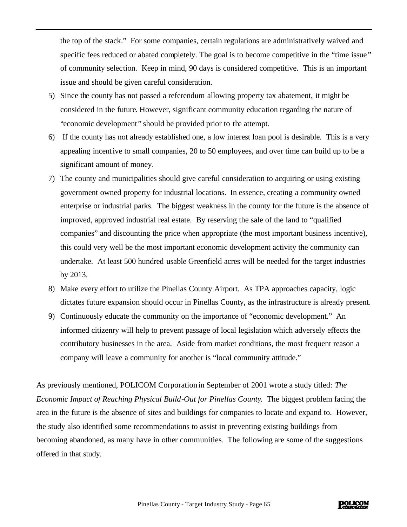the top of the stack." For some companies, certain regulations are administratively waived and specific fees reduced or abated completely. The goal is to become competitive in the "time issue" of community selection. Keep in mind, 90 days is considered competitive. This is an important issue and should be given careful consideration.

- 5) Since the county has not passed a referendum allowing property tax abatement, it might be considered in the future. However, significant community education regarding the nature of "economic development " should be provided prior to the attempt.
- 6) If the county has not already established one, a low interest loan pool is desirable. This is a very appealing incentive to small companies, 20 to 50 employees, and over time can build up to be a significant amount of money.
- 7) The county and municipalities should give careful consideration to acquiring or using existing government owned property for industrial locations. In essence, creating a community owned enterprise or industrial parks. The biggest weakness in the county for the future is the absence of improved, approved industrial real estate. By reserving the sale of the land to "qualified companies" and discounting the price when appropriate (the most important business incentive), this could very well be the most important economic development activity the community can undertake. At least 500 hundred usable Greenfield acres will be needed for the target industries by 2013.
- 8) Make every effort to utilize the Pinellas County Airport. As TPA approaches capacity, logic dictates future expansion should occur in Pinellas County, as the infrastructure is already present.
- 9) Continuously educate the community on the importance of "economic development." An informed citizenry will help to prevent passage of local legislation which adversely effects the contributory businesses in the area. Aside from market conditions, the most frequent reason a company will leave a community for another is "local community attitude."

As previously mentioned, POLICOM Corporation in September of 2001 wrote a study titled: *The Economic Impact of Reaching Physical Build-Out for Pinellas County*. The biggest problem facing the area in the future is the absence of sites and buildings for companies to locate and expand to. However, the study also identified some recommendations to assist in preventing existing buildings from becoming abandoned, as many have in other communities. The following are some of the suggestions offered in that study.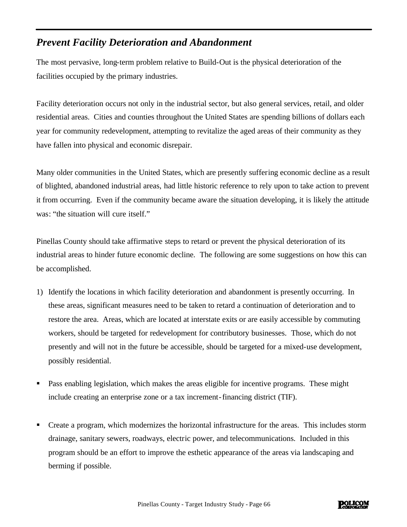# *Prevent Facility Deterioration and Abandonment*

The most pervasive, long-term problem relative to Build-Out is the physical deterioration of the facilities occupied by the primary industries.

Facility deterioration occurs not only in the industrial sector, but also general services, retail, and older residential areas. Cities and counties throughout the United States are spending billions of dollars each year for community redevelopment, attempting to revitalize the aged areas of their community as they have fallen into physical and economic disrepair.

Many older communities in the United States, which are presently suffering economic decline as a result of blighted, abandoned industrial areas, had little historic reference to rely upon to take action to prevent it from occurring. Even if the community became aware the situation developing, it is likely the attitude was: "the situation will cure itself."

Pinellas County should take affirmative steps to retard or prevent the physical deterioration of its industrial areas to hinder future economic decline. The following are some suggestions on how this can be accomplished.

- 1) Identify the locations in which facility deterioration and abandonment is presently occurring. In these areas, significant measures need to be taken to retard a continuation of deterioration and to restore the area. Areas, which are located at interstate exits or are easily accessible by commuting workers, should be targeted for redevelopment for contributory businesses. Those, which do not presently and will not in the future be accessible, should be targeted for a mixed-use development, possibly residential.
- Pass enabling legislation, which makes the areas eligible for incentive programs. These might include creating an enterprise zone or a tax increment-financing district (TIF).
- ß Create a program, which modernizes the horizontal infrastructure for the areas. This includes storm drainage, sanitary sewers, roadways, electric power, and telecommunications. Included in this program should be an effort to improve the esthetic appearance of the areas via landscaping and berming if possible.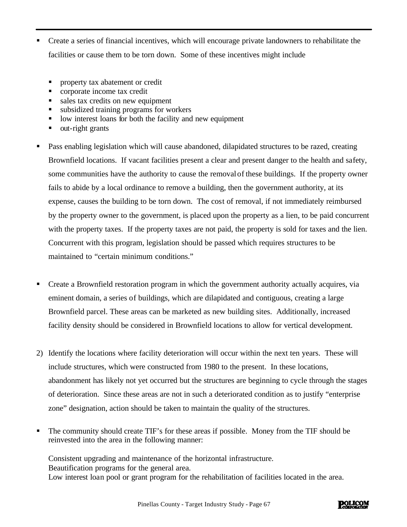- ß Create a series of financial incentives, which will encourage private landowners to rehabilitate the facilities or cause them to be torn down. Some of these incentives might include
	- **•** property tax abatement or credit
	- ß corporate income tax credit
	- sales tax credits on new equipment
	- ullet subsidized training programs for workers
	- low interest loans for both the facility and new equipment
	- $\blacksquare$  out-right grants
- ß Pass enabling legislation which will cause abandoned, dilapidated structures to be razed, creating Brownfield locations. If vacant facilities present a clear and present danger to the health and safety, some communities have the authority to cause the removal of these buildings. If the property owner fails to abide by a local ordinance to remove a building, then the government authority, at its expense, causes the building to be torn down. The cost of removal, if not immediately reimbursed by the property owner to the government, is placed upon the property as a lien, to be paid concurrent with the property taxes. If the property taxes are not paid, the property is sold for taxes and the lien. Concurrent with this program, legislation should be passed which requires structures to be maintained to "certain minimum conditions."
- ß Create a Brownfield restoration program in which the government authority actually acquires, via eminent domain, a series of buildings, which are dilapidated and contiguous, creating a large Brownfield parcel. These areas can be marketed as new building sites. Additionally, increased facility density should be considered in Brownfield locations to allow for vertical development.
- 2) Identify the locations where facility deterioration will occur within the next ten years. These will include structures, which were constructed from 1980 to the present. In these locations, abandonment has likely not yet occurred but the structures are beginning to cycle through the stages of deterioration. Since these areas are not in such a deteriorated condition as to justify "enterprise zone" designation, action should be taken to maintain the quality of the structures.
- ß The community should create TIF's for these areas if possible. Money from the TIF should be reinvested into the area in the following manner:

Consistent upgrading and maintenance of the horizontal infrastructure. Beautification programs for the general area. Low interest loan pool or grant program for the rehabilitation of facilities located in the area.